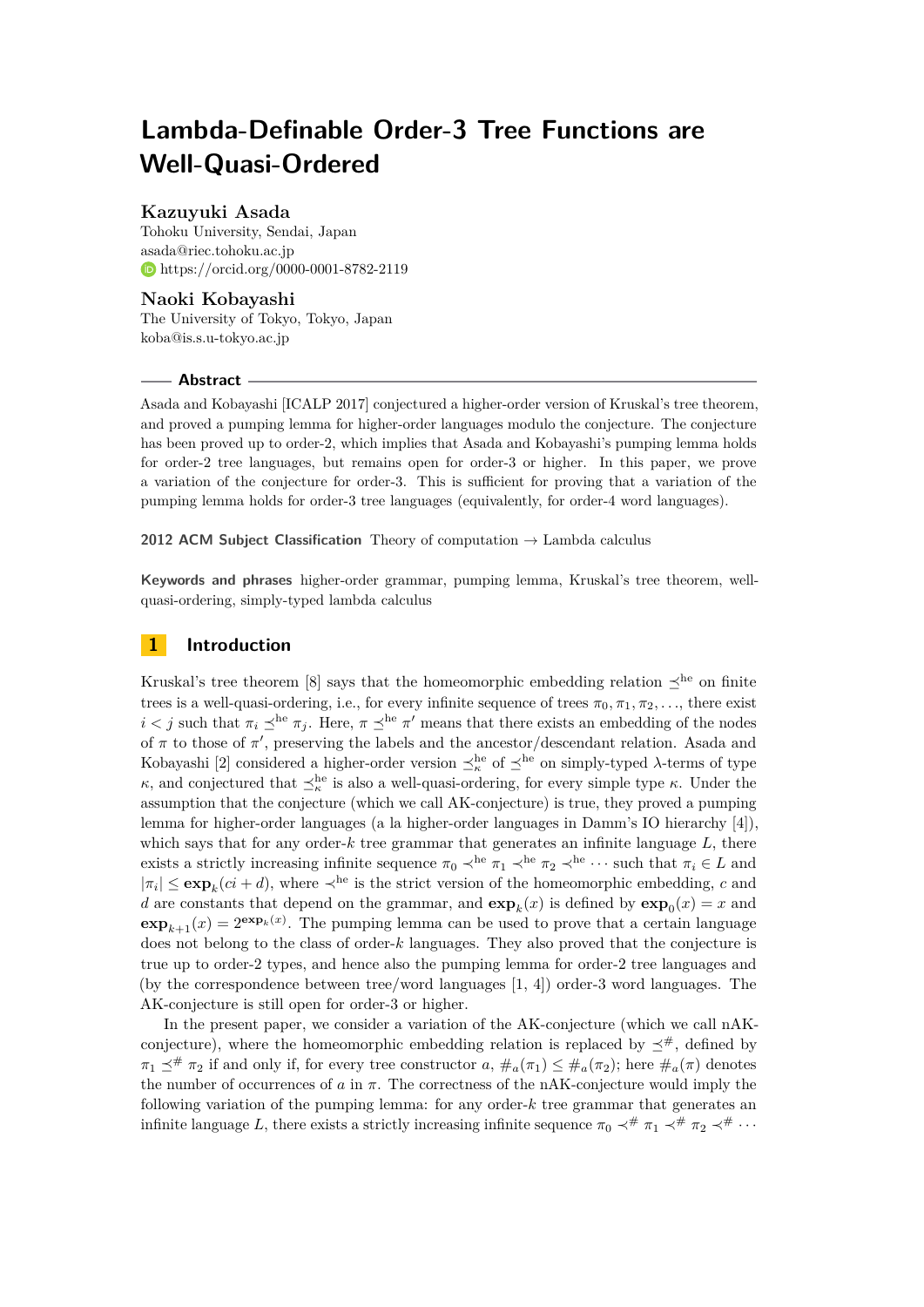# **Lambda-Definable Order-3 Tree Functions are Well-Quasi-Ordered**

### **Kazuyuki Asada**

Tohoku University, Sendai, Japan [asada@riec.tohoku.ac.jp](mailto:asada@riec.tohoku.ac.jp) <https://orcid.org/0000-0001-8782-2119>

# **Naoki Kobayashi**

The University of Tokyo, Tokyo, Japan [koba@is.s.u-tokyo.ac.jp](mailto:koba@is.s.u-tokyo.ac.jp)

### **Abstract**

Asada and Kobayashi [ICALP 2017] conjectured a higher-order version of Kruskal's tree theorem, and proved a pumping lemma for higher-order languages modulo the conjecture. The conjecture has been proved up to order-2, which implies that Asada and Kobayashi's pumping lemma holds for order-2 tree languages, but remains open for order-3 or higher. In this paper, we prove a variation of the conjecture for order-3. This is sufficient for proving that a variation of the pumping lemma holds for order-3 tree languages (equivalently, for order-4 word languages).

**2012 ACM Subject Classification** Theory of computation → Lambda calculus

**Keywords and phrases** higher-order grammar, pumping lemma, Kruskal's tree theorem, wellquasi-ordering, simply-typed lambda calculus

# **1 Introduction**

Kruskal's tree theorem [\[8\]](#page-13-0) says that the homeomorphic embedding relation  $\preceq^{\text{he}}$  on finite trees is a well-quasi-ordering, i.e., for every infinite sequence of trees  $\pi_0, \pi_1, \pi_2, \ldots$ , there exist *i*  $\lt j$  such that  $\pi_i \preceq^{\text{he}} \pi_j$ . Here,  $\pi \preceq^{\text{he}} \pi'$  means that there exists an embedding of the nodes of  $\pi$  to those of  $\pi'$ , preserving the labels and the ancestor/descendant relation. Asada and Kobayashi [\[2\]](#page-13-1) considered a higher-order version  $\preceq^{\text{he}}_{\kappa}$  of  $\preceq^{\text{he}}$  on simply-typed *λ*-terms of type *κ*, and conjectured that  $\preceq_{\kappa}^{\text{he}}$  is also a well-quasi-ordering, for every simple type *κ*. Under the assumption that the conjecture (which we call AK-conjecture) is true, they proved a pumping lemma for higher-order languages (a la higher-order languages in Damm's IO hierarchy [\[4\]](#page-13-2)), which says that for any order-*k* tree grammar that generates an infinite language *L*, there exists a strictly increasing infinite sequence  $\pi_0 \prec^{he} \pi_1 \prec^{he} \pi_2 \prec^{he} \cdots$  such that  $\pi_i \in L$  and  $|\pi_i| \le \exp_k(c_i + d)$ , where  $\prec^{\text{he}}$  is the strict version of the homeomorphic embedding, *c* and *d* are constants that depend on the grammar, and  $exp_k(x)$  is defined by  $exp_0(x) = x$  and  $\exp_{k+1}(x) = 2^{\exp_k(x)}$ . The pumping lemma can be used to prove that a certain language does not belong to the class of order-*k* languages. They also proved that the conjecture is true up to order-2 types, and hence also the pumping lemma for order-2 tree languages and (by the correspondence between tree/word languages [\[1,](#page-13-3) [4\]](#page-13-2)) order-3 word languages. The AK-conjecture is still open for order-3 or higher.

In the present paper, we consider a variation of the AK-conjecture (which we call nAKconjecture), where the homeomorphic embedding relation is replaced by  $\preceq^{\#}$ , defined by  $\pi_1 \preceq^{\#} \pi_2$  if and only if, for every tree constructor *a*,  $\#_a(\pi_1) \leq \#_a(\pi_2)$ ; here  $\#_a(\pi)$  denotes the number of occurrences of  $a$  in  $\pi$ . The correctness of the nAK-conjecture would imply the following variation of the pumping lemma: for any order-*k* tree grammar that generates an infinite language *L*, there exists a strictly increasing infinite sequence  $\pi_0 \prec^{\#} \pi_1 \prec^{\#} \pi_2 \prec^{\#} \cdots$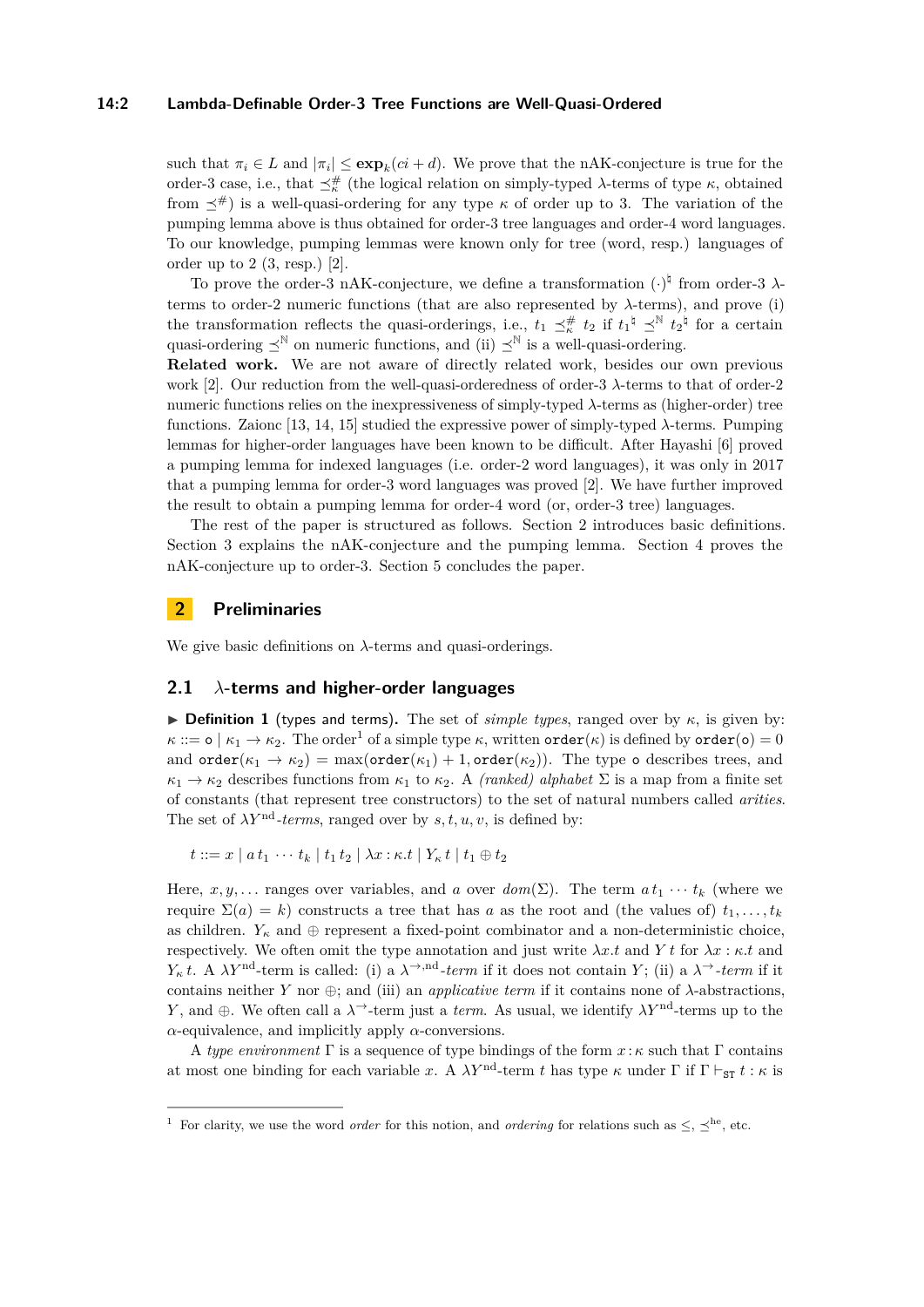#### **14:2 Lambda-Definable Order-3 Tree Functions are Well-Quasi-Ordered**

such that  $\pi_i \in L$  and  $|\pi_i| \leq \exp_k(c_i + d)$ . We prove that the nAK-conjecture is true for the order-3 case, i.e., that  $\preceq^{\#}_{\kappa}$  (the logical relation on simply-typed *λ*-terms of type  $\kappa$ , obtained from  $\prec^{\#}$  is a well-quasi-ordering for any type  $\kappa$  of order up to 3. The variation of the pumping lemma above is thus obtained for order-3 tree languages and order-4 word languages. To our knowledge, pumping lemmas were known only for tree (word, resp.) languages of order up to  $2$   $(3, \text{resp.})$   $[2]$ .

To prove the order-3 nAK-conjecture, we define a transformation  $(\cdot)^{\natural}$  from order-3  $\lambda$ terms to order-2 numeric functions (that are also represented by *λ*-terms), and prove (i) the transformation reflects the quasi-orderings, i.e.,  $t_1 \preceq_k^{\#} t_2$  if  $t_1^{\#} \preceq_N^{\#} t_2^{\#}$  for a certain quasi-ordering  $\prec^{\mathbb{N}}$  on numeric functions, and (ii)  $\prec^{\mathbb{N}}$  is a well-quasi-ordering.

**Related work.** We are not aware of directly related work, besides our own previous work [\[2\]](#page-13-1). Our reduction from the well-quasi-orderedness of order-3 *λ*-terms to that of order-2 numeric functions relies on the inexpressiveness of simply-typed *λ*-terms as (higher-order) tree functions. Zaionc [\[13,](#page-13-4) [14,](#page-13-5) [15\]](#page-13-6) studied the expressive power of simply-typed *λ*-terms. Pumping lemmas for higher-order languages have been known to be difficult. After Hayashi [\[6\]](#page-13-7) proved a pumping lemma for indexed languages (i.e. order-2 word languages), it was only in 2017 that a pumping lemma for order-3 word languages was proved [\[2\]](#page-13-1). We have further improved the result to obtain a pumping lemma for order-4 word (or, order-3 tree) languages.

The rest of the paper is structured as follows. Section [2](#page-1-0) introduces basic definitions. Section [3](#page-4-0) explains the nAK-conjecture and the pumping lemma. Section [4](#page-5-0) proves the nAK-conjecture up to order-3. Section [5](#page-12-0) concludes the paper.

### <span id="page-1-0"></span>**2 Preliminaries**

We give basic definitions on *λ*-terms and quasi-orderings.

### **2.1** *λ***-terms and higher-order languages**

**Definition 1** (types and terms). The set of *simple types*, ranged over by  $\kappa$ , is given by:  $\kappa ::= \mathsf{o} \mid \kappa_1 \to \kappa_2$  $\kappa ::= \mathsf{o} \mid \kappa_1 \to \kappa_2$  $\kappa ::= \mathsf{o} \mid \kappa_1 \to \kappa_2$ . The order<sup>1</sup> of a simple type  $\kappa$ , written order $(\kappa)$  is defined by order( $\mathsf{o}) = 0$ and  $order(\kappa_1 \rightarrow \kappa_2) = max(order(\kappa_1) + 1, order(\kappa_2))$ . The type  $\circ$  describes trees, and  $\kappa_1 \rightarrow \kappa_2$  describes functions from  $\kappa_1$  to  $\kappa_2$ . A *(ranked) alphabet*  $\Sigma$  is a map from a finite set of constants (that represent tree constructors) to the set of natural numbers called *arities*. The set of  $\lambda Y^{\text{nd}}$ -terms, ranged over by  $s, t, u, v$ , is defined by:

 $t := x | a t_1 \cdots t_k | t_1 t_2 | \lambda x : \kappa \cdot t | Y_{\kappa} t | t_1 \oplus t_2$ 

Here, *x*, *y*,... ranges over variables, and *a* over  $dom(\Sigma)$ . The term  $a t_1 \cdots t_k$  (where we require  $\Sigma(a) = k$ ) constructs a tree that has *a* as the root and (the values of)  $t_1, \ldots, t_k$ as children.  $Y_k$  and  $\oplus$  represent a fixed-point combinator and a non-deterministic choice, respectively. We often omit the type annotation and just write  $\lambda x.t$  and  $Y t$  for  $\lambda x : \kappa.t$  and *Y<sub><sup>κ</sub> t*. A *λY*<sup>nd</sup>-term is called: (i) a  $\lambda$ <sup>→*,*nd</sup>-term</sub> if it does not contain *Y*; (ii) a  $\lambda$ <sup>→</sup>-term if it</sub></sup> contains neither *Y* nor  $\oplus$ ; and (iii) an *applicative term* if it contains none of  $\lambda$ -abstractions, *Y*, and  $\oplus$ . We often call a  $\lambda^{\rightarrow}$ -term just a *term*. As usual, we identify  $\lambda Y^{\text{nd}}$ -terms up to the *α*-equivalence, and implicitly apply *α*-conversions.

A *type environment* Γ is a sequence of type bindings of the form *x* : *κ* such that Γ contains at most one binding for each variable *x*. A  $\lambda Y^{\text{nd}}$ -term *t* has type  $\kappa$  under  $\Gamma$  if  $\Gamma \vdash_{ST} t : \kappa$  is

<span id="page-1-1"></span><sup>&</sup>lt;sup>1</sup> For clarity, we use the word *order* for this notion, and *ordering* for relations such as  $\leq, \leq^{\text{he}}$ , etc.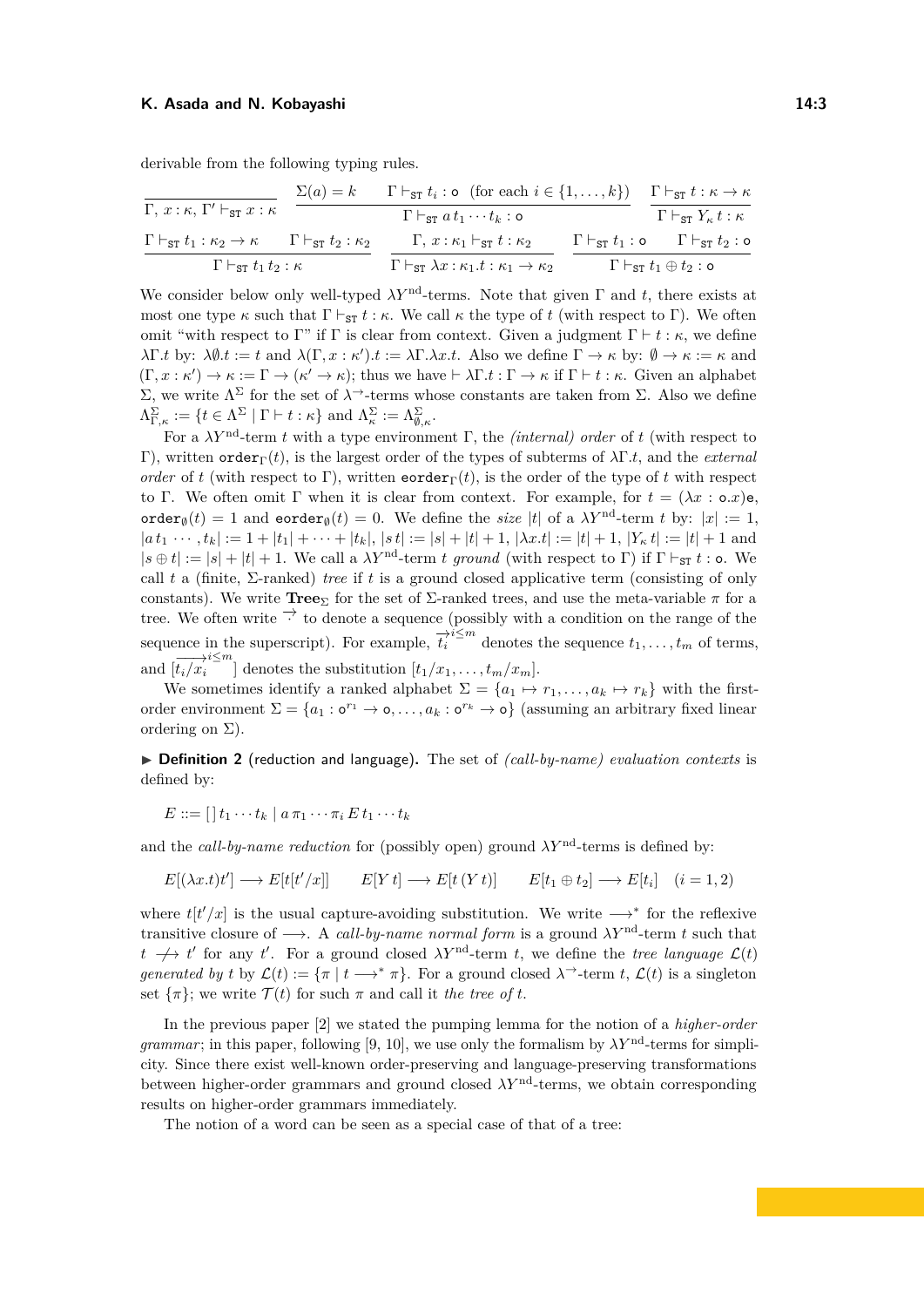derivable from the following typing rules.

$$
\frac{\Gamma \vdash_{\texttt{ST}} t : \kappa, \Gamma' \vdash_{\texttt{ST}} x : \kappa}{\Gamma \vdash_{\texttt{ST}} t_i : \kappa \quad \Gamma \vdash_{\texttt{ST}} t_i : \mathfrak{o} \quad (\text{for each } i \in \{1, \ldots, k\})}{\Gamma \vdash_{\texttt{ST}} a t_1 \cdots t_k : \mathfrak{o}} \quad \frac{\Gamma \vdash_{\texttt{ST}} t : \kappa \to \kappa}{\Gamma \vdash_{\texttt{ST}} Y_{\kappa} t : \kappa}
$$
\n
$$
\frac{\Gamma \vdash_{\texttt{ST}} t_1 : \kappa_2 \to \kappa}{\Gamma \vdash_{\texttt{ST}} t_2 : \kappa} \quad \frac{\Gamma, x : \kappa_1 \vdash_{\texttt{ST}} t : \kappa_2}{\Gamma \vdash_{\texttt{ST}} \lambda x : \kappa_1 \cdot t : \kappa_1 \to \kappa_2} \quad \frac{\Gamma \vdash_{\texttt{ST}} t_1 : \mathfrak{o} \quad \Gamma \vdash_{\texttt{ST}} t_2 : \mathfrak{o}}{\Gamma \vdash_{\texttt{ST}} t_1 \oplus t_2 : \mathfrak{o}}
$$

We consider below only well-typed  $\lambda Y^{\text{nd}}$ -terms. Note that given  $\Gamma$  and *t*, there exists at most one type  $\kappa$  such that  $\Gamma \vdash_{ST} t : \kappa$ . We call  $\kappa$  the type of *t* (with respect to Γ). We often omit "with respect to Γ" if Γ is clear from context. Given a judgment  $\Gamma \vdash t : \kappa$ , we define *λ*Γ*.t* by:  $\lambda \emptyset$ *t* := *t* and  $\lambda (\Gamma, x : \kappa')$ *t* :=  $\lambda \Gamma \cdot \lambda x$ *t*. Also we define  $\Gamma \to \kappa$  by:  $\emptyset \to \kappa := \kappa$  and  $(\Gamma, x : \kappa') \to \kappa := \Gamma \to (\kappa' \to \kappa);$  thus we have  $\vdash \lambda \Gamma.t : \Gamma \to \kappa$  if  $\Gamma \vdash t : \kappa$ . Given an alphabet  $Σ$ , we write  $Λ<sup>Σ</sup>$  for the set of  $λ<sup>→</sup>$ -terms whose constants are taken from  $Σ$ . Also we define  $\Lambda_{\Gamma,\kappa}^{\Sigma} := \{ t \in \Lambda^{\Sigma} \mid \Gamma \vdash t : \kappa \} \text{ and } \Lambda_{\kappa}^{\Sigma} := \Lambda_{\emptyset,\kappa}^{\Sigma}.$ 

For a  $\lambda Y^{\text{nd}}$ -term *t* with a type environment Γ, the *(internal) order* of *t* (with respect to Γ), written orderΓ(*t*), is the largest order of the types of subterms of *λ*Γ*.t*, and the *external order* of *t* (with respect to Γ), written eorder<sub>Γ</sub>(*t*), is the order of the type of *t* with respect to Γ. We often omit Γ when it is clear from context. For example, for  $t = (\lambda x : \mathbf{o} \cdot x)\mathbf{e}$ , order<sub>Ø</sub>(*t*) = 1 and eorder<sub>Ø</sub>(*t*) = 0. We define the *size* |*t*| of a  $\lambda Y^{\text{nd}}$ -term *t* by:  $|x| := 1$ .  $|a t_1 \cdots t_k| := 1 + |t_1| + \cdots + |t_k|, |s t| := |s| + |t| + 1, |\lambda x. t| := |t| + 1, |Y_{\kappa} t| := |t| + 1$  and  $|s \oplus t| := |s| + |t| + 1$ . We call a  $\lambda Y^{\text{nd}}$ -term *t* ground (with respect to Γ) if  $\Gamma \vdash_{\text{ST}} t : o$ . We call *t* a (finite, Σ-ranked) *tree* if *t* is a ground closed applicative term (consisting of only constants). We write **Tree**<sub>Σ</sub> for the set of  $\Sigma$ -ranked trees, and use the meta-variable  $\pi$  for a tree. We often write  $\overrightarrow{ }$  to denote a sequence (possibly with a condition on the range of the sequence in the superscript). For example,  $\vec{t}^{i \leq m}_{i}$  denotes the sequence  $t_1, \ldots, t_m$  of terms, and  $\left[\overrightarrow{t_i/x_i}^{i\leq m}\right]$  denotes the substitution  $[t_1/x_1, \ldots, t_m/x_m]$ .

We sometimes identify a ranked alphabet  $\Sigma = \{a_1 \mapsto r_1, \ldots, a_k \mapsto r_k\}$  with the firstorder environment  $\Sigma = \{a_1 : \mathbf{o}^{r_1} \to \mathbf{o}, \dots, a_k : \mathbf{o}^{r_k} \to \mathbf{o}\}\$  (assuming an arbitrary fixed linear ordering on  $\Sigma$ ).

<span id="page-2-0"></span>▶ **Definition 2** (reduction and language). The set of *(call-by-name) evaluation contexts* is defined by:

$$
E ::= [t_1 \cdots t_k \mid a \pi_1 \cdots \pi_i \, E \, t_1 \cdots t_k]
$$

and the *call-by-name reduction* for (possibly open) ground  $\lambda Y^{\text{nd}}$ -terms is defined by:

$$
E[(\lambda x.t)t'] \longrightarrow E[t[t'/x]] \qquad E[Y t] \longrightarrow E[t(Y t)] \qquad E[t_1 \oplus t_2] \longrightarrow E[t_i] \quad (i = 1, 2)
$$

where  $t[t'/x]$  is the usual capture-avoiding substitution. We write  $\longrightarrow^*$  for the reflexive transitive closure of  $\longrightarrow$ . A *call-by-name normal form* is a ground  $\lambda Y^{\text{nd}}$ -term *t* such that  $t \rightarrow t'$  for any *t'*. For a ground closed *λY*<sup>nd</sup>-term *t*, we define the *tree language*  $\mathcal{L}(t)$ *generated by t* by  $\mathcal{L}(t) := {\pi | t \longrightarrow^* \pi}$ . For a ground closed  $\lambda^{\rightarrow}$ -term *t*,  $\mathcal{L}(t)$  is a singleton set  $\{\pi\}$ ; we write  $\mathcal{T}(t)$  for such  $\pi$  and call it *the tree of t*.

In the previous paper [\[2\]](#page-13-1) we stated the pumping lemma for the notion of a *higher-order grammar*; in this paper, following [\[9,](#page-13-8) [10\]](#page-13-9), we use only the formalism by  $\lambda Y^{\text{nd}}$ -terms for simplicity. Since there exist well-known order-preserving and language-preserving transformations between higher-order grammars and ground closed  $\lambda Y^{\text{nd}}$ -terms, we obtain corresponding results on higher-order grammars immediately.

The notion of a word can be seen as a special case of that of a tree: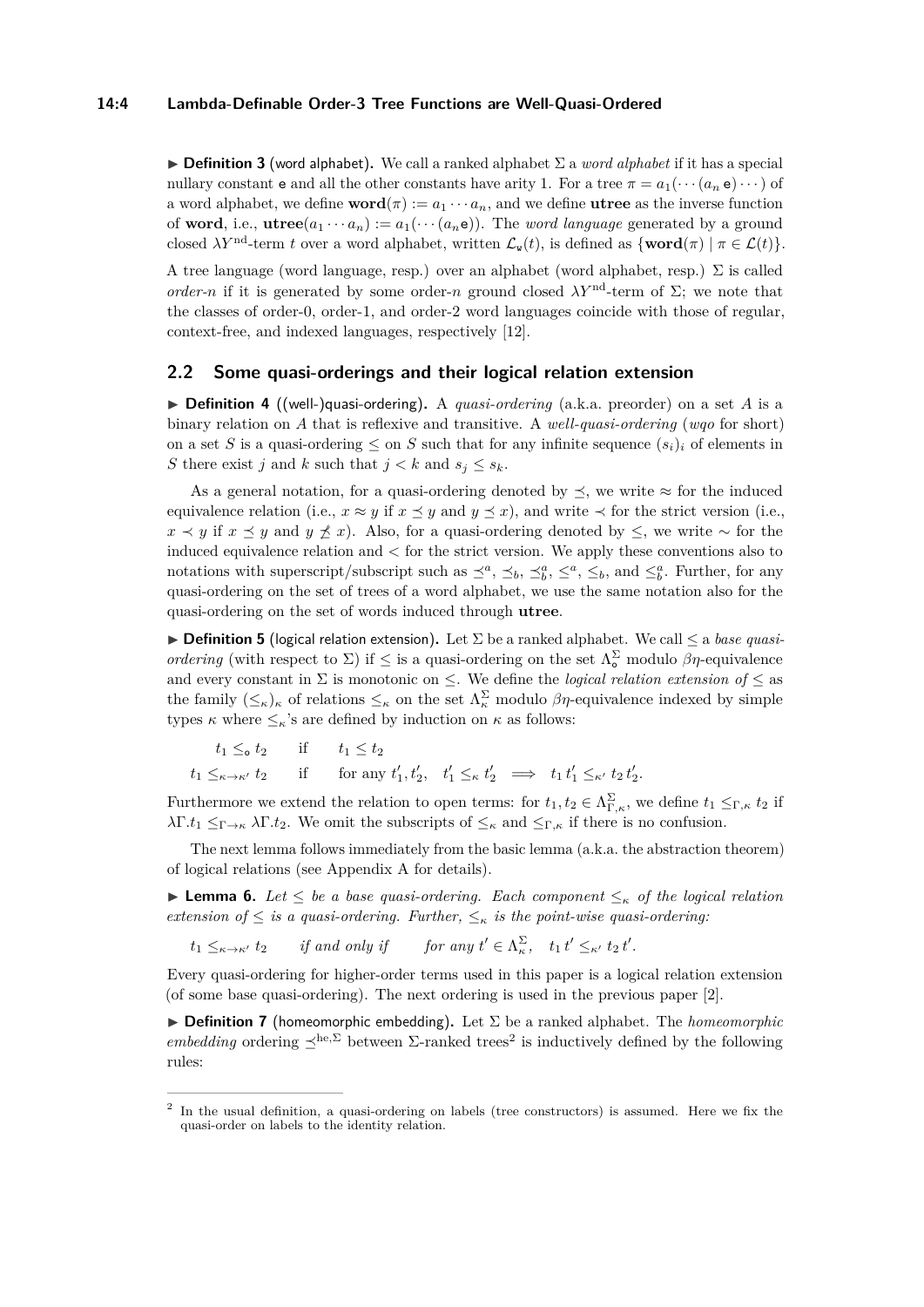#### **14:4 Lambda-Definable Order-3 Tree Functions are Well-Quasi-Ordered**

I **Definition 3** (word alphabet)**.** We call a ranked alphabet Σ a *word alphabet* if it has a special nullary constant **e** and all the other constants have arity 1. For a tree  $\pi = a_1(\cdots(a_n e) \cdots)$  of a word alphabet, we define  $word(\pi) := a_1 \cdots a_n$ , and we define **utree** as the inverse function of **word**, i.e., **utree**( $a_1 \cdots a_n$ ) :=  $a_1(\cdots(a_n e))$ . The *word language* generated by a ground closed  $\lambda Y^{\text{nd}}$ -term *t* over a word alphabet, written  $\mathcal{L}_{\mathbf{w}}(t)$ , is defined as  $\{\text{word}(\pi) \mid \pi \in \mathcal{L}(t)\}.$ 

A tree language (word language, resp.) over an alphabet (word alphabet, resp.)  $\Sigma$  is called *order-n* if it is generated by some order-*n* ground closed  $\lambda Y^{\text{nd}}$ -term of  $\Sigma$ ; we note that the classes of order-0, order-1, and order-2 word languages coincide with those of regular, context-free, and indexed languages, respectively [\[12\]](#page-13-10).

### <span id="page-3-2"></span>**2.2 Some quasi-orderings and their logical relation extension**

 $\triangleright$  **Definition 4** ((well-)quasi-ordering). A *quasi-ordering* (a.k.a. preorder) on a set *A* is a binary relation on *A* that is reflexive and transitive. A *well-quasi-ordering* (*wqo* for short) on a set *S* is a quasi-ordering  $\leq$  on *S* such that for any infinite sequence  $(s_i)_i$  of elements in *S* there exist *j* and *k* such that  $j < k$  and  $s_j \leq s_k$ .

As a general notation, for a quasi-ordering denoted by  $\preceq$ , we write  $\approx$  for the induced equivalence relation (i.e.,  $x \approx y$  if  $x \preceq y$  and  $y \preceq x$ ), and write  $\prec$  for the strict version (i.e., *x*  $\prec$  *y* if *x*  $\preceq$  *y* and *y*  $\preceq$  *x*). Also, for a quasi-ordering denoted by  $\leq$ , we write ∼ for the induced equivalence relation and *<* for the strict version. We apply these conventions also to notations with superscript/subscript such as  $\leq^a, \leq_b, \leq^a_b, \leq^a, \leq_b$ , and  $\leq^a_b$ . Further, for any quasi-ordering on the set of trees of a word alphabet, we use the same notation also for the quasi-ordering on the set of words induced through **utree**.

 $\triangleright$  **Definition 5** (logical relation extension). Let  $\Sigma$  be a ranked alphabet. We call  $\leq$  a *base quasiordering* (with respect to  $\Sigma$ ) if  $\leq$  is a quasi-ordering on the set  $\Lambda_{\circ}^{\Sigma}$  modulo  $\beta\eta$ -equivalence and every constant in  $\Sigma$  is monotonic on  $\leq$ . We define the *logical relation extension of*  $\leq$  as the family  $(\leq_{\kappa})_{\kappa}$  of relations  $\leq_{\kappa}$  on the set  $\Lambda_{\kappa}^{\Sigma}$  modulo  $\beta\eta$ -equivalence indexed by simple types  $\kappa$  where  $\leq_{\kappa}$ 's are defined by induction on  $\kappa$  as follows:

$$
t_1 \leq_\mathbf{o} t_2 \quad \text{if} \quad t_1 \leq t_2
$$
  

$$
t_1 \leq_{\kappa \to \kappa'} t_2 \quad \text{if} \quad \text{for any } t'_1, t'_2, \quad t'_1 \leq_\kappa t'_2 \implies t_1 t'_1 \leq_{\kappa'} t_2 t'_2.
$$

Furthermore we extend the relation to open terms: for  $t_1, t_2 \in \Lambda_{\Gamma,\kappa}^{\Sigma}$ , we define  $t_1 \leq_{\Gamma,\kappa} t_2$  if *λ*Γ*.t*<sub>1</sub> ≤<sub>Γ→*κ*</sub> *λ*Γ*.t*<sub>2</sub>. We omit the subscripts of ≤<sub>*κ*</sub> and ≤<sub>Γ*,κ*</sub> if there is no confusion.

The next lemma follows immediately from the basic lemma (a.k.a. the abstraction theorem) of logical relations (see Appendix [A](#page-15-0) for details).

<span id="page-3-1"></span>**► Lemma 6.** Let  $\leq$  be a base quasi-ordering. Each component  $\leq$ <sub>*k*</sub> of the logical relation *extension of*  $\leq$  *is a quasi-ordering. Further,*  $\leq_{\kappa}$  *is the point-wise quasi-ordering:* 

 $t_1 \leq_{\kappa \to \kappa'} t_2$  *if and only if for any*  $t' \in \Lambda_{\kappa}^{\Sigma}$ ,  $t_1 t' \leq_{\kappa'} t_2 t'$ .

Every quasi-ordering for higher-order terms used in this paper is a logical relation extension (of some base quasi-ordering). The next ordering is used in the previous paper [\[2\]](#page-13-1).

 $\triangleright$  **Definition 7** (homeomorphic embedding). Let  $\Sigma$  be a ranked alphabet. The *homeomorphic embedding* ordering  $\leq^{he, \Sigma}$  between  $\Sigma$ -ranked trees<sup>[2](#page-3-0)</sup> is inductively defined by the following rules:

<span id="page-3-0"></span><sup>&</sup>lt;sup>2</sup> In the usual definition, a quasi-ordering on labels (tree constructors) is assumed. Here we fix the quasi-order on labels to the identity relation.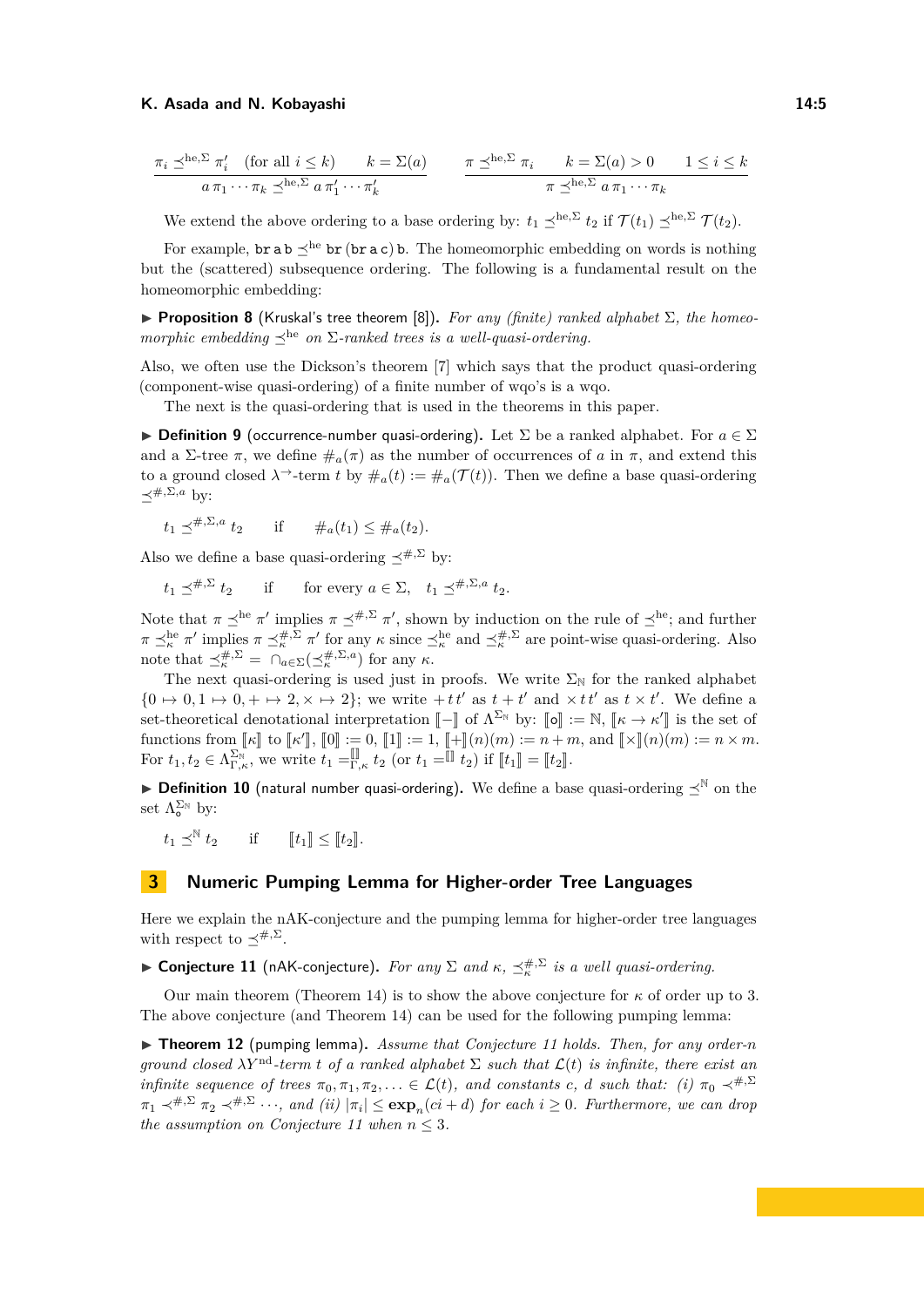$$
\frac{\pi_i \preceq^{\text{he}, \Sigma} \pi'_i \quad \text{(for all } i \le k) \qquad k = \Sigma(a)}{a \pi_1 \cdots \pi_k \preceq^{\text{he}, \Sigma} a \pi'_1 \cdots \pi'_k} \qquad \frac{\pi \preceq^{\text{he}, \Sigma} \pi_i \qquad k = \Sigma(a) > 0 \qquad 1 \le i \le k}{\pi \preceq^{\text{he}, \Sigma} a \pi_1 \cdots \pi_k}
$$

We extend the above ordering to a base ordering by:  $t_1 \leq^{he, \Sigma} t_2$  if  $\mathcal{T}(t_1) \leq^{he, \Sigma} \mathcal{T}(t_2)$ .

For example,  $\mathbf{b}r$  a  $\mathbf{b} \preceq^{\text{he}} \mathbf{b}r$  ( $\mathbf{b}r$  a c)  $\mathbf{b}$ . The homeomorphic embedding on words is nothing but the (scattered) subsequence ordering. The following is a fundamental result on the homeomorphic embedding:

<span id="page-4-3"></span>**Proposition 8** (Kruskal's tree theorem [\[8\]](#page-13-0)). For any (finite) ranked alphabet  $\Sigma$ , the homeo*morphic embedding*  $\preceq^{\text{he}}$  *on*  $\Sigma$ -*ranked trees is a well-quasi-ordering.* 

Also, we often use the Dickson's theorem [\[7\]](#page-13-11) which says that the product quasi-ordering (component-wise quasi-ordering) of a finite number of wqo's is a wqo.

The next is the quasi-ordering that is used in the theorems in this paper.

**Definition 9** (occurrence-number quasi-ordering). Let  $\Sigma$  be a ranked alphabet. For  $a \in \Sigma$ and a  $\Sigma$ -tree  $\pi$ , we define  $\#_a(\pi)$  as the number of occurrences of *a* in  $\pi$ , and extend this to a ground closed  $\lambda^{\rightarrow}$ -term *t* by  $\#_a(t) := \#_a(\mathcal{T}(t))$ . Then we define a base quasi-ordering  $\prec^{#,\Sigma,a}$  by:

$$
t_1 \preceq^{\#,\Sigma,a} t_2
$$
 if  $\#_a(t_1) \leq \#_a(t_2)$ .

Also we define a base quasi-ordering  $\prec^{#,\Sigma}$  by:

 $t_1 \prec^{\#,\Sigma} t_2$  $\sharp$ <sup>*+,* $\Sigma$ </sup>  $t_2$  if for every  $a \in \Sigma$ ,  $t_1 \preceq^{\#,\Sigma,a} t_2$ .

Note that  $\pi \leq^{\text{he}} \pi'$  implies  $\pi \leq^{\#,\Sigma} \pi'$ , shown by induction on the rule of  $\leq^{\text{he}}$ ; and further  $\pi \leq_{\kappa}^{\text{he}} \pi'$  implies  $\pi \leq_{\kappa}^{\#, \Sigma} \pi'$  for any  $\kappa$  since  $\leq_{\kappa}^{\text{he}}$  and  $\leq_{\kappa}^{\#, \Sigma}$  are point-wise quasi-ordering. Also note that  $\preceq_{\kappa}^{\#,\Sigma} = \bigcap_{a \in \Sigma} (\preceq_{\kappa}^{\#,\Sigma,a})$  for any  $\kappa$ .

The next quasi-ordering is used just in proofs. We write  $\Sigma_N$  for the ranked alphabet  $\{0 \mapsto 0, 1 \mapsto 0, + \mapsto 2, \times \mapsto 2\};$  we write  $+ t t'$  as  $t + t'$  and  $\times t t'$  as  $t \times t'$ . We define a set-theoretical denotational interpretation  $\llbracket - \rrbracket$  of  $\Lambda^{\Sigma_N}$  by:  $\llbracket \phi \rrbracket := \mathbb{N}, \llbracket \kappa \to \kappa' \rrbracket$  is the set of<br>functions from  $\llbracket u \rrbracket$  to  $\llbracket u \rrbracket = 0$   $\llbracket \rrbracket$  to  $\Lambda^{\Sigma_N}$  by:  $\llbracket \phi \rrbracket$  by:  $\llbracket \k$ functions from  $\llbracket \kappa \rrbracket$  to  $\llbracket \kappa' \rrbracket$ ,  $\llbracket 0 \rrbracket := 0$ ,  $\llbracket 1 \rrbracket := 1$ ,  $\llbracket + \rrbracket(n)(m) := n + m$ , and  $\llbracket \times \rrbracket(n)(m) := n \times m$ .<br>For  $t_1, t_2 \in \Lambda_{\Gamma,\kappa}^{\Sigma_{\mathbb{N}}}$ , we write  $t_1 = \llbracket \rrbracket_{\kappa}$ ,  $t_2$  (or  $t_1 = \llbracket t_2 \rrbr$ 

**Definition 10** (natural number quasi-ordering). We define a base quasi-ordering  $\preceq^{\mathbb{N}}$  on the set  $\Lambda_{\circ}^{\Sigma_{\mathbb{N}}}$  by:

 $t_1 \preceq^{\mathbb{N}}$ *if*  $[t_1] \leq [t_2]$ .

### <span id="page-4-0"></span>**3 Numeric Pumping Lemma for Higher-order Tree Languages**

Here we explain the nAK-conjecture and the pumping lemma for higher-order tree languages with respect to  $\preceq^{#,\Sigma}$ .

<span id="page-4-1"></span>► Conjecture 11 (nAK-conjecture). For any  $\Sigma$  and  $\kappa$ ,  $\preceq_{\kappa}^{#, \Sigma}$  is a well quasi-ordering.

Our main theorem (Theorem [14\)](#page-5-1) is to show the above conjecture for  $\kappa$  of order up to 3. The above conjecture (and Theorem [14\)](#page-5-1) can be used for the following pumping lemma:

<span id="page-4-4"></span><span id="page-4-2"></span>▶ **Theorem 12** (pumping lemma). *Assume that Conjecture [11](#page-4-1) holds. Then, for any order-n ground closed*  $\lambda Y^{nd}$ -term *t of a ranked alphabet*  $\Sigma$  *such that*  $\mathcal{L}(t)$  *is infinite, there exist an infinite sequence of trees*  $\pi_0, \pi_1, \pi_2, \ldots \in \mathcal{L}(t)$ *, and constants c, d such that: (i)*  $\pi_0 \prec^{#,\Sigma}$  $\pi_1 \prec^{\#,\Sigma} \pi_2 \prec^{\#,\Sigma} \cdots$ , and (ii)  $|\pi_i| \le \exp_n(c_i + d)$  for each  $i \ge 0$ . Furthermore, we can drop *the assumption on Conjecture* [11](#page-4-1) when  $n \leq 3$ .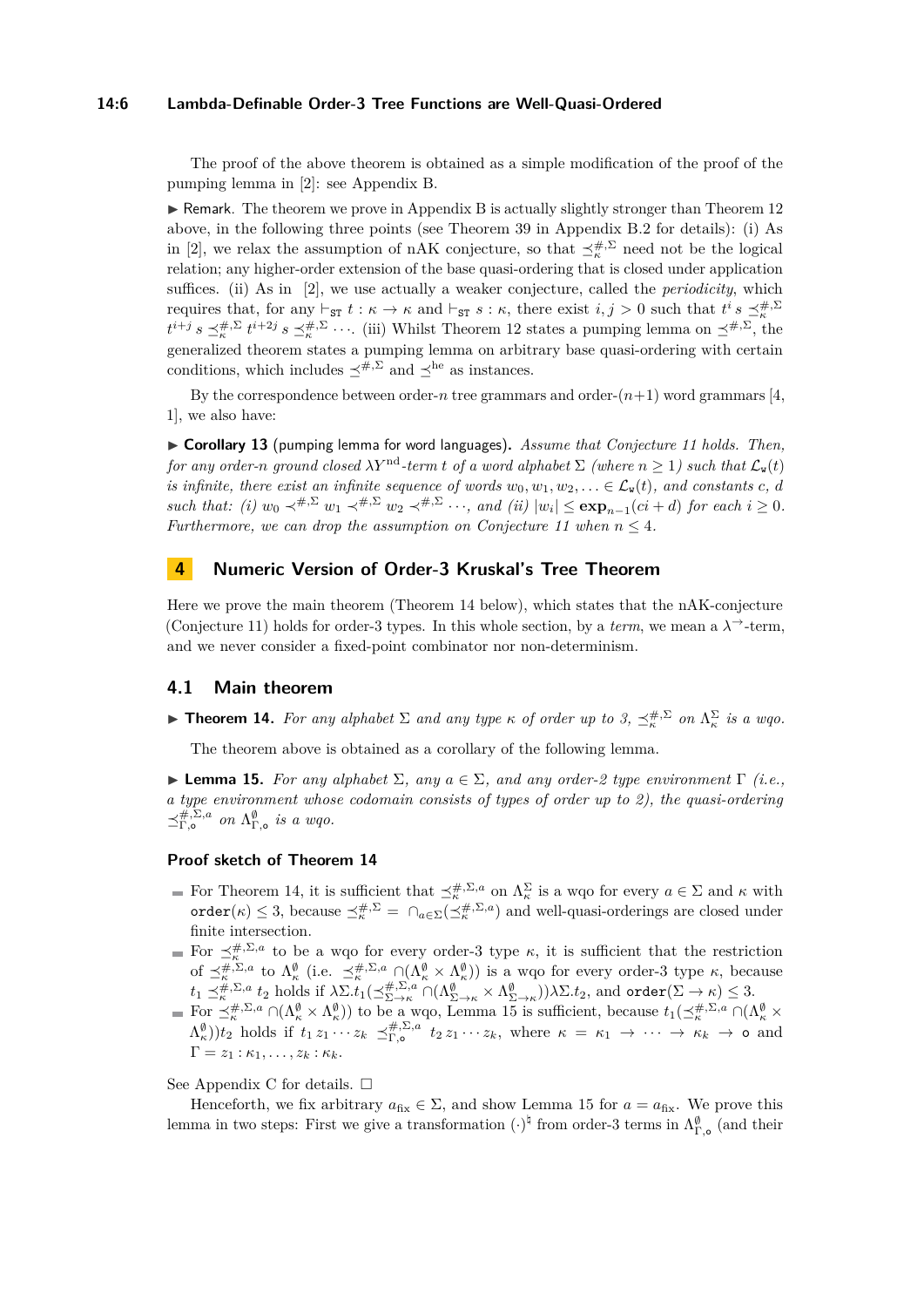#### **14:6 Lambda-Definable Order-3 Tree Functions are Well-Quasi-Ordered**

The proof of the above theorem is obtained as a simple modification of the proof of the pumping lemma in [\[2\]](#page-13-1): see Appendix [B.](#page-16-0)

 $\triangleright$  Remark. The theorem we prove in Appendix [B](#page-16-0) is actually slightly stronger than Theorem [12](#page-4-2) above, in the following three points (see Theorem [39](#page-18-0) in Appendix [B.2](#page-17-0) for details): (i) As in [\[2\]](#page-13-1), we relax the assumption of nAK conjecture, so that  $\preceq_{\kappa}^{\#,\Sigma}$  need not be the logical relation; any higher-order extension of the base quasi-ordering that is closed under application suffices. (ii) As in [\[2\]](#page-13-1), we use actually a weaker conjecture, called the *periodicity*, which requires that, for any  $\vdash_{\text{ST}} t : \kappa \to \kappa$  and  $\vdash_{\text{ST}} s : \kappa$ , there exist  $i, j > 0$  such that  $t^i s \preceq_{\kappa}^{#, \Sigma}$  $t^{i+j} s \preceq_{\kappa}^{\#,\Sigma} t^{i+2j} s \preceq_{\kappa}^{\#,\Sigma} \cdots$  (iii) Whilst Theorem [12](#page-4-2) states a pumping lemma on  $\preceq^{\#,\Sigma}$ , the generalized theorem states a pumping lemma on arbitrary base quasi-ordering with certain conditions, which includes  $\prec^{#,\Sigma}$  and  $\prec^{he}$  as instances.

By the correspondence between order- $n$  tree grammars and order- $(n+1)$  word grammars [\[4,](#page-13-2) [1\]](#page-13-3), we also have:

<span id="page-5-4"></span>I **Corollary 13** (pumping lemma for word languages)**.** *Assume that Conjecture [11](#page-4-1) holds. Then, for any order-n ground closed*  $\lambda Y^{nd}$ -*term t of a word alphabet*  $\Sigma$  *(where*  $n > 1$ ) *such that*  $\mathcal{L}_{w}(t)$ *is infinite, there exist an infinite sequence of words*  $w_0, w_1, w_2, \ldots \in \mathcal{L}_{\mathbf{w}}(t)$ *, and constants c, d such that:* (*i*)  $w_0 \prec^{\#,\Sigma} w_1 \prec^{\#,\Sigma} w_2 \prec^{\#,\Sigma} \cdots$ , and (*ii*)  $|w_i| \le \exp_{n-1}(ci+d)$  *for each*  $i \ge 0$ *. Furthermore, we can drop the assumption on Conjecture* [11](#page-4-1) when  $n \leq 4$ .

### <span id="page-5-0"></span>**4 Numeric Version of Order-3 Kruskal's Tree Theorem**

Here we prove the main theorem (Theorem [14](#page-5-1) below), which states that the nAK-conjecture (Conjecture [11\)](#page-4-1) holds for order-3 types. In this whole section, by a *term*, we mean a  $\lambda^{\rightarrow}$ -term, and we never consider a fixed-point combinator nor non-determinism.

### <span id="page-5-3"></span>**4.1 Main theorem**

<span id="page-5-1"></span>**Fineorem 14.** For any alphabet  $\Sigma$  and any type  $\kappa$  of order up to 3,  $\preceq_{\kappa}^{#, \Sigma}$  on  $\Lambda_{\kappa}^{\Sigma}$  is a wqo.

The theorem above is obtained as a corollary of the following lemma.

<span id="page-5-2"></span>**Lemma 15.** *For any alphabet*  $\Sigma$ *, any*  $a \in \Sigma$ *, and any order-2 type environment*  $\Gamma$  *(i.e., a type environment whose codomain consists of types of order up to 2), the quasi-ordering*  $\preceq^{\#,\Sigma,a}_{\Gamma,\mathsf{o}}$  on  $\Lambda^{\emptyset}_{\Gamma,\mathsf{o}}$  is a wqo.

### **Proof sketch of Theorem [14](#page-5-1)**

- For Theorem [14,](#page-5-1) it is sufficient that  $\preceq_{\kappa}^{\#,\Sigma,a}$  on  $\Lambda_{\kappa}^{\Sigma}$  is a wqo for every  $a \in \Sigma$  and  $\kappa$  with  $\text{order}(\kappa) \leq 3$ , because  $\preceq_k^{\#,\Sigma} = \bigcap_{a \in \Sigma} (\preceq_k^{\#,\Sigma,a})$  and well-quasi-orderings are closed under finite intersection.
- For  $\preceq_k^{\#,\Sigma,a}$  to be a wqo for every order-3 type  $\kappa$ , it is sufficient that the restriction *κ*, *κ* **ε** *κ*<sub>*κ*</sub> *κ*<sub>*λ*</sub> *κ*<sub>*κ*</sub> *κ*<sub>*λ*</sub> *κ*<sub>*λ*</sub> *κ*<sub>*λ*</sub> *κ*<sub>*λ*</sub> *κ*<sub>*λ*</sub> *κ*<sub>*λ*</sub> *κ*<sub>*λ*</sub> *λ*<sub>*κ*</sub> *λ*<sub>*λ*</sub> *α κ*<sub>*λ*</sub> *λ*<sub>*λ*</sub> *λ*<sub>*λ*</sub> *λ*<sub>*λ*</sub> *λ*<sub>*λ*</sub> *λ*<sub>*λ*</sub> *λ*<sub>*λ*</sub> *λ*<sub>*λ*</sub> *λ*<sub>*λ*</sub> *λ*<sub>*λ*</sub> *λ*  $t_1 \preceq^{\#,\Sigma,a}_{\kappa} t_2$  holds if  $\lambda \Sigma . t_1(\preceq^{\#,\Sigma,a}_{\Sigma \to \kappa} \cap (\Lambda^\emptyset_{\Sigma \to \kappa} \times \Lambda^\emptyset_{\Sigma \to \kappa}))\lambda \Sigma . t_2$ , and  $\text{order}(\Sigma \to \kappa) \leq 3$ .
- For  $\preceq_{\kappa}^{\#,\Sigma,a} \cap (\Lambda_{\kappa}^{\emptyset} \times \Lambda_{\kappa}^{\emptyset}))$  to be a wqo, Lemma [15](#page-5-2) is sufficient, because  $t_1(\preceq_{\kappa}^{\#,\Sigma,a} \cap (\Lambda_{\kappa}^{\emptyset} \times$  $(\Lambda_{\kappa}^{\emptyset}))t_2$  holds if  $t_1 z_1 \cdots z_k \preceq_{\Gamma,\mathsf{o}}^{\#,\Sigma,a} t_2 z_1 \cdots z_k$ , where  $\kappa = \kappa_1 \rightarrow \cdots \rightarrow \kappa_k \rightarrow \mathsf{o}$  and  $\Gamma = z_1 : \kappa_1, \ldots, z_k : \kappa_k$ .

See Appendix [C](#page-21-0) for details.  $\square$ 

Henceforth, we fix arbitrary  $a_{fix} \in \Sigma$ , and show Lemma [15](#page-5-2) for  $a = a_{fix}$ . We prove this lemma in two steps: First we give a transformation  $(\cdot)^{\natural}$  from order-3 terms in  $\Lambda^{\emptyset}_{\Gamma,\mathsf{o}}$  (and their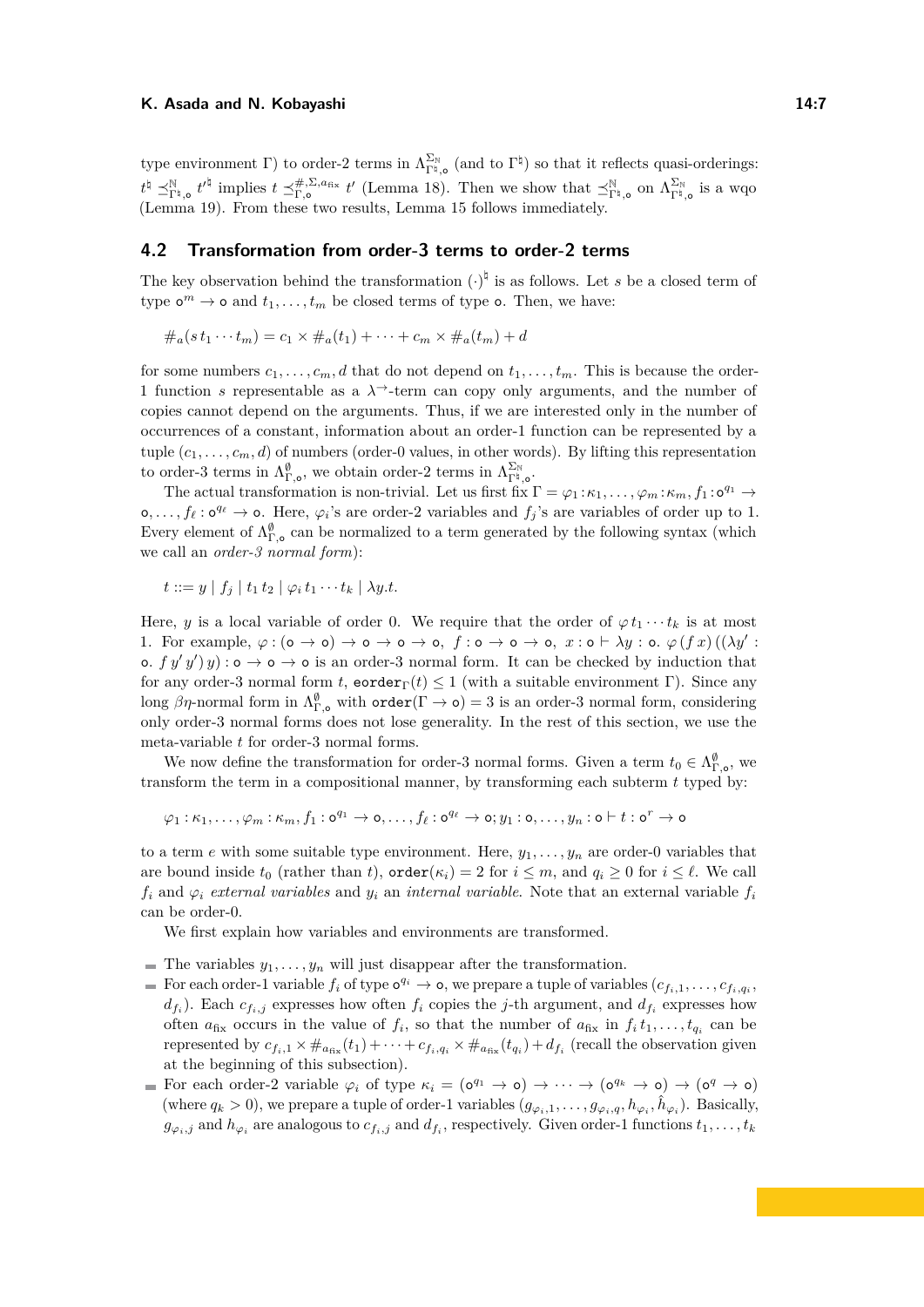type environment  $\Gamma$ ) to order-2 terms in  $\Lambda_{\Gamma^{\natural},o}^{\Sigma_{\mathbb{N}}}$  (and to  $\Gamma^{\natural}$ ) so that it reflects quasi-orderings:  $t^{\sharp} \preceq^{\mathbb{N}}_{\Gamma^{\sharp},\mathsf{o}} t^{\prime \sharp}$  implies  $t \preceq^{\#,\Sigma,a_{\text{fix}}}_{\Gamma,\mathsf{o}} t'$  (Lemma [18\)](#page-9-0). Then we show that  $\preceq^{\mathbb{N}}_{\Gamma^{\sharp},\mathsf{o}}$  on  $\Lambda^{\Sigma_{\mathbb{N}}}_{\Gamma^{\sharp},\mathsf{o}}$  is a wqo (Lemma [19\)](#page-9-1). From these two results, Lemma [15](#page-5-2) follows immediately.

### <span id="page-6-0"></span>**4.2 Transformation from order-3 terms to order-2 terms**

The key observation behind the transformation  $(\cdot)^{\natural}$  is as follows. Let *s* be a closed term of type  $\mathbf{o}^m \to \mathbf{o}$  and  $t_1, \ldots, t_m$  be closed terms of type  $\mathbf{o}$ . Then, we have:

 $\#_a(s t_1 \cdots t_m) = c_1 \times \#_a(t_1) + \cdots + c_m \times \#_a(t_m) + d$ 

for some numbers  $c_1, \ldots, c_m, d$  that do not depend on  $t_1, \ldots, t_m$ . This is because the order-1 function *s* representable as a  $\lambda^{\rightarrow}$ -term can copy only arguments, and the number of copies cannot depend on the arguments. Thus, if we are interested only in the number of occurrences of a constant, information about an order-1 function can be represented by a tuple  $(c_1, \ldots, c_m, d)$  of numbers (order-0 values, in other words). By lifting this representation to order-3 terms in  $\Lambda^{\emptyset}_{\Gamma, \diamond}$ , we obtain order-2 terms in  $\Lambda^{\Sigma_{\mathbb{N}}}_{\Gamma^{\natural}, \diamond}$ .

The actual transformation is non-trivial. Let us first fix  $\Gamma = \varphi_1 : \kappa_1, \ldots, \varphi_m : \kappa_m, f_1 : o^{q_1} \to$  $\phi_1, \ldots, f_\ell : \phi^{q_\ell} \to \phi$ . Here,  $\varphi_i$ 's are order-2 variables and  $f_j$ 's are variables of order up to 1. Every element of  $\Lambda_{\Gamma,o}^{\emptyset}$  can be normalized to a term generated by the following syntax (which we call an *order-3 normal form*):

$$
t ::= y \mid f_j \mid t_1 t_2 \mid \varphi_i t_1 \cdots t_k \mid \lambda y.t.
$$

Here, *y* is a local variable of order 0. We require that the order of  $\varphi t_1 \cdots t_k$  is at most 1. For example,  $\varphi : (\mathsf{o} \to \mathsf{o}) \to \mathsf{o} \to \mathsf{o} \to \mathsf{o}, f : \mathsf{o} \to \mathsf{o} \to \mathsf{o}, x : \mathsf{o} \vdash \lambda y : \mathsf{o} \ldots \varphi(f x) ((\lambda y' : \mathsf{o} \land \mathsf{a}) \to \mathsf{o} \to \mathsf{o} \to \mathsf{o})$ o.  $f(y', y')$  : o  $\rightarrow$  o  $\rightarrow$  o is an order-3 normal form. It can be checked by induction that for any order-3 normal form *t*, eorder<sub>Γ</sub>(*t*)  $\leq$  1 (with a suitable environment Γ). Since any long  $\beta\eta$ -normal form in  $\Lambda^{\emptyset}_{\Gamma,\mathsf{o}}$  with  $\texttt{order}(\Gamma \to \mathsf{o}) = 3$  is an order-3 normal form, considering only order-3 normal forms does not lose generality. In the rest of this section, we use the meta-variable *t* for order-3 normal forms.

We now define the transformation for order-3 normal forms. Given a term  $t_0 \in \Lambda^{\emptyset}_{\Gamma,\bullet}$ , we transform the term in a compositional manner, by transforming each subterm *t* typed by:

 $\varphi_1:\kappa_1,\ldots,\varphi_m:\kappa_m,f_1:\mathsf{o}^{q_1}\to \mathsf{o},\ldots,f_\ell:\mathsf{o}^{q_\ell}\to \mathsf{o}; y_1:\mathsf{o},\ldots,y_n:\mathsf{o}\vdash t:\mathsf{o}^r\to \mathsf{o}$ 

to a term  $e$  with some suitable type environment. Here,  $y_1, \ldots, y_n$  are order-0 variables that are bound inside  $t_0$  (rather than  $t$ ),  $\text{order}(\kappa_i) = 2$  for  $i \leq m$ , and  $q_i \geq 0$  for  $i \leq \ell$ . We call  $f_i$  and  $\varphi_i$  *external variables* and  $y_i$  an *internal variable*. Note that an external variable  $f_i$ can be order-0.

We first explain how variables and environments are transformed.

- $\blacksquare$  The variables  $y_1, \ldots, y_n$  will just disappear after the transformation.
- For each order-1 variable  $f_i$  of type  $o^{q_i} \to o$ , we prepare a tuple of variables  $(c_{f_i,1}, \ldots, c_{f_i,q_i},$  $d_{f_i}$ ). Each  $c_{f_i,j}$  expresses how often  $f_i$  copies the *j*-th argument, and  $d_{f_i}$  expresses how often  $a_{fix}$  occurs in the value of  $f_i$ , so that the number of  $a_{fix}$  in  $f_i t_1, \ldots, t_{q_i}$  can be represented by  $c_{f_i,1} \times \#_{a_{fix}}(t_1) + \cdots + c_{f_i,q_i} \times \#_{a_{fix}}(t_{q_i}) + d_{f_i}$  (recall the observation given at the beginning of this subsection).
- For each order-2 variable  $\varphi_i$  of type  $\kappa_i = (\mathbf{0}^{q_1} \to \mathbf{0}) \to \cdots \to (\mathbf{0}^{q_k} \to \mathbf{0}) \to (\mathbf{0}^q \to \mathbf{0})$ (where  $q_k > 0$ ), we prepare a tuple of order-1 variables  $(g_{\varphi_i,1},\ldots,g_{\varphi_i,q},h_{\varphi_i},\hat{h}_{\varphi_i})$ . Basically,  $g_{\varphi_i,j}$  and  $h_{\varphi_i}$  are analogous to  $c_{f_i,j}$  and  $d_{f_i}$ , respectively. Given order-1 functions  $t_1, \ldots, t_k$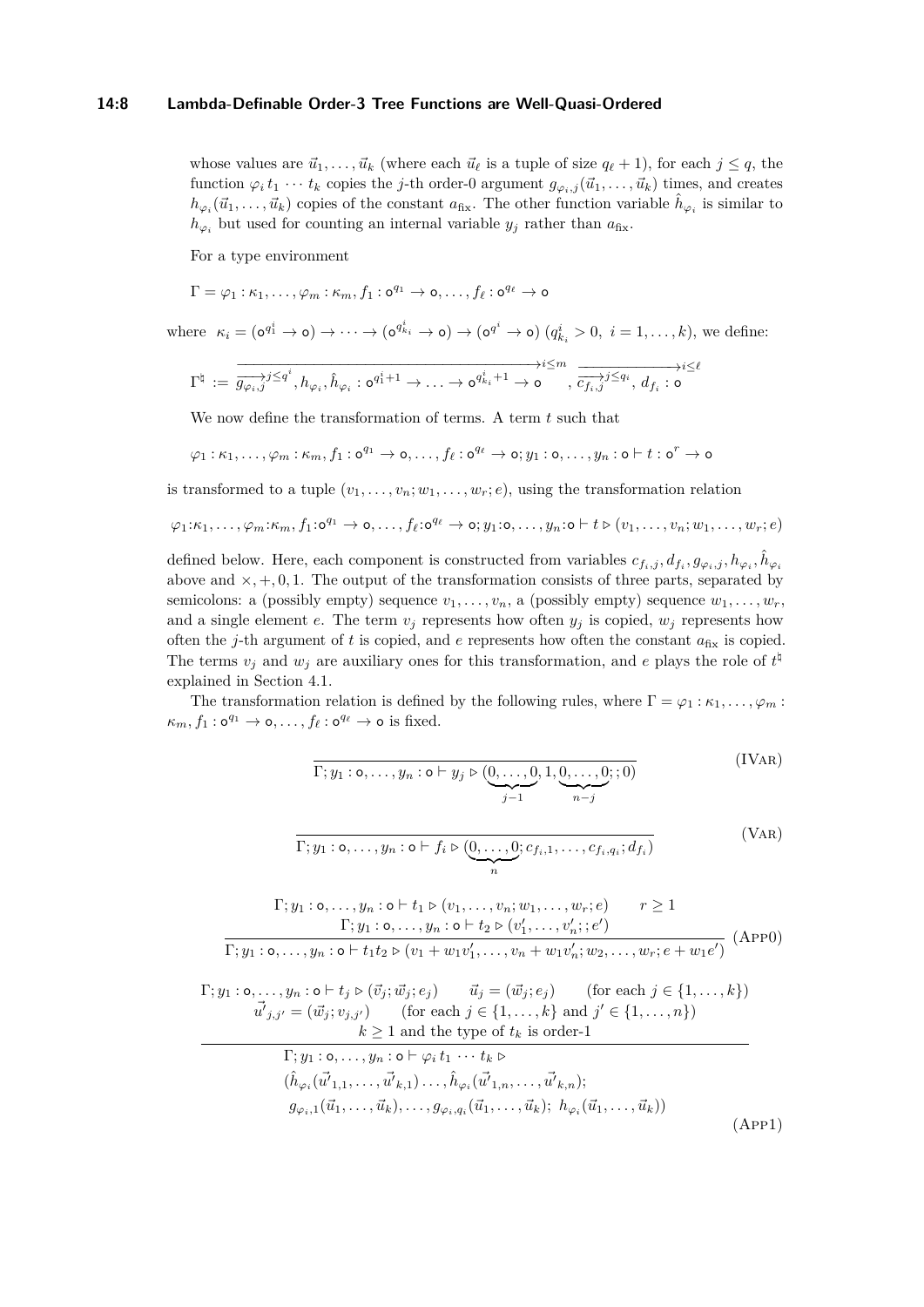#### **14:8 Lambda-Definable Order-3 Tree Functions are Well-Quasi-Ordered**

whose values are  $\vec{u}_1, \ldots, \vec{u}_k$  (where each  $\vec{u}_\ell$  is a tuple of size  $q_\ell + 1$ ), for each  $j \leq q$ , the function  $\varphi_i t_1 \cdots t_k$  copies the *j*-th order-0 argument  $g_{\varphi_i,j}(\vec{u}_1,\ldots,\vec{u}_k)$  times, and creates  $h_{\varphi_i}(\vec{u}_1, \ldots, \vec{u}_k)$  copies of the constant  $a_{fix}$ . The other function variable  $\hat{h}_{\varphi_i}$  is similar to  $h_{\varphi_i}$  but used for counting an internal variable  $y_j$  rather than  $a_{fix}$ .

For a type environment

$$
\Gamma = \varphi_1 : \kappa_1, \ldots, \varphi_m : \kappa_m, f_1 : o^{q_1} \to o, \ldots, f_\ell : o^{q_\ell} \to o
$$

where  $\kappa_i = (\mathbf{o}^{q_1^i} \to \mathbf{o}) \to \cdots \to (\mathbf{o}^{q_{k_i}^i} \to \mathbf{o}) \to (\mathbf{o}^{q^i} \to \mathbf{o}) (q_{k_i}^i > 0, i = 1, \ldots, k)$ , we define:

$$
\Gamma^{\natural} \;:=\; \overrightarrow{g_{\varphi_i, j}}^{j\leq q^i}, h_{\varphi_i}, \hat{h}_{\varphi_i} : \mathbf{o}^{q_1^i+1} \rightarrow \ldots \rightarrow \mathbf{o}^{q_{k_i}^i+1} \rightarrow \mathbf{o} \; \; , \; \overrightarrow{c_{f_i, j}}^{j\leq m}, \; d_{f_i} : \mathbf{o}^{j\leq \ell}
$$

We now define the transformation of terms. A term *t* such that

$$
\varphi_1:\kappa_1,\ldots,\varphi_m:\kappa_m,f_1:\mathsf{o}^{q_1}\to\mathsf{o},\ldots,f_\ell:\mathsf{o}^{q_\ell}\to\mathsf{o};y_1:\mathsf{o},\ldots,y_n:\mathsf{o}\vdash t:\mathsf{o}^r\to\mathsf{o}
$$

is transformed to a tuple  $(v_1, \ldots, v_n; w_1, \ldots, w_r; e)$ , using the transformation relation

$$
\varphi_1{:}\kappa_1,\ldots,\varphi_m{:}\kappa_m,f_1{:}\mathbf{o}^{q_1}\to\mathbf{o},\ldots,f_\ell{:}\mathbf{o}^{q_\ell}\to\mathbf{o};y_1{:}\mathbf{o},\ldots,y_n{:}\mathbf{o}\vdash t\triangleright(v_1,\ldots,v_n;w_1,\ldots,w_r;e)
$$

defined below. Here, each component is constructed from variables  $c_{f_i,j}, d_{f_i}, g_{\varphi_i,j}, h_{\varphi_i}, \hat{h}_{\varphi_i}$ above and  $\times$ , +, 0, 1. The output of the transformation consists of three parts, separated by semicolons: a (possibly empty) sequence  $v_1, \ldots, v_n$ , a (possibly empty) sequence  $w_1, \ldots, w_r$ , and a single element *e*. The term  $v_j$  represents how often  $y_j$  is copied,  $w_j$  represents how often the *j*-th argument of *t* is copied, and *e* represents how often the constant  $a_{fix}$  is copied. The terms  $v_j$  and  $w_j$  are auxiliary ones for this transformation, and *e* plays the role of  $t^{\frac{h}{2}}$ explained in Section [4.1.](#page-5-3)

The transformation relation is defined by the following rules, where  $\Gamma = \varphi_1 : \kappa_1, \ldots, \varphi_m$ :  $\kappa_m, f_1: \mathsf{o}^{q_1} \to \mathsf{o}, \ldots, f_\ell: \mathsf{o}^{q_\ell} \to \mathsf{o} \text{ is fixed}.$ 

$$
\overline{\Gamma; y_1 : \mathsf{o}, \dots, y_n : \mathsf{o} \vdash y_j \triangleright (\underbrace{0, \dots, 0}_{j-1}, 1, \underbrace{0, \dots, 0}_{n-j}; 0)}(\text{IVAR})
$$

$$
\overline{\Gamma; y_1 : \mathbf{o}, \dots, y_n : \mathbf{o} \vdash f_i \triangleright (\underbrace{0, \dots, 0}_{n}; c_{f_i,1}, \dots, c_{f_i, q_i}; d_{f_i})}
$$
\n(VAR)

$$
\Gamma; y_1 : \mathbf{o}, \dots, y_n : \mathbf{o} \vdash t_1 \triangleright (v_1, \dots, v_n; w_1, \dots, w_r; e) \qquad r \ge 1
$$
\n
$$
\Gamma; y_1 : \mathbf{o}, \dots, y_n : \mathbf{o} \vdash t_2 \triangleright (v'_1, \dots, v'_n; e')
$$
\n
$$
\Gamma; y_1 : \mathbf{o}, \dots, y_n : \mathbf{o} \vdash t_1 t_2 \triangleright (v_1 + w_1 v'_1, \dots, v_n + w_1 v'_n; w_2, \dots, w_r; e + w_1 e')
$$
\n
$$
(APP0)
$$

 $\Gamma; y_1 : \mathsf{o}, \ldots, y_n : \mathsf{o} \vdash t_j \triangleright (\vec{v}_j; \vec{w}_j; e_j) \qquad \vec{u}_j = (\vec{w}_j; e_j) \qquad \text{(for each } j \in \{1, \ldots, k\})$  $\vec{u'}_{j,j'} = (\vec{w}_j; v_{j,j'})$  (for each  $j \in \{1, ..., k\}$  and  $j' \in \{1, ..., n\}$ )  $k > 1$  and the type of  $t_k$  is order-1

$$
\Gamma; y_1 : \mathbf{o}, \dots, y_n : \mathbf{o} \vdash \varphi_i t_1 \cdots t_k \rhd \n(\hat{h}_{\varphi_i}(\vec{u'}_{1,1}, \dots, \vec{u'}_{k,1}) \dots, \hat{h}_{\varphi_i}(\vec{u'}_{1,n}, \dots, \vec{u'}_{k,n});\ng_{\varphi_i,1}(\vec{u}_1, \dots, \vec{u}_k), \dots, g_{\varphi_i, q_i}(\vec{u}_1, \dots, \vec{u}_k); h_{\varphi_i}(\vec{u}_1, \dots, \vec{u}_k))
$$
\n(APP1)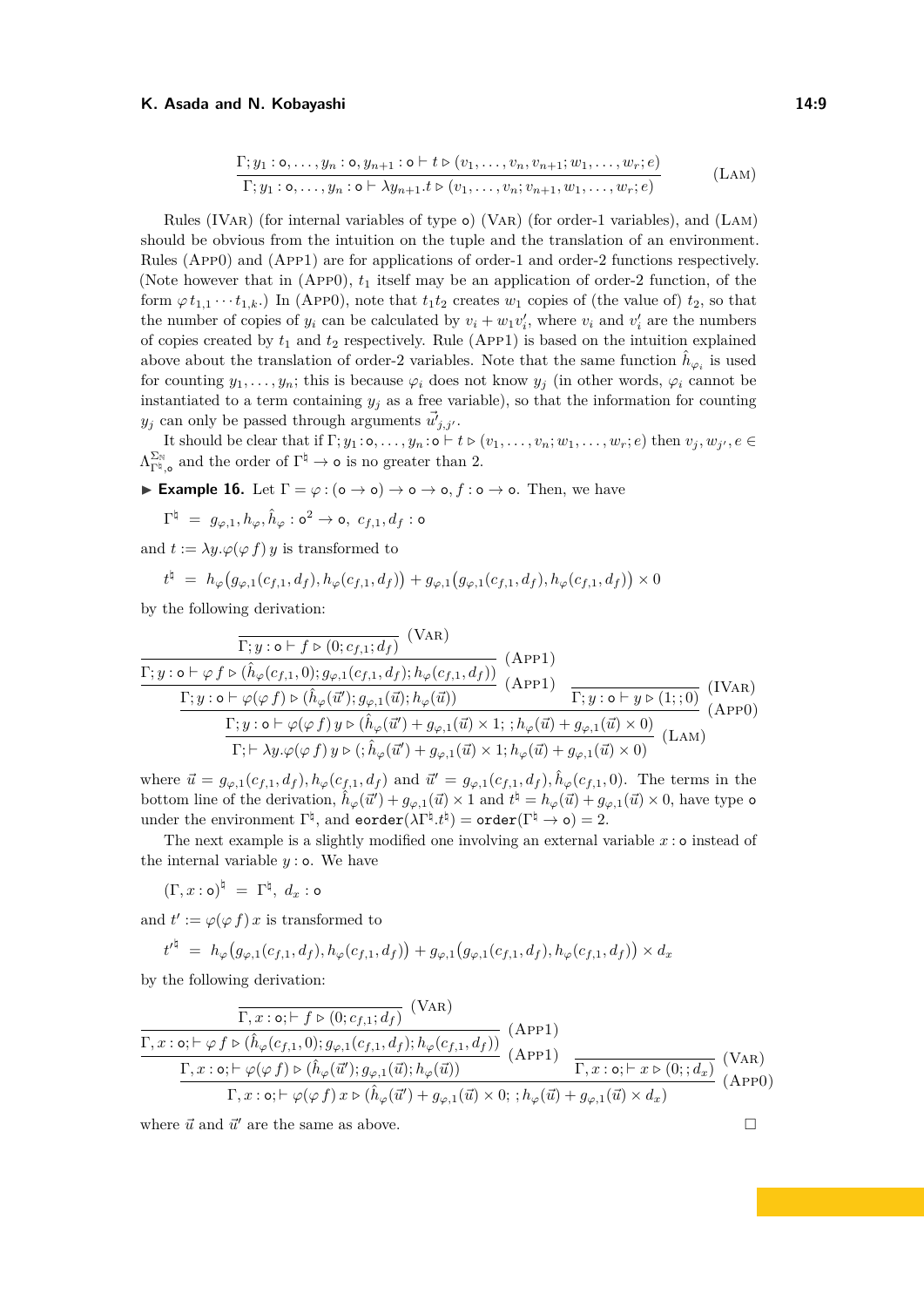$$
\frac{\Gamma; y_1: \mathsf{o}, \ldots, y_n: \mathsf{o}, y_{n+1}: \mathsf{o} \vdash t \triangleright (v_1, \ldots, v_n, v_{n+1}; w_1, \ldots, w_r; e)}{\Gamma; y_1: \mathsf{o}, \ldots, y_n: \mathsf{o} \vdash \lambda y_{n+1}.t \triangleright (v_1, \ldots, v_n; v_{n+1}, w_1, \ldots, w_r; e)} \tag{LAM}
$$

Rules (IVar) (for internal variables of type o) (Var) (for order-1 variables), and (Lam) should be obvious from the intuition on the tuple and the translation of an environment. Rules (App0) and (App1) are for applications of order-1 and order-2 functions respectively. (Note however that in  $(APP0)$ ,  $t_1$  itself may be an application of order-2 function, of the form  $\varphi t_{1,1} \cdots t_{1,k}$ .) In (App0), note that  $t_1 t_2$  creates  $w_1$  copies of (the value of)  $t_2$ , so that the number of copies of  $y_i$  can be calculated by  $v_i + w_1 v'_i$ , where  $v_i$  and  $v'_i$  are the numbers of copies created by *t*<sup>1</sup> and *t*<sup>2</sup> respectively. Rule (App1) is based on the intuition explained above about the translation of order-2 variables. Note that the same function  $\hat{h}_{\varphi_i}$  is used for counting  $y_1, \ldots, y_n$ ; this is because  $\varphi_i$  does not know  $y_j$  (in other words,  $\varphi_i$  cannot be instantiated to a term containing  $y_j$  as a free variable), so that the information for counting  $y_j$  can only be passed through arguments  $\vec{u'}_{j,j'}$ .

It should be clear that if  $\Gamma; y_1: \circ, \ldots, y_n: \circ \vdash t \triangleright (v_1, \ldots, v_n; w_1, \ldots, w_r; e)$  then  $v_j, w_{j'}, e \in$  $\Lambda_{\Gamma^{\natural},\mathsf{o}}^{\Sigma_{\mathbb{N}}}$  and the order of  $\Gamma^{\natural} \to \mathsf{o}$  is no greater than 2.

**Example 16.** Let  $\Gamma = \varphi : (\mathsf{o} \to \mathsf{o}) \to \mathsf{o} \to \mathsf{o}, f : \mathsf{o} \to \mathsf{o}$ . Then, we have

$$
\Gamma^{\natural} = g_{\varphi,1}, h_{\varphi}, \hat{h}_{\varphi} : \mathsf{o}^2 \to \mathsf{o}, \ c_{f,1}, d_f : \mathsf{o}
$$

and  $t := \lambda y.\varphi(\varphi f) y$  is transformed to

$$
t^{\natural} \ = \ h_{\varphi}\big(g_{\varphi,1}(c_{f,1},d_f), h_{\varphi}(c_{f,1},d_f)\big) + g_{\varphi,1}\big(g_{\varphi,1}(c_{f,1},d_f), h_{\varphi}(c_{f,1},d_f)\big) \times 0
$$

 $\lambda = -$ 

by the following derivation:

$$
\frac{\Gamma; y: \mathbf{o} \vdash f \triangleright (0; c_{f,1}; d_f)}{\Gamma; y: \mathbf{o} \vdash \varphi f \triangleright (\hat{h}_{\varphi}(c_{f,1}, 0); g_{\varphi,1}(c_{f,1}, d_f); h_{\varphi}(c_{f,1}, d_f))} \frac{\Gamma; y: \mathbf{o} \vdash \varphi f \triangleright (\hat{h}_{\varphi}(c_{f,1}, 0); g_{\varphi,1}(c_{f,1}, d_f); h_{\varphi}(c_{f,1}, d_f))}{\Gamma; y: \mathbf{o} \vdash \varphi(\varphi f) \triangleright (\hat{h}_{\varphi}(\vec{u}'); g_{\varphi,1}(\vec{u}); h_{\varphi}(\vec{u}))} \frac{\Gamma; y: \mathbf{o} \vdash y \triangleright (1;; 0)}{\Gamma; y: \mathbf{o} \vdash y \triangleright (1;; 0)} \frac{\Gamma; y: \mathbf{o} \vdash \varphi(\varphi f) \triangleright (\hat{h}_{\varphi}(\vec{u}') + g_{\varphi,1}(\vec{u}) \times 1; h_{\varphi}(\vec{u}) + g_{\varphi,1}(\vec{u}) \times 0)}{\Gamma; \vdash \lambda y \cdot \varphi(\varphi f) y \triangleright (; \hat{h}_{\varphi}(\vec{u}') + g_{\varphi,1}(\vec{u}) \times 1; h_{\varphi}(\vec{u}) + g_{\varphi,1}(\vec{u}) \times 0)} \frac{\Gamma; y: \mathbf{o} \vdash \varphi(\vec{h}_{\varphi}(\vec{u}') + g_{\varphi,1}(\vec{u}) \times 1; h_{\varphi}(\vec{u}') + g_{\varphi,1}(\vec{u}) \times 0)}{\Gamma; \vdash \lambda y \cdot \varphi(\varphi f) y \triangleright (; \hat{h}_{\varphi}(\vec{u}') + g_{\varphi,1}(\vec{u}) \times 1; h_{\varphi}(\vec{u}) + g_{\varphi,1}(\vec{u}) \times 0)} \frac{\Gamma; y: \mathbf{o} \vdash \varphi(\vec{h}_{\varphi}(\vec{u}'))}{\Gamma; \vdash \varphi(\vec{h}_{\varphi}(\vec{h}) \vdash y: \varphi(\vec{h}_{\varphi}(\vec{u}'))} \frac{\Gamma; y: \mathbf{o} \vdash \varphi(\vec{h}_{\varphi}(\vec{h}_{\varphi
$$

where  $\vec{u} = g_{\varphi,1}(c_{f,1}, d_f), h_{\varphi}(c_{f,1}, d_f)$  and  $\vec{u}' = g_{\varphi,1}(c_{f,1}, d_f), \hat{h}_{\varphi}(c_{f,1}, 0)$ . The terms in the bottom line of the derivation,  $\hat{h}_{\varphi}(\vec{u}') + g_{\varphi,1}(\vec{u}) \times 1$  and  $t^{\natural} = h_{\varphi}(\vec{u}) + g_{\varphi,1}(\vec{u}) \times 0$ , have type o under the environment  $\Gamma^{\natural}$ , and  $\texttt{eorder}(\lambda \Gamma^{\natural}. t^{\natural}) = \texttt{order}(\Gamma^{\natural} \to \texttt{o}) = 2.$ 

The next example is a slightly modified one involving an external variable  $x : o$  instead of the internal variable  $y : o$ . We have

$$
(\Gamma, x : \mathsf{o})^{\natural} = \Gamma^{\natural}, \, d_x : \mathsf{o}
$$

and  $t' := \varphi(\varphi f) x$  is transformed to

$$
t'^{\natural} = h_{\varphi}(g_{\varphi,1}(c_{f,1},d_f), h_{\varphi}(c_{f,1},d_f)) + g_{\varphi,1}(g_{\varphi,1}(c_{f,1},d_f), h_{\varphi}(c_{f,1},d_f)) \times d_x
$$

by the following derivation:

$$
\frac{\Gamma, x: \mathbf{o}; \vdash f \triangleright (0; c_{f,1}; d_f)}{\Gamma, x: \mathbf{o}; \vdash \varphi f \triangleright (\hat{h}_{\varphi}(c_{f,1}, 0); g_{\varphi,1}(c_{f,1}, d_f); h_{\varphi}(c_{f,1}, d_f))} \frac{\Gamma, x: \mathbf{o}; \vdash \varphi f \triangleright (\hat{h}_{\varphi}(c_{f,1}, 0); g_{\varphi,1}(c_{f,1}, d_f); h_{\varphi}(c_{f,1}, d_f))}{\Gamma, x: \mathbf{o}; \vdash \varphi(\varphi f) \triangleright (\hat{h}_{\varphi}(\vec{u}'); g_{\varphi,1}(\vec{u}); h_{\varphi}(\vec{u}))} \frac{\Gamma, x: \mathbf{o}; \vdash x \triangleright (0; ; d_x)}{\Gamma, x: \mathbf{o}; \vdash x \triangleright (0; ; d_x)} \frac{\Gamma, x: \mathbf{o}; \vdash \varphi(\varphi f) \triangleright (\hat{h}_{\varphi}(\vec{u}') + g_{\varphi,1}(\vec{u}) \triangleright 0; ; h_{\varphi}(\vec{u}) + g_{\varphi,1}(\vec{u}) \times d_x)}{\Gamma, x: \mathbf{o}; \vdash \varphi(\varphi f) x \triangleright (\hat{h}_{\varphi}(\vec{u}') + g_{\varphi,1}(\vec{u}) \times 0; ; h_{\varphi}(\vec{u}) + g_{\varphi,1}(\vec{u}) \times d_x)} \frac{\Gamma, x: \mathbf{o}; \vdash x \triangleright (0; d_x)}{\Gamma, x: \mathbf{o}; \vdash x: \vdash \varphi(\varphi f) x: \varphi(\varphi f) x: \varphi(\varphi f) \in \hat{h}_{\varphi}(\vec{u}') \perp \varphi(\vec{u}') \perp \varphi(\vec{u}') \perp \varphi(\vec{u}') \perp \varphi(\vec{u}') \perp \varphi(\vec{u}') \perp \varphi(\vec{u}') \perp \varphi(\vec{u}') \perp \varphi(\vec{u}') \perp \varphi(\vec{u}') \perp \varphi(\vec{u}') \perp \varphi(\vec{u}') \perp \varphi(\vec{u}') \perp \varphi(\vec{u}') \perp \varphi(\vec{u}') \perp \varphi(\vec{u}') \perp \varphi(\vec{u}') \perp \varphi(\vec{u}') \perp \varphi(\
$$

where  $\vec{u}$  and  $\vec{u}'$  are the same as above.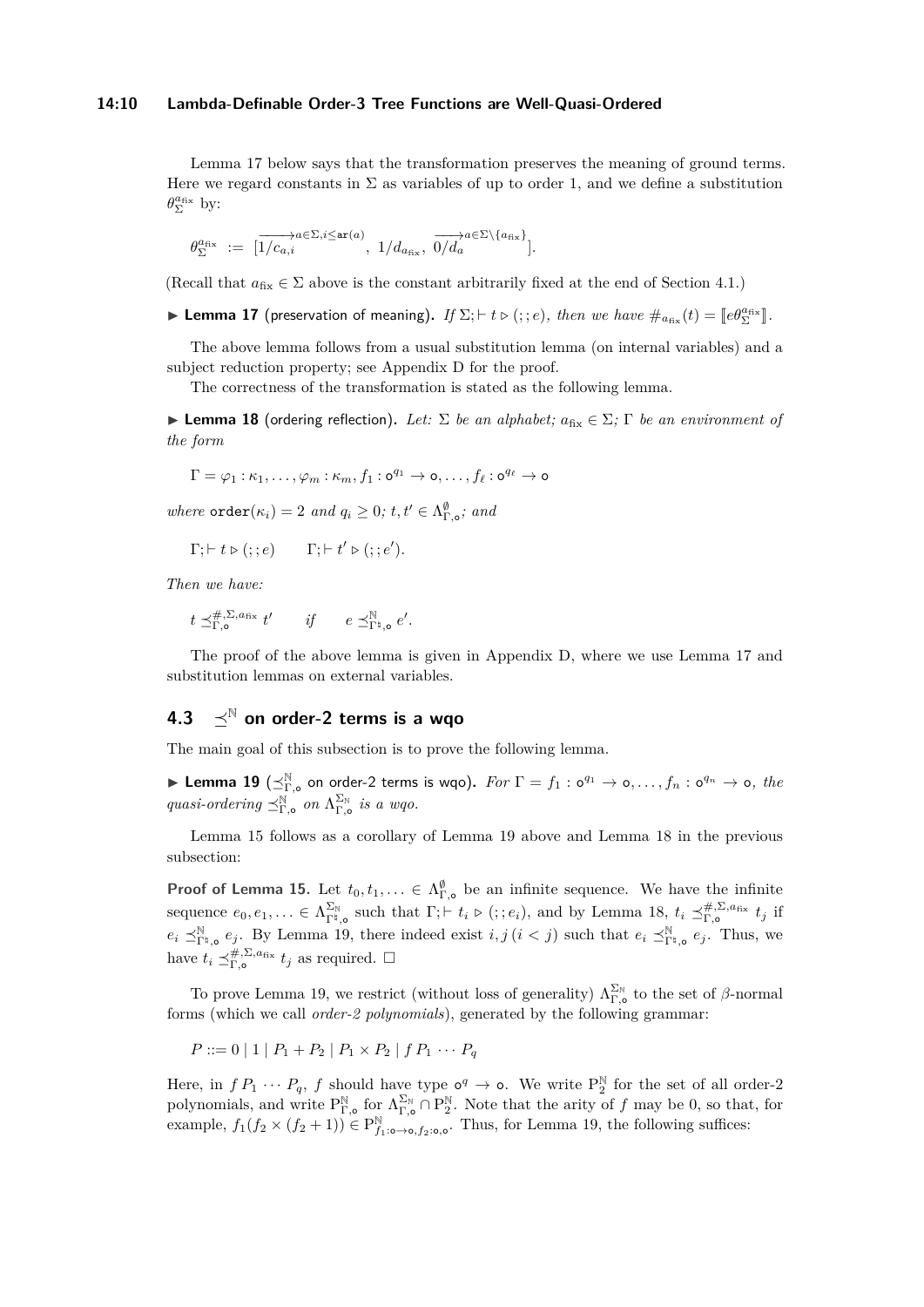#### **14:10 Lambda-Definable Order-3 Tree Functions are Well-Quasi-Ordered**

Lemma [17](#page-9-2) below says that the transformation preserves the meaning of ground terms. Here we regard constants in  $\Sigma$  as variables of up to order 1, and we define a substitution  $\theta_{\Sigma}^{a_{fix}}$  by:

$$
\theta_{\Sigma}^{a_{\text{fix}}}\ :=\ [\overrightarrow{1/c_{a,i}}^{a\in\Sigma,i\leq \text{ar}(a)},\ 1/d_{a_{\text{fix}}},\ \overrightarrow{0/d_a}^{a\in\Sigma\backslash\{a_{\text{fix}}\}}].
$$

(Recall that  $a_{fix} \in \Sigma$  above is the constant arbitrarily fixed at the end of Section [4.1.](#page-5-3))

<span id="page-9-2"></span>**Lemma 17** (preservation of meaning). *If*  $\Sigma; \vdash t \triangleright (; ; e)$ , *then we have*  $\#_{a_{fix}}(t) = [\![e\theta_{\Sigma}^{a_{fix}}]\!]$ .

The above lemma follows from a usual substitution lemma (on internal variables) and a subject reduction property; see Appendix [D](#page-21-1) for the proof.

The correctness of the transformation is stated as the following lemma.

<span id="page-9-0"></span> $▶$  **Lemma 18** (ordering reflection). Let:  $Σ$  *be an alphabet;*  $a_{fix} ∈ Σ$ ;  $Γ$  *be an environment of the form*

$$
\Gamma = \varphi_1 : \kappa_1, \ldots, \varphi_m : \kappa_m, f_1 : \mathsf{o}^{q_1} \to \mathsf{o}, \ldots, f_\ell : \mathsf{o}^{q_\ell} \to \mathsf{o}
$$

*where*  $\text{order}(\kappa_i) = 2$  *and*  $q_i \geq 0$ ;  $t, t' \in \Lambda_{\Gamma, \circ}^{\emptyset}$ ; *and* 

$$
\Gamma; \vdash t \triangleright (; : e) \qquad \Gamma; \vdash t' \triangleright (; : e').
$$

*Then we have:*

$$
t \preceq^{\#,\Sigma,a_{\text{fix}}}_{\Gamma,\mathsf{o}} t' \qquad \text{if} \qquad e \preceq^{\mathbb{N}}_{\Gamma^{\natural},\mathsf{o}} e'.
$$

The proof of the above lemma is given in Appendix [D,](#page-21-1) where we use Lemma [17](#page-9-2) and substitution lemmas on external variables.

### <span id="page-9-3"></span>**4.3**  $\prec^{\mathbb{N}}$  on order-2 terms is a wgo

The main goal of this subsection is to prove the following lemma.

<span id="page-9-1"></span>**Lemma 19** ( $\preceq^{\mathbb{N}}_{\Gamma,\circ}$  on order-2 terms is wqo). For  $\Gamma = f_1 : \circ^{q_1} \to \circ, \ldots, f_n : \circ^{q_n} \to \circ, \text{ the }$  $quasi-ordering \preceq^{\mathbb{N}}_{\Gamma,\circ}$  on  $\Lambda_{\Gamma,\circ}^{\Sigma_{\mathbb{N}}}$  is a wqo.

Lemma [15](#page-5-2) follows as a corollary of Lemma [19](#page-9-1) above and Lemma [18](#page-9-0) in the previous subsection:

**Proof of Lemma [15.](#page-5-2)** Let  $t_0, t_1, \ldots \in \Lambda^{\emptyset}_{\Gamma, \emptyset}$  be an infinite sequence. We have the infinite sequence  $e_0, e_1, \ldots \in \Lambda_{\Gamma^{\natural},\mathbf{o}}^{\Sigma_{\mathbb{N}}}$  such that  $\Gamma; \vdash t_i \triangleright (;;e_i)$ , and by Lemma [18,](#page-9-0)  $t_i \preceq_{\Gamma,\mathbf{o}}^{\#,\Sigma,a_{\text{fix}}} t_j$  if  $e_i \preceq_{\Gamma^{\natural},\mathsf{o}}^{\mathbb{N}} e_j$ . By Lemma [19,](#page-9-1) there indeed exist  $i, j$  ( $i < j$ ) such that  $e_i \preceq_{\Gamma^{\natural},\mathsf{o}}^{\mathbb{N}} e_j$ . Thus, we have  $t_i \preceq^{\#,\Sigma,a_{\text{fix}}}_{\Gamma,\mathsf{o}} t_j$  as required.  $\Box$ 

To prove Lemma [19,](#page-9-1) we restrict (without loss of generality)  $\Lambda_{\Gamma,\circ}^{\Sigma_{\mathbb{N}}}$  to the set of *β*-normal forms (which we call *order-2 polynomials*), generated by the following grammar:

$$
P ::= 0 | 1 | P_1 + P_2 | P_1 \times P_2 | f P_1 \cdots P_q
$$

Here, in  $f P_1 \cdots P_q$ ,  $f$  should have type  $\circ^q \to \circ$ . We write  $P_2^{\mathbb{N}}$  for the set of all order-2 polynomials, and write  $P_{\Gamma,\bullet}^{\mathbb{N}}$  for  $\Lambda_{\Gamma,\bullet}^{\Sigma_{\mathbb{N}}} \cap P_2^{\mathbb{N}}$ . Note that the arity of *f* may be 0, so that, for example,  $f_1(f_2 \times (f_2 + 1)) \in P^{\mathbb{N}}_{f_1:\mathfrak{O} \to \mathfrak{O}, f_2:\mathfrak{O}, \mathfrak{O}}$ . Thus, for Lemma [19,](#page-9-1) the following suffices: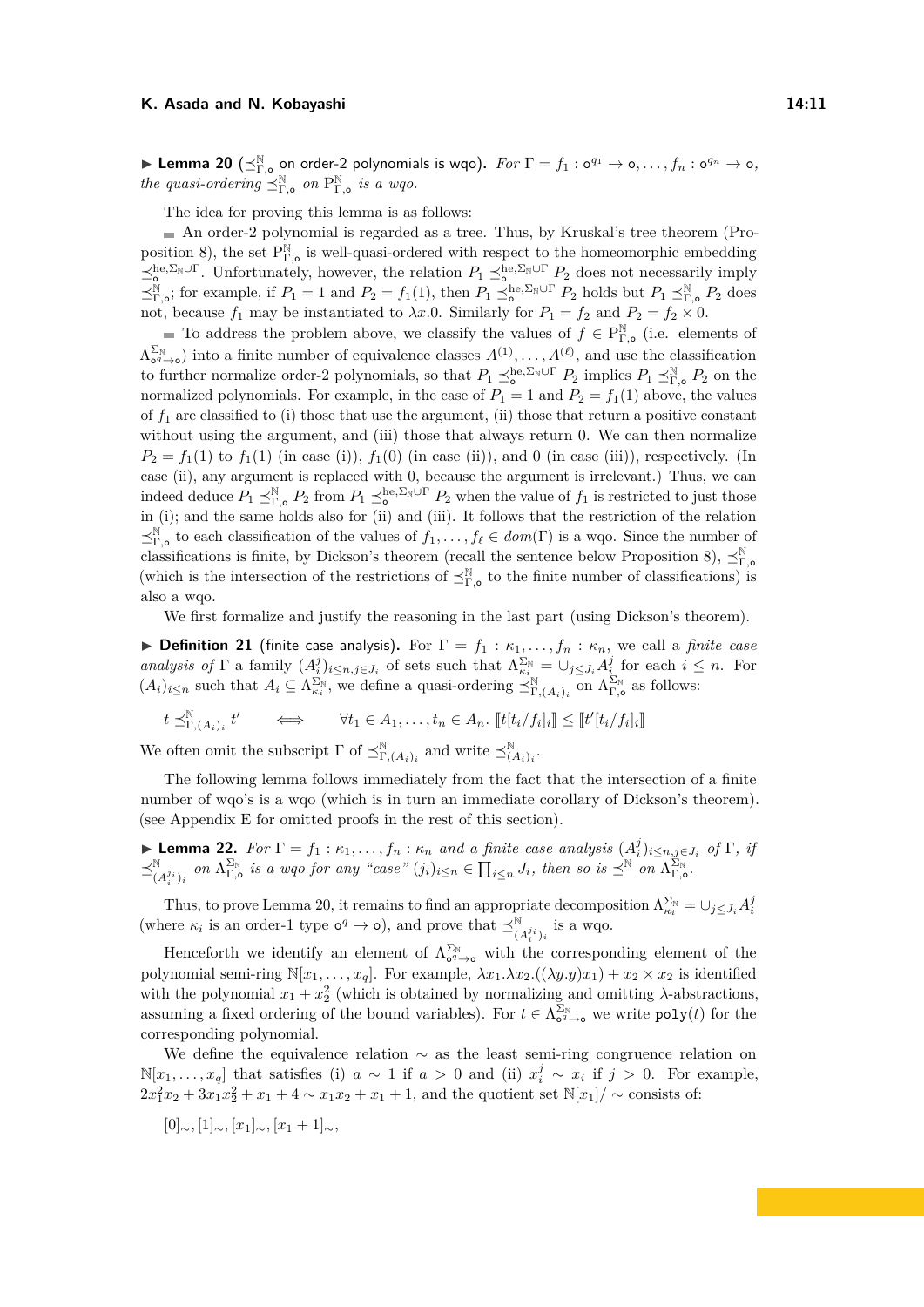<span id="page-10-0"></span>**Lemma 20** ( $\preceq^{\mathbb{N}}_{\Gamma, \circ}$  on order-2 polynomials is wqo).  $For \Gamma = f_1: \circ^{q_1} \to \circ, \ldots, f_n: \circ^{q_n} \to \circ,$ *the quasi-ordering*  $\preceq^{\mathbb{N}}_{\Gamma,\circ}$  *on*  $P^{\mathbb{N}}_{\Gamma,\circ}$  *is a wqo.* 

The idea for proving this lemma is as follows:

An order-2 polynomial is regarded as a tree. Thus, by Kruskal's tree theorem (Pro-position [8\)](#page-4-3), the set  $P^{\mathbb{N}}_{\Gamma,\circ}$  is well-quasi-ordered with respect to the homeomorphic embedding  $\leq_{\circ}^{\text{he},\Sigma_{\mathbb{N}}\cup\Gamma}$ . Unfortunately, however, the relation  $P_1 \leq_{\circ}^{\text{he},\Sigma_{\mathbb{N}}\cup\Gamma} P_2$  does not necessarily imply  $\preceq_{\Gamma,\circ}^{\mathbb{N}}$ ; for example, if  $P_1 = 1$  and  $P_2 = f_1(1)$ , then  $P_1 \preceq_{\circ}^{\mathbb{N}} P_2$  holds but  $P_1 \preceq_{\Gamma,\circ}^{\mathbb{N}} P_2$  does not, because  $f_1$  may be instantiated to  $\lambda x.0$ . Similarly for  $P_1 = f_2$  and  $P_2 = f_2 \times 0$ .

To address the problem above, we classify the values of  $f \in P^{\mathbb{N}}_{\Gamma, \circ}$  (i.e. elements of  $\Lambda_{\mathbf{0}^q\to\mathbf{0}}^{\Sigma_{\mathbb{N}}}$  into a finite number of equivalence classes  $A^{(1)},\ldots,A^{(\ell)}$ , and use the classification to further normalize order-2 polynomials, so that  $P_1 \preceq_o^{\text{he}, \Sigma_{\text{N}} \cup \Gamma} P_2$  implies  $P_1 \preceq_{\Gamma,o}^{\mathbb{N}} P_2$  on the normalized polynomials. For example, in the case of  $P_1 = 1$  and  $P_2 = f_1(1)$  above, the values of *f*<sup>1</sup> are classified to (i) those that use the argument, (ii) those that return a positive constant without using the argument, and (iii) those that always return 0. We can then normalize  $P_2 = f_1(1)$  to  $f_1(1)$  (in case (i)),  $f_1(0)$  (in case (ii)), and 0 (in case (iii)), respectively. (In case (ii), any argument is replaced with 0, because the argument is irrelevant.) Thus, we can indeed deduce  $P_1 \preceq_{\Gamma, \mathsf{o}}^{\mathbb{N}} P_2$  from  $P_1 \preceq_{\mathsf{o}}^{\mathsf{he}, \Sigma_{\mathbb{N}} \cup \Gamma} P_2$  when the value of  $f_1$  is restricted to just those in (i); and the same holds also for (ii) and (iii). It follows that the restriction of the relation  $\preceq^{\mathbb{N}}_{\Gamma,\circ}$  to each classification of the values of  $f_1,\ldots,f_\ell\in dom(\Gamma)$  is a wqo. Since the number of classifications is finite, by Dickson's theorem (recall the sentence below Proposition [8\)](#page-4-3),  $\preceq^{\mathbb{N}}_{\Gamma,\sigma}$ (which is the intersection of the restrictions of  $\preceq^{\mathbb{N}}_{\Gamma,\circ}$  to the finite number of classifications) is also a wqo.

We first formalize and justify the reasoning in the last part (using Dickson's theorem).

**Definition 21** (finite case analysis). For  $\Gamma = f_1 : \kappa_1, \ldots, f_n : \kappa_n$ , we call a *finite case analysis of*  $\Gamma$  a family  $(A_i^j)_{i \leq n, j \in J_i}$  of sets such that  $\Lambda_{\kappa_i}^{\Sigma_{\mathbb{N}}} = \bigcup_{j \leq J_i} A_i^j$  for each  $i \leq n$ . For  $(A_i)_{i\leq n}$  such that  $A_i \subseteq \Lambda_{\kappa_i}^{\Sigma_{\mathbb{N}}}$ , we define a quasi-ordering  $\preceq_{\Gamma,(A_i)_i}^{\mathbb{N}}$  on  $\Lambda_{\Gamma,\mathsf{o}}^{\Sigma_{\mathbb{N}}}$  as follows:

$$
t \preceq^{\mathbb{N}}_{\Gamma,(A_i)_i} t' \qquad \Longleftrightarrow \qquad \forall t_1 \in A_1, \ldots, t_n \in A_n. \; [t[t_i/f_i]_i] \leq [t'[t_i/f_i]_i]
$$

We often omit the subscript  $\Gamma$  of  $\preceq^{\mathbb{N}}_{\Gamma,(A_i)_i}$  and write  $\preceq^{\mathbb{N}}_{(A_i)_i}$ .

The following lemma follows immediately from the fact that the intersection of a finite number of wqo's is a wqo (which is in turn an immediate corollary of Dickson's theorem). (see Appendix [E](#page-31-0) for omitted proofs in the rest of this section).

<span id="page-10-1"></span>**Example 12.** For  $\Gamma = f_1 : \kappa_1, \ldots, f_n : \kappa_n$  and a finite case analysis  $(A_i^j)_{i \leq n, j \in J_i}$  of  $\Gamma$ , if  $\preceq^{\mathbb{N}}_{(A_i^{j_i})_i}$  on  $\Lambda_{\Gamma,o}^{\Sigma_{\mathbb{N}}}$  is a wqo for any "case"  $(j_i)_{i \leq n} \in \prod_{i \leq n} J_i$ , then so is  $\preceq^{\mathbb{N}}$  on  $\Lambda_{\Gamma,o}^{\Sigma_{\mathbb{N}}}$ .

Thus, to prove Lemma [20,](#page-10-0) it remains to find an appropriate decomposition  $\Lambda_{\kappa_i}^{\Sigma_N} = \cup_{j \leq J_i} A_i^j$ (where  $\kappa_i$  is an order-1 type  $o^q \to o$ ), and prove that  $\preceq^{\mathbb{N}}_{(A_i^{j_i})_i}$  is a wqo.

Henceforth we identify an element of  $\Lambda_{\sigma q \to o}^{\Sigma_N}$  with the corresponding element of the polynomial semi-ring  $\mathbb{N}[x_1,\ldots,x_q]$ . For example,  $\lambda x_1.\lambda x_2.((\lambda y.y)x_1) + x_2 \times x_2$  is identified with the polynomial  $x_1 + x_2^2$  (which is obtained by normalizing and omitting  $\lambda$ -abstractions, assuming a fixed ordering of the bound variables). For  $t \in \Lambda_{\sigma^q \to \sigma}^{\Sigma_N}$  we write  $\text{poly}(t)$  for the corresponding polynomial.

We define the equivalence relation  $\sim$  as the least semi-ring congruence relation on  $\mathbb{N}[x_1, \ldots, x_q]$  that satisfies (i) *a* ∼ 1 if *a* > 0 and (ii)  $x_i^j$  ∼  $x_i$  if *j* > 0. For example,  $2x_1^2x_2 + 3x_1x_2^2 + x_1 + 4 \sim x_1x_2 + x_1 + 1$ , and the quotient set  $\mathbb{N}[x_1]/\sim$  consists of:

$$
[0]_{\sim}, [1]_{\sim}, [x_1]_{\sim}, [x_1 + 1]_{\sim},
$$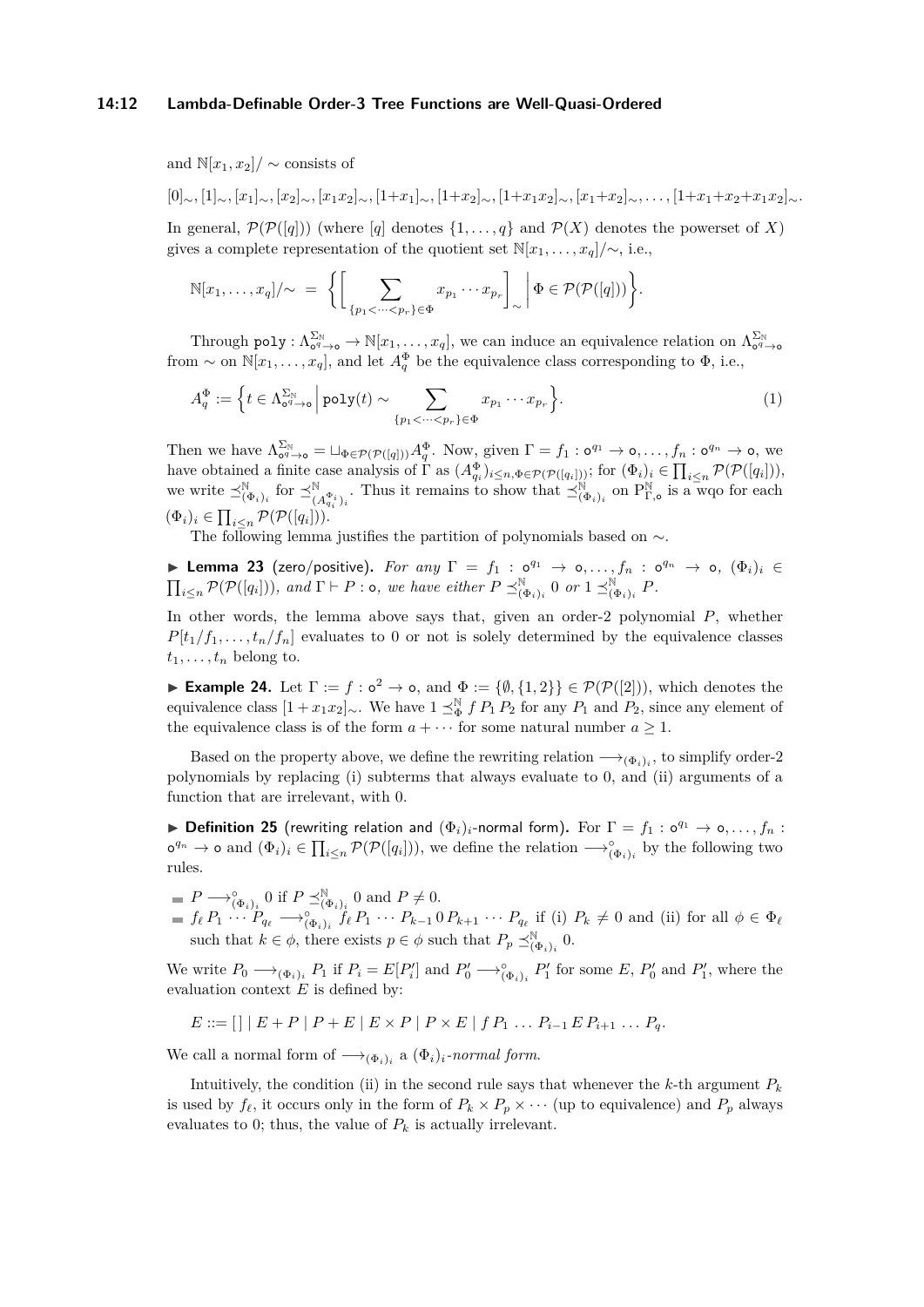#### **14:12 Lambda-Definable Order-3 Tree Functions are Well-Quasi-Ordered**

and  $\mathbb{N}[x_1, x_2]/\sim$  consists of

$$
[0]_{\sim}, [1]_{\sim}, [x_1]_{\sim}, [x_2]_{\sim}, [x_1x_2]_{\sim}, [1+x_1]_{\sim}, [1+x_2]_{\sim}, [1+x_1x_2]_{\sim}, [x_1+x_2]_{\sim}, \ldots, [1+x_1+x_2+x_1x_2]_{\sim}.
$$

In general,  $\mathcal{P}(\mathcal{P}([q]))$  (where [*q*] denotes  $\{1, \ldots, q\}$  and  $\mathcal{P}(X)$  denotes the powerset of *X*) gives a complete representation of the quotient set  $\mathbb{N}[x_1, \ldots, x_q]/\sim$ , i.e.,

$$
\mathbb{N}[x_1,\ldots,x_q]/\sim = \Big\{\bigg[\sum_{\{p_1 < \cdots < p_r\} \in \Phi} x_{p_1} \cdots x_{p_r}\bigg]_{\sim} \bigg|\Phi \in \mathcal{P}(\mathcal{P}([q]))\Big\}.
$$

Through poly :  $\Lambda_{\sigma^q \to \mathfrak{O}}^{\Sigma_{\mathbb{N}}} \to \mathbb{N}[x_1,\ldots,x_q]$ , we can induce an equivalence relation on  $\Lambda_{\sigma^q \to \mathfrak{O}}^{\Sigma_{\mathbb{N}}}$ from  $\sim$  on  $\mathbb{N}[x_1,\ldots,x_q]$ , and let  $A_q^{\Phi}$  be the equivalence class corresponding to  $\Phi$ , i.e.,

<span id="page-11-2"></span>
$$
A_q^{\Phi} := \left\{ t \in \Lambda_{\mathbf{0}^q \to \mathbf{0}}^{\Sigma_{\mathbb{N}}} \, \middle| \, \mathrm{poly}(t) \sim \sum_{\{p_1 < \dots < p_r\} \in \Phi} x_{p_1} \cdots x_{p_r} \right\}.
$$
\n<sup>(1)</sup>

Then we have  $\Lambda_{\mathbf{0}^q \to \mathbf{0}}^{\Sigma_{\mathbb{N}}} = \sqcup_{\Phi \in \mathcal{P}(\mathcal{P}([q]))} A_q^{\Phi}$ . Now, given  $\Gamma = f_1 : \mathbf{0}^{q_1} \to \mathbf{0}, \ldots, f_n : \mathbf{0}^{q_n} \to \mathbf{0}$ , we have obtained a finite case analysis of  $\Gamma$  as  $(A_{q_i}^{\Phi})_{i \leq n, \Phi \in \mathcal{P}(\mathcal{P}([q_i]))}$ ; for  $(\Phi_i)_i \in \prod_{i \leq n} \mathcal{P}(\mathcal{P}([q_i]))$ , we write  $\preceq^{\mathbb{N}}_{(\Phi_i)_i}$  for  $\preceq^{\mathbb{N}}_{(A_{q_i}^{\Phi_i})_i}$ . Thus it remains to show that  $\preceq^{\mathbb{N}}_{(\Phi_i)_i}$  on  $P^{\mathbb{N}}_{\Gamma,o}$  is a wqo for each  $(\Phi_i)_i \in \prod_{i \leq n} \mathcal{P}(\mathcal{P}([q_i])).$ 

The following lemma justifies the partition of polynomials based on ∼.

<span id="page-11-1"></span>**Example 23** (zero/positive). For any  $\Gamma = f_1 : o^{q_1} \to o, ..., f_n : o^{q_n} \to o, (\Phi_i)_i \in$  $\prod_{i\leq n}$   $\mathcal{P}(\mathcal{P}([q_i]))$ *, and*  $\Gamma \vdash P : \circ$ *, we have either*  $P \preceq^{\mathbb{N}}_{(\Phi_i)_i} 0$  or  $1 \preceq^{\mathbb{N}}_{(\Phi_i)_i} P$ .

In other words, the lemma above says that, given an order-2 polynomial *P*, whether  $P[t_1/f_1, \ldots, t_n/f_n]$  evaluates to 0 or not is solely determined by the equivalence classes  $t_1, \ldots, t_n$  belong to.

<span id="page-11-0"></span>**Example 24.** Let  $\Gamma := f : o^2 \to o$ , and  $\Phi := {\emptyset, {1, 2}} \in \mathcal{P}(\mathcal{P}([2]))$ , which denotes the equivalence class  $[1 + x_1x_2]$ ∼. We have  $1 \leq^{\mathbb{N}}_{\Phi} f P_1 P_2$  for any  $P_1$  and  $P_2$ , since any element of the equivalence class is of the form  $a + \cdots$  for some natural number  $a \geq 1$ .

Based on the property above, we define the rewriting relation  $\longrightarrow_{(\Phi_i)_i}$ , to simplify order-2 polynomials by replacing (i) subterms that always evaluate to 0, and (ii) arguments of a function that are irrelevant, with 0.

<span id="page-11-3"></span>**Definition 25** (rewriting relation and  $(\Phi_i)_i$ -normal form). For  $\Gamma = f_1 : o^{q_1} \to o, \ldots, f_n$ :  $\sigma^{q_n} \to \infty$  and  $(\Phi_i)_i \in \prod_{i \leq n} \mathcal{P}(\mathcal{P}([q_i]))$ , we define the relation  $\longrightarrow_{(\Phi_i)_i}^{\circ}$  by the following two rules.

- $P \longrightarrow_{(\Phi_i)_i}^{\circ} 0$  if  $P \preceq_{(\Phi_i)_i}^{\mathbb{N}} 0$  and  $P \neq 0$ .
- $f_{\ell} P_1 \cdots P_{q_{\ell}} \longrightarrow_{(\Phi_i)_i}^{\circ} f_{\ell} P_1 \cdots P_{k-1} 0 P_{k+1} \cdots P_{q_{\ell}}$  if (i)  $P_k \neq 0$  and (ii) for all  $\phi \in \Phi_{\ell}$ such that  $k \in \phi$ , there exists  $p \in \phi$  such that  $P_p \preceq^{\mathbb{N}}_{(\Phi_i)_i} 0$ .

We write  $P_0 \longrightarrow_{(\Phi_i)_i} P_1$  if  $P_i = E[P'_i]$  and  $P'_0 \longrightarrow_{(\Phi_i)_i}^{\circ} P'_1$  for some  $E, P'_0$  and  $P'_1$ , where the evaluation context *E* is defined by:

$$
E ::= [] | E + P | P + E | E \times P | P \times E | f P_1 ... P_{i-1} E P_{i+1} ... P_q.
$$

We call a normal form of  $\longrightarrow_{(\Phi_i)_i}$  a  $(\Phi_i)_i$ *-normal form.* 

Intuitively, the condition (ii) in the second rule says that whenever the  $k$ -th argument  $P_k$ is used by  $f_\ell$ , it occurs only in the form of  $P_k \times P_p \times \cdots$  (up to equivalence) and  $P_p$  always evaluates to 0; thus, the value of  $P_k$  is actually irrelevant.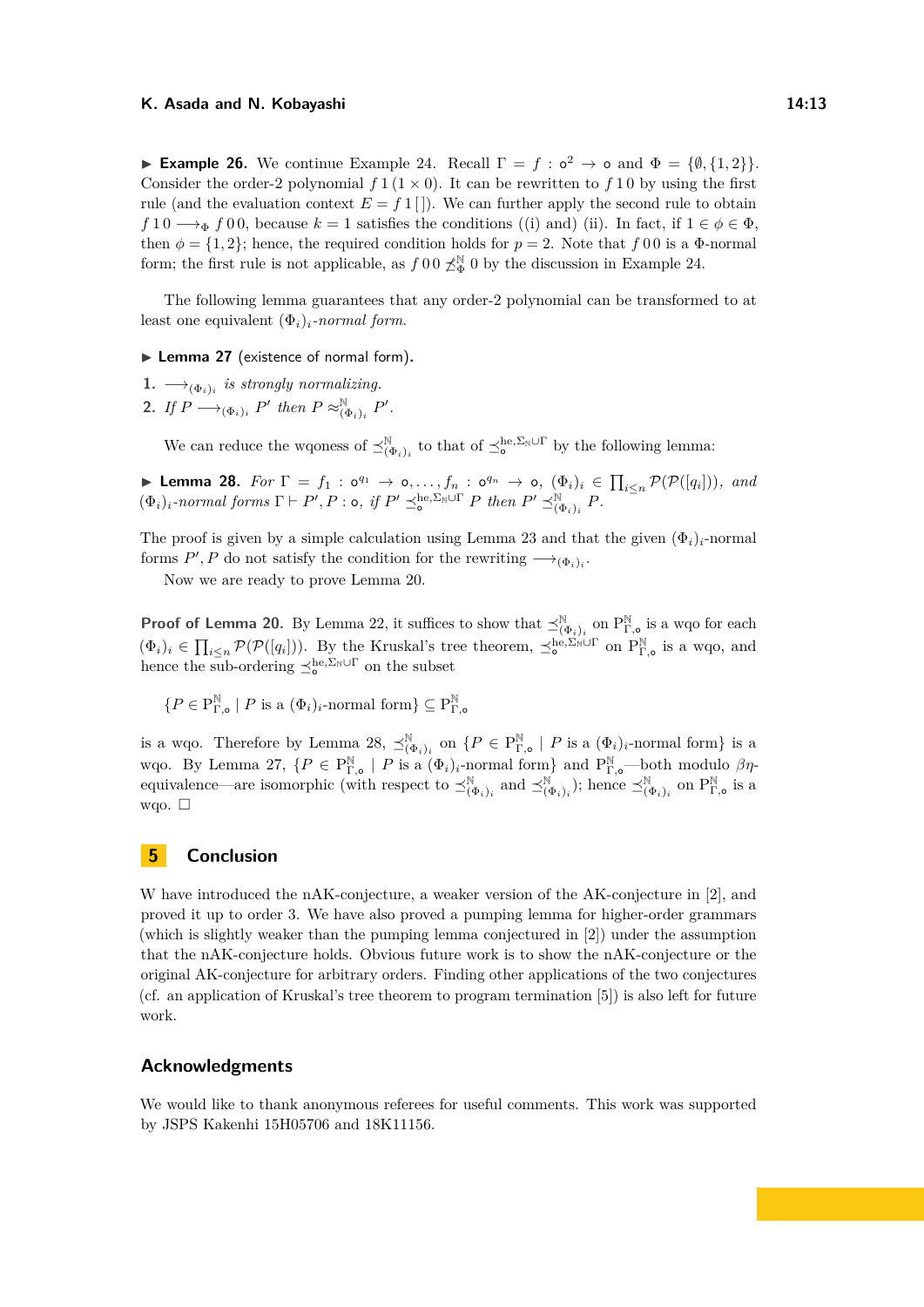**Example 26.** We continue Example [24.](#page-11-0) Recall  $\Gamma = f : o^2 \to o$  and  $\Phi = \{\emptyset, \{1, 2\}\}.$ Consider the order-2 polynomial  $f(1 \times 0)$ . It can be rewritten to f 1 0 by using the first rule (and the evaluation context  $E = f 1$ ]). We can further apply the second rule to obtain  $f \, 1 \, 0 \longrightarrow_{\Phi} f \, 0 \, 0$ , because  $k = 1$  satisfies the conditions ((i) and) (ii). In fact, if  $1 \in \phi \in \Phi$ , then  $\phi = \{1, 2\}$ ; hence, the required condition holds for  $p = 2$ . Note that  $f(0)$  is a  $\Phi$ -normal form; the first rule is not applicable, as  $f \, 0 \, 0 \nless_{\Phi}^{\mathbb{N}} 0$  by the discussion in Example [24.](#page-11-0)

The following lemma guarantees that any order-2 polynomial can be transformed to at least one equivalent  $(\Phi_i)_i$ *-normal form.* 

<span id="page-12-2"></span>▶ Lemma 27 (existence of normal form).

- 1.  $\longrightarrow_{(\Phi_i)_i}$  is strongly normalizing.
- 2. If  $P \longrightarrow_{(\Phi_i)_i} P'$  then  $P \approx_{(\Phi_i)_i}^{\mathbb{N}} P'$ .

We can reduce the wqoness of  $\preceq_{(\Phi_i)_i}^{\mathbb{N}}$  to that of  $\preceq_{\mathbf{o}}^{\mathbf{he},\Sigma_{\mathbb{N}}\cup\Gamma}$  by the following lemma:

<span id="page-12-1"></span>**Example 28.** For  $\Gamma = f_1 : o^{q_1} \to o, \ldots, f_n : o^{q_n} \to o, (\Phi_i)_i \in \prod_{i \leq n} \mathcal{P}(\mathcal{P}([q_i]))$ *, and*  $(\Phi_i)_i$ *-normal forms*  $\Gamma \vdash P', P : o$ , if  $P' \preceq_o^{\text{he}, \Sigma_{\mathbb{N}} \cup \Gamma} P$  then  $P' \preceq_{(\Phi_i)_i}^{\mathbb{N}} P$ .

The proof is given by a simple calculation using Lemma [23](#page-11-1) and that the given  $(\Phi_i)_i$ -normal forms  $P', P$  do not satisfy the condition for the rewriting  $\longrightarrow_{(\Phi_i)_i}$ .

Now we are ready to prove Lemma [20.](#page-10-0)

**Proof of Lemma [20.](#page-10-0)** By Lemma [22,](#page-10-1) it suffices to show that  $\preceq^{\mathbb{N}}_{(\Phi_i)_i}$  on  $P^{\mathbb{N}}_{\Gamma,\bullet}$  is a wqo for each  $(\Phi_i)_i \in \prod_{i \leq n} \mathcal{P}(\mathcal{P}([q_i]))$ . By the Kruskal's tree theorem,  $\preceq^{\text{he}, \Sigma_{\text{N}} \cup \Gamma}_{\text{o}}$  on  $P^{\mathbb{N}}_{\Gamma, \text{o}}$  is a wqo, and hence the sub-ordering  $\preceq_o^{\text{he}, \Sigma_{\mathbb{N}} \cup \Gamma}$  on the subset

 ${P \in \mathrm{P}_\Gamma^\mathbb{N}}$  $_{\Gamma,\circ}^{\mathbb{N}}\mid P$  is a  $(\Phi_i)_i$ -normal form $\}\subseteq P_{\Gamma}^{\mathbb{N}}$ Γ*,*o

is a wqo. Therefore by Lemma [28,](#page-12-1)  $\preceq^{\mathbb{N}}_{(\Phi_i)_i}$  on  $\{P \in \mathcal{P}^{\mathbb{N}}_{\Gamma, \bullet} \mid P$  is a  $(\Phi_i)_i$ -normal form} is a *w*qo. By Lemma [27,](#page-12-2) {*P* ∈ P<sub>Γ,</sub><sup>α</sup> | *P* is a (Φ*i*)<sub>*i*</sub>-normal form} and P<sub>Γ,</sub>α—both modulo βηequivalence—are isomorphic (with respect to  $\preceq^{\mathbb{N}}_{(\Phi_i)_i}$  and  $\preceq^{\mathbb{N}}_{(\Phi_i)_i}$ ); hence  $\preceq^{\mathbb{N}}_{(\Phi_i)_i}$  on  $P^{\mathbb{N}}_{\Gamma,\circ}$  is a wqo.  $\square$ 

### <span id="page-12-0"></span>**5 Conclusion**

W have introduced the nAK-conjecture, a weaker version of the AK-conjecture in [\[2\]](#page-13-1), and proved it up to order 3. We have also proved a pumping lemma for higher-order grammars (which is slightly weaker than the pumping lemma conjectured in [\[2\]](#page-13-1)) under the assumption that the nAK-conjecture holds. Obvious future work is to show the nAK-conjecture or the original AK-conjecture for arbitrary orders. Finding other applications of the two conjectures (cf. an application of Kruskal's tree theorem to program termination [\[5\]](#page-13-12)) is also left for future work.

### **Acknowledgments**

We would like to thank anonymous referees for useful comments. This work was supported by JSPS Kakenhi 15H05706 and 18K11156.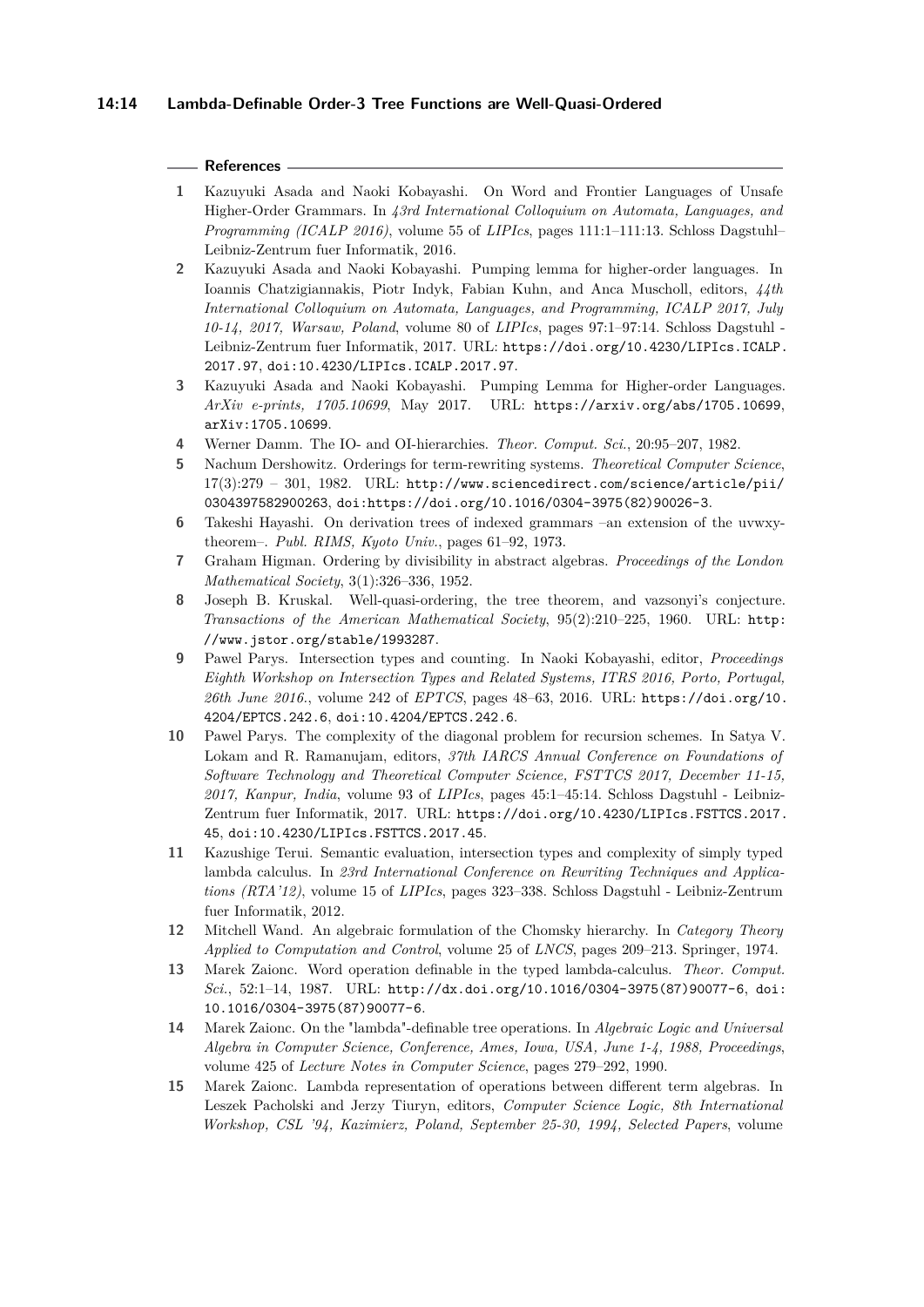### **References**

- <span id="page-13-3"></span>**1** Kazuyuki Asada and Naoki Kobayashi. On Word and Frontier Languages of Unsafe Higher-Order Grammars. In *43rd International Colloquium on Automata, Languages, and Programming (ICALP 2016)*, volume 55 of *LIPIcs*, pages 111:1–111:13. Schloss Dagstuhl– Leibniz-Zentrum fuer Informatik, 2016.
- <span id="page-13-1"></span>**2** Kazuyuki Asada and Naoki Kobayashi. Pumping lemma for higher-order languages. In Ioannis Chatzigiannakis, Piotr Indyk, Fabian Kuhn, and Anca Muscholl, editors, *44th International Colloquium on Automata, Languages, and Programming, ICALP 2017, July 10-14, 2017, Warsaw, Poland*, volume 80 of *LIPIcs*, pages 97:1–97:14. Schloss Dagstuhl - Leibniz-Zentrum fuer Informatik, 2017. URL: [https://doi.org/10.4230/LIPIcs.ICALP.](https://doi.org/10.4230/LIPIcs.ICALP.2017.97) [2017.97](https://doi.org/10.4230/LIPIcs.ICALP.2017.97), [doi:10.4230/LIPIcs.ICALP.2017.97](http://dx.doi.org/10.4230/LIPIcs.ICALP.2017.97).
- <span id="page-13-13"></span>**3** Kazuyuki Asada and Naoki Kobayashi. Pumping Lemma for Higher-order Languages. *ArXiv e-prints, 1705.10699*, May 2017. URL: <https://arxiv.org/abs/1705.10699>, [arXiv:1705.10699](http://arxiv.org/abs/1705.10699).
- <span id="page-13-2"></span>**4** Werner Damm. The IO- and OI-hierarchies. *Theor. Comput. Sci.*, 20:95–207, 1982.
- <span id="page-13-12"></span>**5** Nachum Dershowitz. Orderings for term-rewriting systems. *Theoretical Computer Science*,  $17(3):279 - 301$ ,  $1982$ . URL: [http://www.sciencedirect.com/science/article/pii/](http://www.sciencedirect.com/science/article/pii/0304397582900263) [0304397582900263](http://www.sciencedirect.com/science/article/pii/0304397582900263), [doi:https://doi.org/10.1016/0304-3975\(82\)90026-3](http://dx.doi.org/https://doi.org/10.1016/0304-3975(82)90026-3).
- <span id="page-13-7"></span>**6** Takeshi Hayashi. On derivation trees of indexed grammars –an extension of the uvwxytheorem–. *Publ. RIMS, Kyoto Univ.*, pages 61–92, 1973.
- <span id="page-13-11"></span>**7** Graham Higman. Ordering by divisibility in abstract algebras. *Proceedings of the London Mathematical Society*, 3(1):326–336, 1952.
- <span id="page-13-0"></span>**8** Joseph B. Kruskal. Well-quasi-ordering, the tree theorem, and vazsonyi's conjecture. *Transactions of the American Mathematical Society*, 95(2):210–225, 1960. URL: [http:](http://www.jstor.org/stable/1993287) [//www.jstor.org/stable/1993287](http://www.jstor.org/stable/1993287).
- <span id="page-13-8"></span>**9** Pawel Parys. Intersection types and counting. In Naoki Kobayashi, editor, *Proceedings Eighth Workshop on Intersection Types and Related Systems, ITRS 2016, Porto, Portugal, 26th June 2016.*, volume 242 of *EPTCS*, pages 48–63, 2016. URL: [https://doi.org/10.](https://doi.org/10.4204/EPTCS.242.6) [4204/EPTCS.242.6](https://doi.org/10.4204/EPTCS.242.6), [doi:10.4204/EPTCS.242.6](http://dx.doi.org/10.4204/EPTCS.242.6).
- <span id="page-13-9"></span>**10** Pawel Parys. The complexity of the diagonal problem for recursion schemes. In Satya V. Lokam and R. Ramanujam, editors, *37th IARCS Annual Conference on Foundations of Software Technology and Theoretical Computer Science, FSTTCS 2017, December 11-15, 2017, Kanpur, India*, volume 93 of *LIPIcs*, pages 45:1–45:14. Schloss Dagstuhl - Leibniz-Zentrum fuer Informatik, 2017. URL: [https://doi.org/10.4230/LIPIcs.FSTTCS.2017.](https://doi.org/10.4230/LIPIcs.FSTTCS.2017.45) [45](https://doi.org/10.4230/LIPIcs.FSTTCS.2017.45), [doi:10.4230/LIPIcs.FSTTCS.2017.45](http://dx.doi.org/10.4230/LIPIcs.FSTTCS.2017.45).
- <span id="page-13-14"></span>**11** Kazushige Terui. Semantic evaluation, intersection types and complexity of simply typed lambda calculus. In *23rd International Conference on Rewriting Techniques and Applications (RTA'12)*, volume 15 of *LIPIcs*, pages 323–338. Schloss Dagstuhl - Leibniz-Zentrum fuer Informatik, 2012.
- <span id="page-13-10"></span>**12** Mitchell Wand. An algebraic formulation of the Chomsky hierarchy. In *Category Theory Applied to Computation and Control*, volume 25 of *LNCS*, pages 209–213. Springer, 1974.
- <span id="page-13-4"></span>**13** Marek Zaionc. Word operation definable in the typed lambda-calculus. *Theor. Comput. Sci.*, 52:1–14, 1987. URL: [http://dx.doi.org/10.1016/0304-3975\(87\)90077-6](http://dx.doi.org/10.1016/0304-3975(87)90077-6), [doi:](http://dx.doi.org/10.1016/0304-3975(87)90077-6) [10.1016/0304-3975\(87\)90077-6](http://dx.doi.org/10.1016/0304-3975(87)90077-6).
- <span id="page-13-5"></span>**14** Marek Zaionc. On the "lambda"-definable tree operations. In *Algebraic Logic and Universal Algebra in Computer Science, Conference, Ames, Iowa, USA, June 1-4, 1988, Proceedings*, volume 425 of *Lecture Notes in Computer Science*, pages 279–292, 1990.
- <span id="page-13-6"></span>**15** Marek Zaionc. Lambda representation of operations between different term algebras. In Leszek Pacholski and Jerzy Tiuryn, editors, *Computer Science Logic, 8th International Workshop, CSL '94, Kazimierz, Poland, September 25-30, 1994, Selected Papers*, volume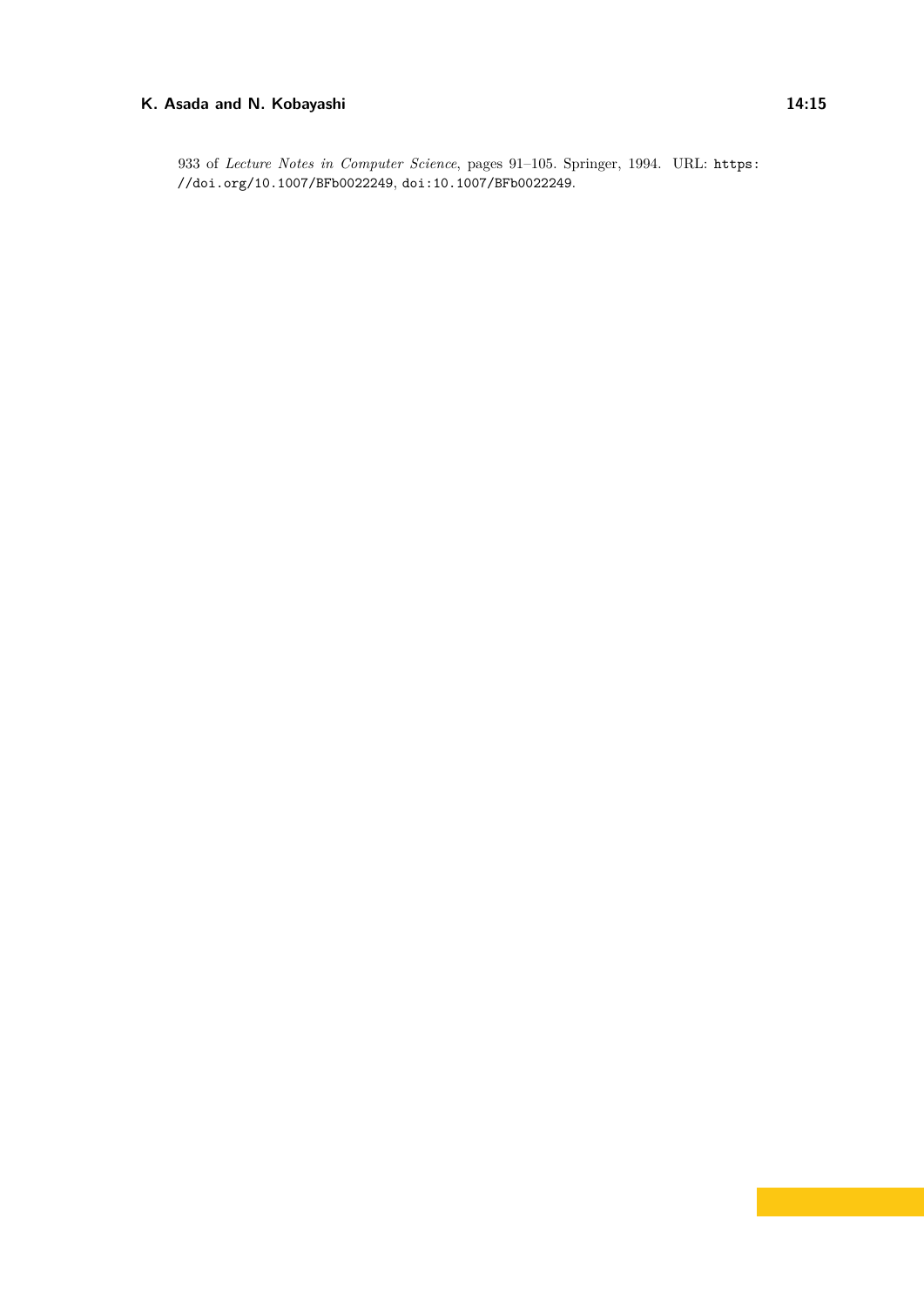933 of *Lecture Notes in Computer Science*, pages 91–105. Springer, 1994. URL: [https:](https://doi.org/10.1007/BFb0022249) [//doi.org/10.1007/BFb0022249](https://doi.org/10.1007/BFb0022249), [doi:10.1007/BFb0022249](http://dx.doi.org/10.1007/BFb0022249).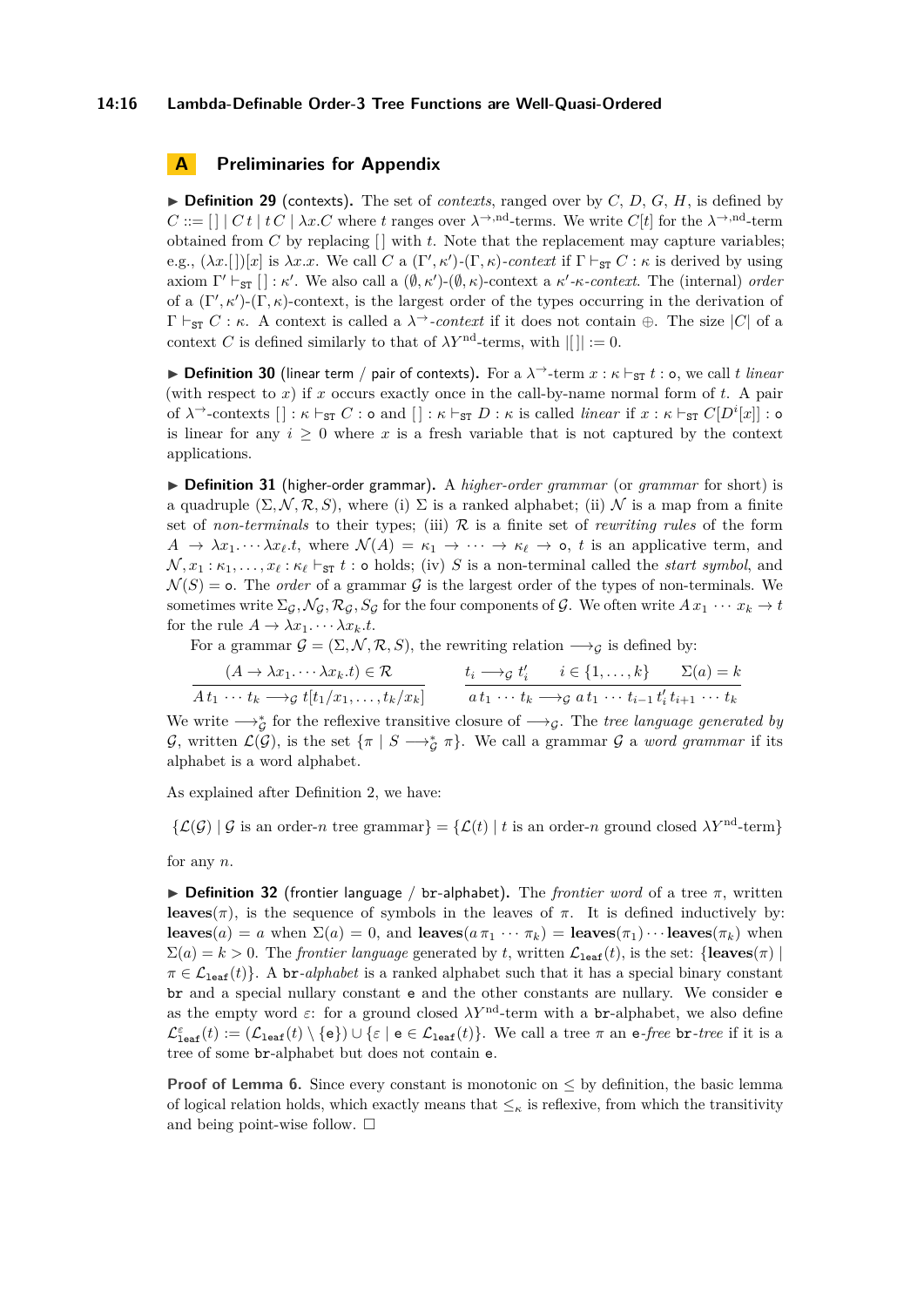#### **14:16 Lambda-Definable Order-3 Tree Functions are Well-Quasi-Ordered**

### <span id="page-15-0"></span>**A Preliminaries for Appendix**

 $\triangleright$  **Definition 29** (contexts). The set of *contexts*, ranged over by *C*, *D*, *G*, *H*, is defined by  $C ::= [ \ | \ | \ C t \ | \ tC \ | \ \lambda x.C \text{ where } t \text{ ranges over } \lambda \rightarrow \text{nd-terms. We write } C[t] \text{ for the } \lambda \rightarrow \text{nd-term } \lambda \rightarrow \text{nd-term}$ obtained from  $C$  by replacing  $\lceil \cdot \rceil$  with  $t$ . Note that the replacement may capture variables; e.g.,  $(\lambda x. [S])[x]$  is  $\lambda x. x$ . We call *C* a  $(\Gamma', \kappa')$ - $(\Gamma, \kappa)$ -context if  $\Gamma \vdash_{\texttt{ST}} C : \kappa$  is derived by using axiom  $\Gamma' \vdash_{ST} [\ ] : \kappa'.$  We also call a  $(\emptyset, \kappa')\text{-}(\emptyset, \kappa)$ -context a  $\kappa'\text{-}\kappa\text{-}context$ . The (internal) *order* of a  $(\Gamma', \kappa')$ - $(\Gamma, \kappa)$ -context, is the largest order of the types occurring in the derivation of  $\Gamma \vdash_{ST} C : \kappa$ . A context is called a  $\lambda \rightarrow$ -*context* if it does not contain  $\oplus$ . The size |*C*| of a context *C* is defined similarly to that of  $\lambda Y^{\text{nd}}$ -terms, with  $|| \cdot || := 0$ .

**▶ Definition 30** (linear term / pair of contexts). For a  $\lambda$ <sup>→</sup>-term  $x : \kappa \vdash_{ST} t : o$ , we call *t linear* (with respect to *x*) if *x* occurs exactly once in the call-by-name normal form of *t*. A pair of  $\lambda$ <sup>→</sup>-contexts  $[] : \kappa \vdash_{\texttt{ST}} C : \circ$  and  $[] : \kappa \vdash_{\texttt{ST}} D : \kappa$  is called *linear* if  $x : \kappa \vdash_{\texttt{ST}} C[D^i[x]] : \circ$ is linear for any  $i \geq 0$  where x is a fresh variable that is not captured by the context applications.

▶ **Definition 31** (higher-order grammar). A *higher-order grammar* (or *grammar* for short) is a quadruple  $(\Sigma, \mathcal{N}, \mathcal{R}, S)$ , where (i)  $\Sigma$  is a ranked alphabet; (ii) N is a map from a finite set of *non-terminals* to their types; (iii) R is a finite set of *rewriting rules* of the form  $A \to \lambda x_1 \cdots \lambda x_\ell t$ , where  $\mathcal{N}(A) = \kappa_1 \to \cdots \to \kappa_\ell \to \infty$ , *t* is an applicative term, and  $\mathcal{N}, x_1 : \kappa_1, \ldots, x_\ell : \kappa_\ell \vdash_{\texttt{ST}} t : \texttt{o holds};$  (iv) *S* is a non-terminal called the *start symbol*, and  $\mathcal{N}(S) = \text{o}$ . The *order* of a grammar G is the largest order of the types of non-terminals. We sometimes write  $\Sigma_{\mathcal{G}}, \mathcal{N}_{\mathcal{G}}, \mathcal{R}_{\mathcal{G}}, S_{\mathcal{G}}$  for the four components of  $\mathcal{G}$ . We often write  $Ax_1 \cdots x_k \to t$ for the rule  $A \to \lambda x_1 \cdots \lambda x_k \cdot t$ .

For a grammar  $G = (\Sigma, \mathcal{N}, \mathcal{R}, S)$ , the rewriting relation  $\longrightarrow_G$  is defined by:

$$
\frac{(A \to \lambda x_1 \cdots \lambda x_k.t)}{4t_1 \cdots t_k \longrightarrow_{\mathcal{G}} t[t_1/x_1, \ldots, t_k/x_k]} \qquad \frac{t_i \to_{\mathcal{G}} t'_i \qquad i \in \{1, \ldots, k\}}{at_1 \cdots t_k \longrightarrow_{\mathcal{G}} at_1 \cdots t_{i-1} t'_i t_{i+1} \cdots t_k}
$$

We write  $\longrightarrow_{\mathcal{G}}^*$  for the reflexive transitive closure of  $\longrightarrow_{\mathcal{G}}$ . The *tree language generated by* G, written  $\mathcal{L}(\mathcal{G})$ , is the set  $\{\pi \mid S \longrightarrow_{\mathcal{G}}^* \pi\}$ . We call a grammar G a *word grammar* if its alphabet is a word alphabet.

As explained after Definition [2,](#page-2-0) we have:

 $\{\mathcal{L}(G) \mid G$  is an order-*n* tree grammar $\} = \{\mathcal{L}(t) \mid t$  is an order-*n* ground closed  $\lambda Y^{\text{nd}}$ -term}

for any *n*.

 $\triangleright$  **Definition 32** (frontier language / br-alphabet). The *frontier word* of a tree  $\pi$ , written **leaves**( $\pi$ ), is the sequence of symbols in the leaves of  $\pi$ . It is defined inductively by: **leaves**(*a*) = *a* when  $\Sigma(a) = 0$ , and **leaves**( $a \pi_1 \cdots \pi_k$ ) = **leaves**( $\pi_1$ ) · · · **leaves**( $\pi_k$ ) when  $\Sigma(a) = k > 0$ . The *frontier language* generated by *t*, written  $\mathcal{L}_{\text{leaf}}(t)$ , is the set: {**leaves** $(\pi)$ }  $\pi \in \mathcal{L}_{\text{leaf}}(t)$ . A br-*alphabet* is a ranked alphabet such that it has a special binary constant br and a special nullary constant e and the other constants are nullary. We consider e as the empty word  $\varepsilon$ : for a ground closed  $\lambda Y^{\text{nd}}$ -term with a br-alphabet, we also define  $\mathcal{L}^{\varepsilon}_{\texttt{leaf}}(t) := (\mathcal{L}_{\texttt{leaf}}(t) \setminus \{e\}) \cup \{\varepsilon \mid e \in \mathcal{L}_{\texttt{leaf}}(t)\}.$  We call a tree  $\pi$  an e-free br-tree if it is a tree of some br-alphabet but does not contain e.

**Proof of Lemma [6.](#page-3-1)** Since every constant is monotonic on  $\leq$  by definition, the basic lemma of logical relation holds, which exactly means that  $\leq_{\kappa}$  is reflexive, from which the transitivity and being point-wise follow.  $\square$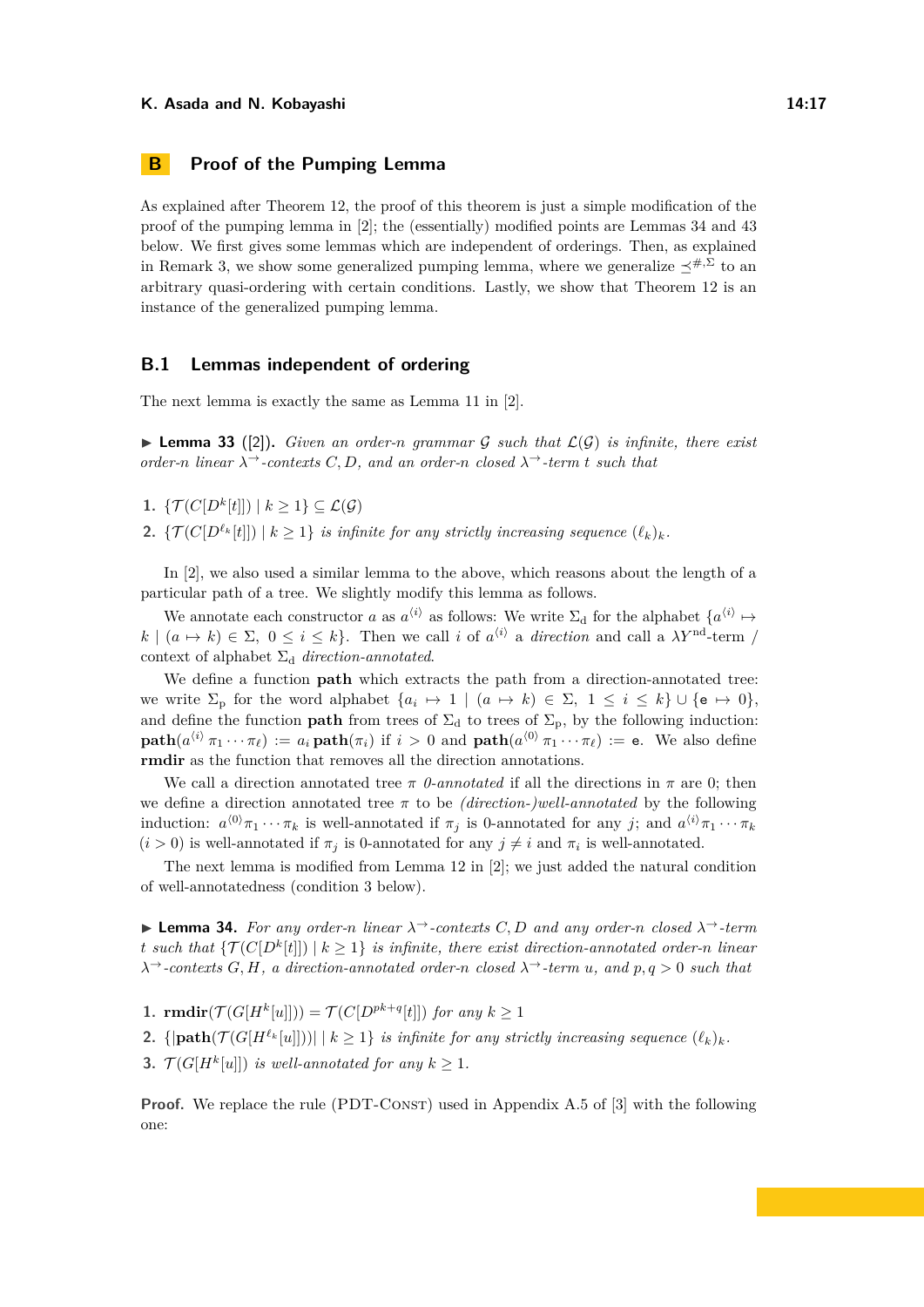# <span id="page-16-0"></span>**B Proof of the Pumping Lemma**

As explained after Theorem [12,](#page-4-2) the proof of this theorem is just a simple modification of the proof of the pumping lemma in [\[2\]](#page-13-1); the (essentially) modified points are Lemmas [34](#page-16-1) and [43](#page-21-2) below. We first gives some lemmas which are independent of orderings. Then, as explained in Remark [3,](#page-4-4) we show some generalized pumping lemma, where we generalize  $\preceq^{#,\Sigma}$  to an arbitrary quasi-ordering with certain conditions. Lastly, we show that Theorem [12](#page-4-2) is an instance of the generalized pumping lemma.

### **B.1 Lemmas independent of ordering**

The next lemma is exactly the same as Lemma 11 in [\[2\]](#page-13-1).

<span id="page-16-2"></span> $\blacktriangleright$  **Lemma 33** ([\[2\]](#page-13-1)). *Given an order-n grammar* G *such that*  $\mathcal{L}(\mathcal{G})$  *is infinite, there exist order-n linear*  $\lambda$ <sup>→</sup>*-contexts C*, *D*, and an order-*n* closed  $\lambda$ <sup>→</sup>-term *t* such that

1.  $\{\mathcal{T}(C[D^k[t]]) \mid k \geq 1\} \subseteq \mathcal{L}(\mathcal{G})$ 

**2.** { $\mathcal{T}(C[D^{\ell_k}[t]]) \mid k \geq 1$ } *is infinite for any strictly increasing sequence*  $(\ell_k)_k$ *.* 

In [\[2\]](#page-13-1), we also used a similar lemma to the above, which reasons about the length of a particular path of a tree. We slightly modify this lemma as follows.

We annotate each constructor *a* as  $a^{(i)}$  as follows: We write  $\Sigma_d$  for the alphabet  $\{a^{(i)} \mapsto a^{(i)}\}$  $k \mid (a \mapsto k) \in \Sigma$ ,  $0 \leq i \leq k$ . Then we call *i* of  $a^{(i)}$  a *direction* and call a  $\lambda Y^{\text{nd}}$ -term / context of alphabet  $\Sigma_d$  *direction-annotated.* 

We define a function **path** which extracts the path from a direction-annotated tree: we write  $\Sigma_p$  for the word alphabet  $\{a_i \mapsto 1 \mid (a \mapsto k) \in \Sigma, 1 \le i \le k\} \cup \{\mathsf{e} \mapsto 0\},\$ and define the function **path** from trees of  $\Sigma_d$  to trees of  $\Sigma_p$ , by the following induction:  $\textbf{path}(a^{\langle i \rangle}\pi_1 \cdots \pi_\ell) := a_i \,\textbf{path}(\pi_i) \text{ if } i > 0 \text{ and } \textbf{path}(a^{\langle 0 \rangle}\pi_1 \cdots \pi_\ell) := \textbf{e}.$  We also define **rmdir** as the function that removes all the direction annotations.

We call a direction annotated tree  $\pi$  *0-annotated* if all the directions in  $\pi$  are 0; then we define a direction annotated tree  $\pi$  to be *(direction-)well-annotated* by the following induction:  $a^{(0)}\pi_1 \cdots \pi_k$  is well-annotated if  $\pi_j$  is 0-annotated for any *j*; and  $a^{(i)}\pi_1 \cdots \pi_k$  $(i > 0)$  is well-annotated if  $\pi_j$  is 0-annotated for any  $j \neq i$  and  $\pi_i$  is well-annotated.

The next lemma is modified from Lemma 12 in [\[2\]](#page-13-1); we just added the natural condition of well-annotatedness (condition 3 below).

<span id="page-16-1"></span>**► Lemma 34.** For any order-*n* linear  $\lambda^{\rightarrow}$ -contexts C, D and any order-*n* closed  $\lambda^{\rightarrow}$ -term *t* such that  $\{\mathcal{T}(C[D^k[t]]) \mid k \geq 1\}$  is infinite, there exist direction-annotated order-*n* linear *λ*<sup>→</sup>*-contexts G, H, a direction-annotated order-n closed λ*<sup>→</sup>*-term u, and p, q >* 0 *such that*

**1. rmdir**( $\mathcal{T}(G[H^k[u]])$ ) =  $\mathcal{T}(C[D^{pk+q}[t]])$  *for any*  $k \geq 1$ 

**2.** { $|path(\mathcal{T}(G[H^{\ell_k}[u]]))| \leq k \geq 1$ } *is infinite for any strictly increasing sequence*  $(\ell_k)_k$ *.* 

**3.**  $\mathcal{T}(G[H^k[u]])$  *is well-annotated for any*  $k \geq 1$ *.* 

**Proof.** We replace the rule (PDT-CONST) used in Appendix A.5 of [\[3\]](#page-13-13) with the following one: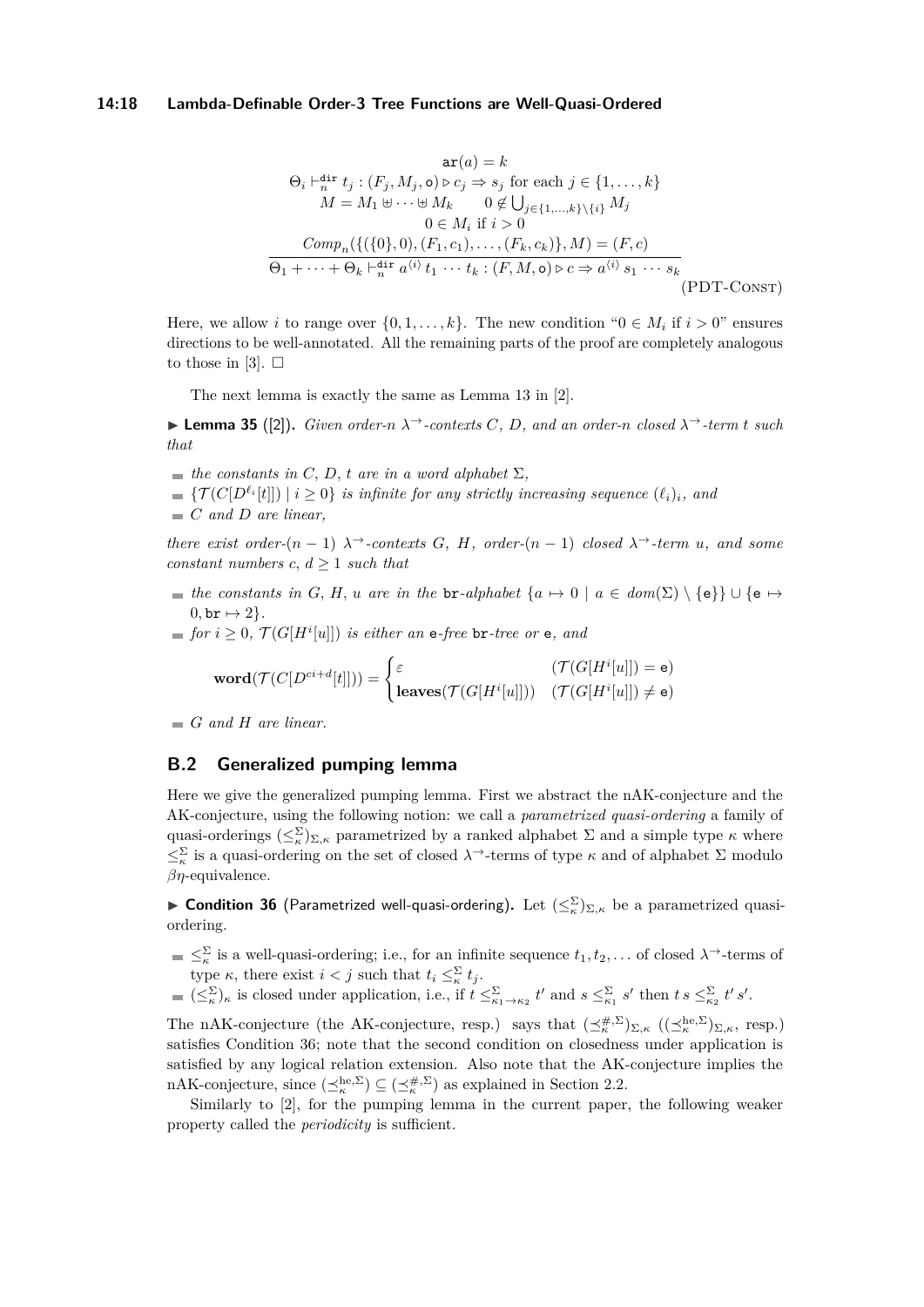#### **14:18 Lambda-Definable Order-3 Tree Functions are Well-Quasi-Ordered**

$$
\arg(a) = k
$$
\n
$$
\Theta_i \vdash_n^{\text{dir}} t_j : (F_j, M_j, \mathbf{o}) \triangleright c_j \Rightarrow s_j \text{ for each } j \in \{1, \dots, k\}
$$
\n
$$
M = M_1 \uplus \dots \uplus M_k \qquad 0 \notin \bigcup_{j \in \{1, \dots, k\} \setminus \{i\}} M_j
$$
\n
$$
0 \in M_i \text{ if } i > 0
$$
\n
$$
Comp_n(\{(\{0\}, 0), (F_1, c_1), \dots, (F_k, c_k)\}, M) = (F, c)
$$
\n
$$
\Theta_1 + \dots + \Theta_k \vdash_n^{\text{dir}} a^{\langle i \rangle} t_1 \cdots t_k : (F, M, \mathbf{o}) \triangleright c \Rightarrow a^{\langle i \rangle} s_1 \cdots s_k
$$
\n(PDF-CONST)

Here, we allow *i* to range over  $\{0, 1, \ldots, k\}$ . The new condition " $0 \in M_i$  if  $i > 0$ " ensures directions to be well-annotated. All the remaining parts of the proof are completely analogous to those in [\[3\]](#page-13-13).  $\square$ 

The next lemma is exactly the same as Lemma 13 in [\[2\]](#page-13-1).

<span id="page-17-2"></span> $▶$  **Lemma 35** ([\[2\]](#page-13-1)). *Given order-n*  $λ→$ *-contexts C, D, and an order-n closed*  $λ→$ *-term t such that*

- $\blacksquare$  *the constants in C, D, t are in a word alphabet*  $\Sigma$ *,*
- ${\{\mathcal{T}(C[D^{\ell_i}[t]])\mid i\geq 0\}}$  *is infinite for any strictly increasing sequence*  $(\ell_i)_i$ *, and*
- *C and D are linear,*

*there exist order-*( $n - 1$ )  $\lambda$ <sup>→</sup>*-contexts G, H<sub>i</sub> order-*( $n - 1$ ) *closed*  $\lambda$ <sup>→</sup>*-term u<sub></sub>, and some constant numbers*  $c, d \geq 1$  *such that* 

- *the constants in G, H, u are in the* br-*alphabet*  $\{a \mapsto 0 \mid a \in dom(\Sigma) \setminus \{e\}\} \cup \{e \mapsto 0\}$  $0,$  br  $\mapsto$  2.
- *for*  $i \geq 0$ ,  $\mathcal{T}(G[H^i[u]])$  *is either an* e*-free* br-tree or e, and

$$
\textbf{word}(\mathcal{T}(C[D^{ci+d}[t]])) = \begin{cases} \varepsilon & (\mathcal{T}(G[H^i[u]]) = \mathsf{e}) \\ \textbf{leaves}(\mathcal{T}(G[H^i[u]])) & (\mathcal{T}(G[H^i[u]]) \neq \mathsf{e}) \end{cases}
$$

*G and H are linear.*

### <span id="page-17-0"></span>**B.2 Generalized pumping lemma**

Here we give the generalized pumping lemma. First we abstract the nAK-conjecture and the AK-conjecture, using the following notion: we call a *parametrized quasi-ordering* a family of quasi-orderings  $(\leq_k^{\Sigma})_{\Sigma,\kappa}$  parametrized by a ranked alphabet  $\Sigma$  and a simple type  $\kappa$  where  $\leq^{\Sigma}_{\kappa}$  is a quasi-ordering on the set of closed  $\lambda^{\rightarrow}$ -terms of type  $\kappa$  and of alphabet  $\Sigma$  modulo *βη*-equivalence.

<span id="page-17-1"></span>► Condition 36 (Parametrized well-quasi-ordering). Let  $(\leq_{\kappa}^{\Sigma})_{\Sigma,\kappa}$  be a parametrized quasiordering.

- $\leq^{\Sigma}_{\kappa}$  is a well-quasi-ordering; i.e., for an infinite sequence  $t_1, t_2, \ldots$  of closed  $\lambda$ <sup>→</sup>-terms of type *κ*, there exist  $i < j$  such that  $t_i \leq \sum_{k=1}^{N} t_j$ .
- $(\leq^{\Sigma}_{\kappa})_{\kappa}$  is closed under application, i.e., if  $t \leq^{\Sigma}_{\kappa_1 \to \kappa_2} t'$  and  $s \leq^{\Sigma}_{\kappa_1} s'$  then  $t s \leq^{\Sigma}_{\kappa_2} t' s'$ .

The nAK-conjecture (the AK-conjecture, resp.) says that  $(\preceq_k^{\#,\Sigma})_{\Sigma,\kappa}$   $((\preceq_k^{\text{he},\Sigma})_{\Sigma,\kappa}$ , resp.) satisfies Condition [36;](#page-17-1) note that the second condition on closedness under application is satisfied by any logical relation extension. Also note that the AK-conjecture implies the nAK-conjecture, since  $(\preceq_k^{\text{he},\Sigma}) \subseteq (\preceq_k^{\#,\Sigma})$  as explained in Section [2.2.](#page-3-2)

Similarly to [\[2\]](#page-13-1), for the pumping lemma in the current paper, the following weaker property called the *periodicity* is sufficient.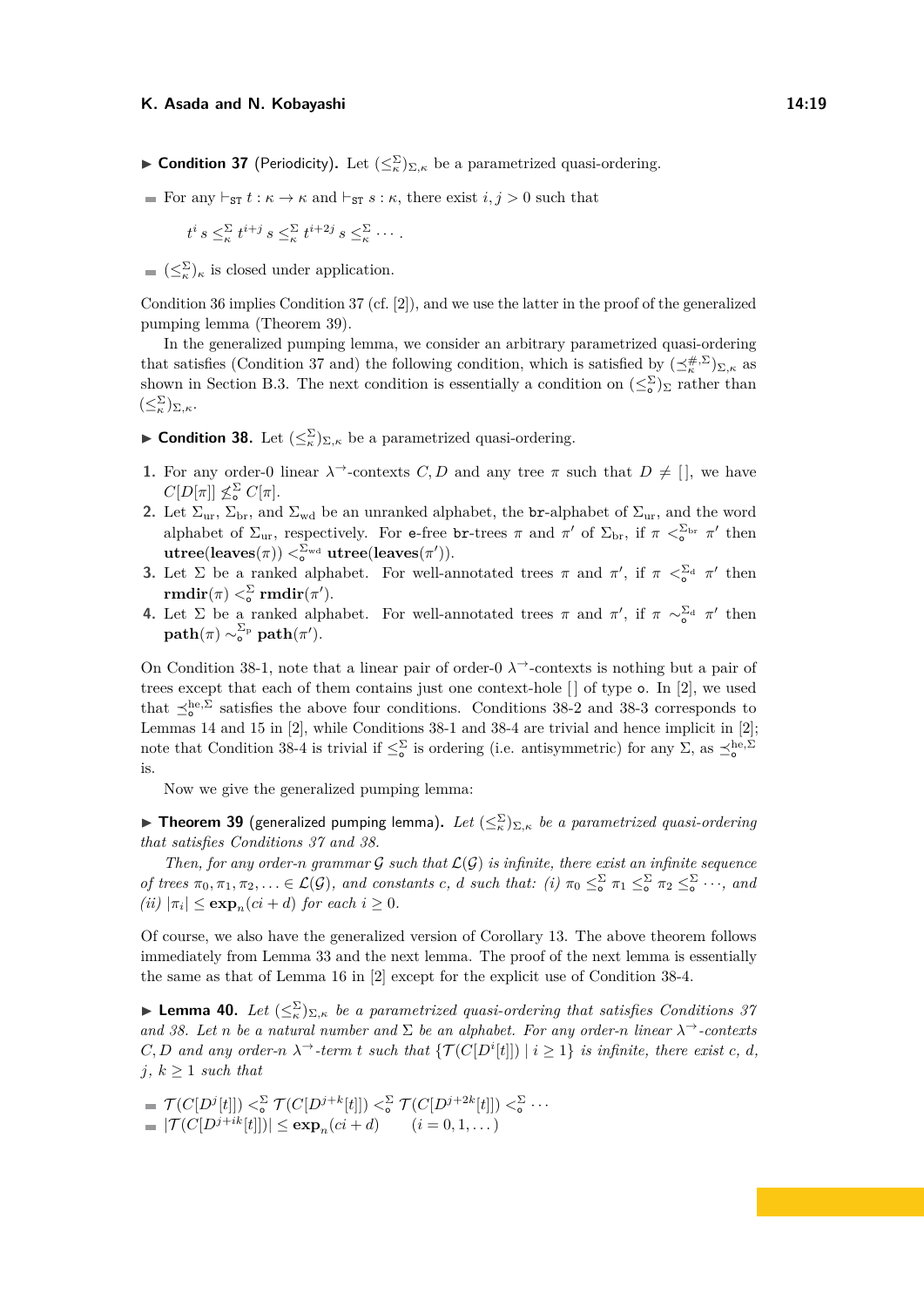- <span id="page-18-1"></span>► **Condition 37** (Periodicity). Let  $(\leq^{\Sigma}_{\kappa})_{\Sigma,\kappa}$  be a parametrized quasi-ordering.
- For any  $\vdash_{ST} t : \kappa \to \kappa$  and  $\vdash_{ST} s : \kappa$ , there exist  $i, j > 0$  such that

$$
t^i s \leq_{\kappa}^{\Sigma} t^{i+j} s \leq_{\kappa}^{\Sigma} t^{i+2j} s \leq_{\kappa}^{\Sigma} \cdots
$$

 $(\leq_{\kappa}^{\Sigma})_{\kappa}$  is closed under application.

Condition [36](#page-17-1) implies Condition [37](#page-18-1) (cf. [\[2\]](#page-13-1)), and we use the latter in the proof of the generalized pumping lemma (Theorem [39\)](#page-18-0).

In the generalized pumping lemma, we consider an arbitrary parametrized quasi-ordering that satisfies (Condition [37](#page-18-1) and) the following condition, which is satisfied by  $(\preceq_k^{\#,\Sigma})_{\Sigma,\kappa}$  as shown in Section [B.3.](#page-20-0) The next condition is essentially a condition on  $(\leq_{\circ}^{\Sigma})_{\Sigma}$  rather than  $(\leq^{\Sigma}_{\kappa})_{\Sigma,\kappa}.$ 

<span id="page-18-2"></span>► **Condition 38.** Let  $(\leq^{\Sigma}_{\kappa})_{\Sigma,\kappa}$  be a parametrized quasi-ordering.

- <span id="page-18-3"></span>**1.** For any order-0 linear  $\lambda^{\rightarrow}$ -contexts *C*, *D* and any tree  $\pi$  such that  $D \neq [$ , we have  $C[D[\pi]] \nleq^{\Sigma} C[\pi].$
- <span id="page-18-4"></span>**2.** Let  $\Sigma_{ur}$ ,  $\Sigma_{br}$ , and  $\Sigma_{wd}$  be an unranked alphabet, the **br**-alphabet of  $\Sigma_{ur}$ , and the word alphabet of  $\Sigma_{\text{ur}}$ , respectively. For e-free br-trees  $\pi$  and  $\pi'$  of  $\Sigma_{\text{br}}$ , if  $\pi <sup>S</sup><sub>o</sub>$   $\pi'$  then  $\textrm{utree}(\textrm{leaves}(\pi)) <^{\Sigma_{\textrm{wd}}}_\textrm{o} \textrm{ utree}(\textrm{leaves}(\pi')).$
- <span id="page-18-5"></span>**3.** Let  $\Sigma$  be a ranked alphabet. For well-annotated trees  $\pi$  and  $\pi'$ , if  $\pi < \Sigma_d$   $\pi'$  then  $\mathbf{rmdir}(\pi)<_{\circ}^{\Sigma}\mathbf{rmdir}(\pi').$
- <span id="page-18-6"></span>**4.** Let  $\Sigma$  be a ranked alphabet. For well-annotated trees  $\pi$  and  $\pi'$ , if  $\pi \sim_{0}^{\Sigma_{d}} \pi'$  then  $\textbf{path}(\pi) \sim^{\Sigma_\text{p}}_\text{o} \textbf{path}(\pi').$

On Condition [38-](#page-18-2)[1,](#page-18-3) note that a linear pair of order-0 *λ*<sup>→</sup>-contexts is nothing but a pair of trees except that each of them contains just one context-hole [ ] of type o. In [\[2\]](#page-13-1), we used that  $\preceq_o^{\text{he},\Sigma}$  satisfies the above four conditions. Conditions [38-](#page-18-2)[2](#page-18-4) and [3](#page-18-5)8-3 corresponds to Lemmas 14 and 15 in [\[2\]](#page-13-1), while Conditions [38-](#page-18-2)[1](#page-18-3) and [38-](#page-18-2)[4](#page-18-6) are trivial and hence implicit in [\[2\]](#page-13-1); note that Condition [38-](#page-18-2)[4](#page-18-6) is trivial if  $\leq^{\Sigma}_{\infty}$  is ordering (i.e. antisymmetric) for any  $\Sigma$ , as  $\leq^{\text{he},\Sigma}_{\infty}$ is.

Now we give the generalized pumping lemma:

<span id="page-18-0"></span>**Fineorem 39** (generalized pumping lemma). Let  $(\leq^{\Sigma}_{\kappa})_{\Sigma,\kappa}$  *be a parametrized quasi-ordering that satisfies Conditions [37](#page-18-1) and [38.](#page-18-2)*

*Then, for any order-n grammar*  $G$  *such that*  $L(G)$  *is infinite, there exist an infinite sequence of trees*  $\pi_0, \pi_1, \pi_2, \ldots \in \mathcal{L}(\mathcal{G})$ , and constants c, d such that: (i)  $\pi_0 \leq \sum_{\alpha}^{\infty} \pi_1 \leq \sum_{\alpha}^{\infty} \pi_2 \leq \sum_{\alpha}^{\infty} \cdots$ , and  $(iii) |\pi_i| \leq \exp_n(ci+d)$  *for each*  $i \geq 0$ *.* 

Of course, we also have the generalized version of Corollary [13.](#page-5-4) The above theorem follows immediately from Lemma [33](#page-16-2) and the next lemma. The proof of the next lemma is essentially the same as that of Lemma 16 in [\[2\]](#page-13-1) except for the explicit use of Condition [38-](#page-18-2)[4.](#page-18-6)

**Example 10.** Let  $(\leq^{\Sigma}_{\kappa})_{\Sigma,\kappa}$  *be a parametrized quasi-ordering that satisfies Conditions [37](#page-18-1) and* [38.](#page-18-2) Let *n* be a natural number and  $\Sigma$  be an alphabet. For any order-*n* linear  $\lambda$ <sup>→</sup>-contexts  $C, D$  and any order- $n \lambda$ <sup> $\rightarrow$ </sup>-term  $t$  such that  $\{ \mathcal{T}(C[D^i[t]]) \mid i \geq 1 \}$  is infinite, there exist  $c, d$ , *j,*  $k$  ≥ 1 *such that* 

$$
= \mathcal{T}(C[D^j[t]]) \n\leq \mathcal{T}(C[D^{j+k}[t]]) \n\leq \mathcal{T}(C[D^{j+2k}[t]]) \n\leq \mathcal{T}(C[D^{j+2k}[t]]) \n= |\mathcal{T}(C[D^{j+ik}[t]])| \leq \exp_n(ci+d) \qquad (i=0,1,\dots)
$$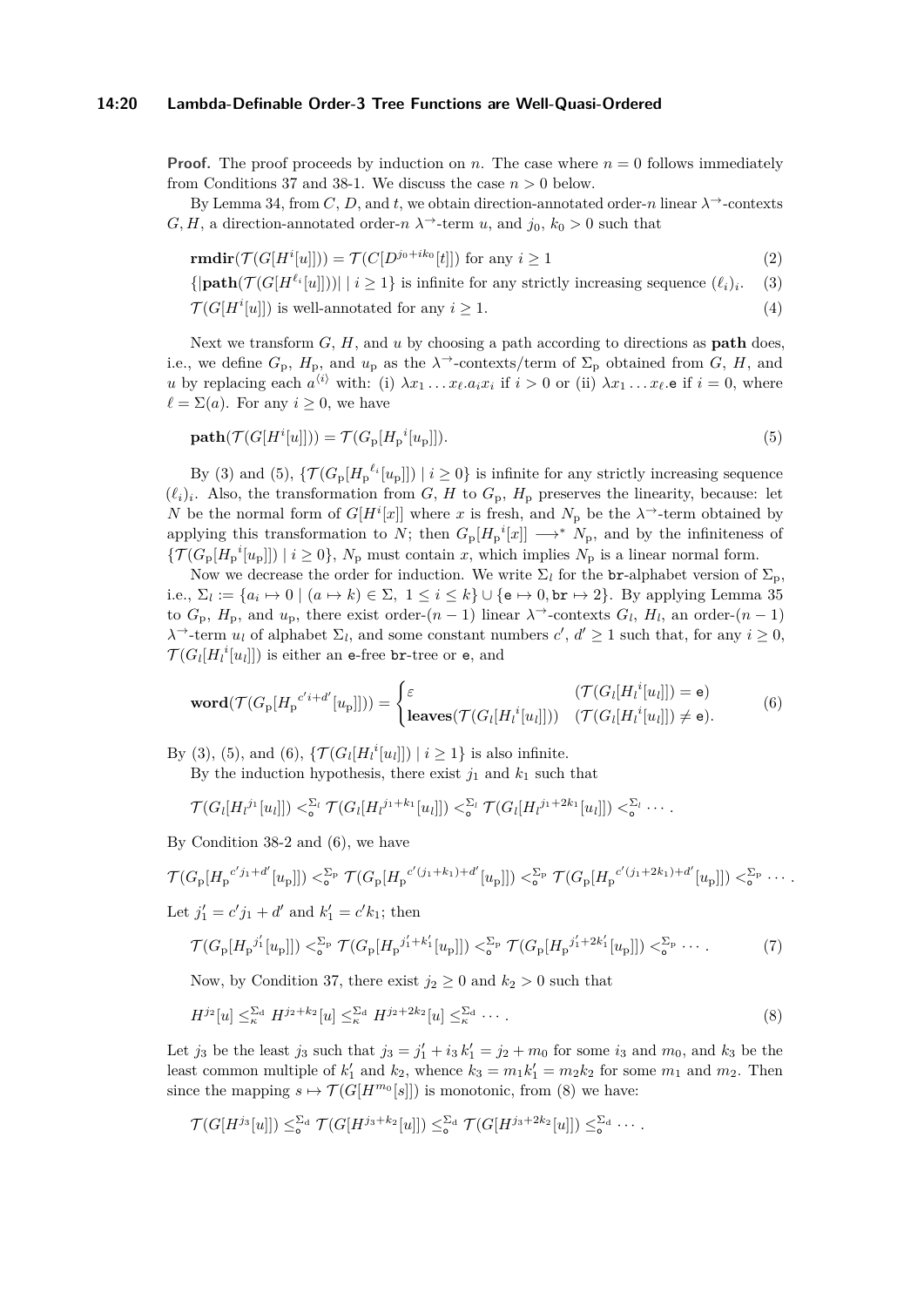#### **14:20 Lambda-Definable Order-3 Tree Functions are Well-Quasi-Ordered**

**Proof.** The proof proceeds by induction on *n*. The case where  $n = 0$  follows immediately from Conditions [37](#page-18-1) and [38-](#page-18-2)[1.](#page-18-3) We discuss the case  $n > 0$  below.

By Lemma [34,](#page-16-1) from *C*, *D*, and *t*, we obtain direction-annotated order-*n* linear  $\lambda$ <sup>→</sup>-contexts *G, H,* a direction-annotated order-*n*  $\lambda$ <sup>→</sup>-term *u*, and *j*<sub>0</sub>*, k*<sub>0</sub> > 0 such that

<span id="page-19-5"></span>
$$
\mathbf{rmdir}(\mathcal{T}(G[H^i[u]])) = \mathcal{T}(C[D^{j_0+ik_0}[t]]) \text{ for any } i \ge 1
$$
\n<sup>(2)</sup>

<span id="page-19-0"></span> $\{|\text{path}(\mathcal{T}(G[H^{\ell_i}[u]]))| \mid i \geq 1\}$  is infinite for any strictly increasing sequence  $(\ell_i)_i$ . (3)  $\mathcal{T}(G[H^i[u]])$  is well-annotated for any  $i \geq 1$ . (4)

Next we transform *G*, *H*, and *u* by choosing a path according to directions as **path** does, i.e., we define  $G_p$ ,  $H_p$ , and  $u_p$  as the  $\lambda^{\rightarrow}$ -contexts/term of  $\Sigma_p$  obtained from  $G$ ,  $H$ , and *u* by replacing each  $a^{(i)}$  with: (i)  $\lambda x_1 \ldots x_\ell a_i x_i$  if  $i > 0$  or (ii)  $\lambda x_1 \ldots x_\ell$  e if  $i = 0$ , where  $\ell = \Sigma(a)$ . For any  $i \geq 0$ , we have

<span id="page-19-1"></span>
$$
\mathbf{path}(\mathcal{T}(G[H^i[u]])) = \mathcal{T}(G_p[H_p^i[u_p]]). \tag{5}
$$

By [\(3\)](#page-19-0) and [\(5\)](#page-19-1),  $\{ \mathcal{T}(G_p[H_p^{\ell_i}[u_p]]) \mid i \geq 0 \}$  is infinite for any strictly increasing sequence  $(\ell_i)_i$ . Also, the transformation from *G*, *H* to  $G_p$ ,  $H_p$  preserves the linearity, because: let *N* be the normal form of *G*[ $H^i[x]$ ] where *x* is fresh, and  $N_p$  be the  $\lambda$ <sup> $\rightarrow$ </sup>-term obtained by applying this transformation to *N*; then  $G_p[H_p^{\ i}[x]] \longrightarrow^* N_p$ , and by the infiniteness of  ${\{\mathcal{T}(G_{\mathbf{p}}[H_{\mathbf{p}}^{i}[u_{\mathbf{p}}]]) \mid i \geq 0\}, N_{\mathbf{p}} \text{ must contain } x, \text{ which implies } N_{\mathbf{p}} \text{ is a linear normal form.}}$ 

Now we decrease the order for induction. We write  $\Sigma_l$  for the br-alphabet version of  $\Sigma_p$ , i.e.,  $\Sigma_l := \{a_i \mapsto 0 \mid (a \mapsto k) \in \Sigma, 1 \le i \le k\} \cup \{\mathsf{e} \mapsto 0, \mathsf{br} \mapsto 2\}$ . By applying Lemma [35](#page-17-2) to  $G_p$ ,  $H_p$ , and  $u_p$ , there exist order- $(n-1)$  linear  $\lambda^{\rightarrow}$ -contexts  $G_l$ ,  $H_l$ , an order- $(n-1)$  $\lambda$ <sup>→</sup>-term *u*<sub>*l*</sub> of alphabet  $\Sigma_l$ , and some constant numbers *c*', *d*'  $\geq$  1 such that, for any *i*  $\geq$  0,  $\mathcal{T}(G_l[H_l^i[u_l]])$  is either an e-free br-tree or e, and

<span id="page-19-2"></span>
$$
\text{word}(\mathcal{T}(G_{p}[H_{p}^{c'i+d'}[u_{p}]])) = \begin{cases} \varepsilon & (\mathcal{T}(G_{l}[H_{l}^{i}[u_{l}]]) = e) \\ \text{leaves}(\mathcal{T}(G_{l}[H_{l}^{i}[u_{l}]])) & (\mathcal{T}(G_{l}[H_{l}^{i}[u_{l}]]) \neq e). \end{cases} (6)
$$

By [\(3\)](#page-19-0), [\(5\)](#page-19-1), and [\(6\)](#page-19-2),  $\{ \mathcal{T}(G_l[H_l^i[u_l]]) \mid i \geq 1 \}$  is also infinite.

By the induction hypothesis, there exist  $j_1$  and  $k_1$  such that

$$
\mathcal{T}(G_l[H_l^{j_1}[u_l]]) <_{\mathbf{o}}^{\Sigma_l} \mathcal{T}(G_l[H_l^{j_1+k_1}[u_l]]) <_{\mathbf{o}}^{\Sigma_l} \mathcal{T}(G_l[H_l^{j_1+2k_1}[u_l]]) <_{\mathbf{o}}^{\Sigma_l} \cdots
$$

By Condition [38-](#page-18-2)[2](#page-18-4) and [\(6\)](#page-19-2), we have

$$
\mathcal{T}(G_{\rm p}[H_{\rm p}^{c'j_1+d'}[u_{\rm p}]]) <_{\rm o}^{\Sigma_{\rm p}} \mathcal{T}(G_{\rm p}[H_{\rm p}^{c'(j_1+k_1)+d'}[u_{\rm p}]]) <_{\rm o}^{\Sigma_{\rm p}} \mathcal{T}(G_{\rm p}[H_{\rm p}^{c'(j_1+2k_1)+d'}[u_{\rm p}]]) <_{\rm o}^{\Sigma_{\rm p}} \cdots
$$

Let  $j'_1 = c'j_1 + d'$  and  $k'_1 = c'k_1$ ; then

<span id="page-19-4"></span><span id="page-19-3"></span>
$$
\mathcal{T}(G_{\rm p}[H_{\rm p}^{j_1'}[u_{\rm p}]]) <\xi_{\rm o}^{\Sigma_{\rm p}} \mathcal{T}(G_{\rm p}[H_{\rm p}^{j_1'+k_1'}[u_{\rm p}]]) <\xi_{\rm o}^{\Sigma_{\rm p}} \mathcal{T}(G_{\rm p}[H_{\rm p}^{j_1'+2k_1'}[u_{\rm p}]]) <\xi_{\rm o}^{\Sigma_{\rm p}} \cdots
$$
 (7)

Now, by Condition [37,](#page-18-1) there exist  $j_2 \geq 0$  and  $k_2 > 0$  such that

$$
H^{j_2}[u] \leq_{\kappa}^{\Sigma_d} H^{j_2+k_2}[u] \leq_{\kappa}^{\Sigma_d} H^{j_2+2k_2}[u] \leq_{\kappa}^{\Sigma_d} \cdots
$$
 (8)

Let *j*<sub>3</sub> be the least *j*<sub>3</sub> such that  $j_3 = j'_1 + i_3 k'_1 = j_2 + m_0$  for some *i*<sub>3</sub> and *m*<sub>0</sub>, and *k*<sub>3</sub> be the least common multiple of  $k'_1$  and  $k_2$ , whence  $k_3 = m_1 k'_1 = m_2 k_2$  for some  $m_1$  and  $m_2$ . Then since the mapping  $s \mapsto \mathcal{T}(G[H^{m_0}[s]])$  is monotonic, from [\(8\)](#page-19-3) we have:

$$
\mathcal{T}(G[H^{j_3}[u]]) \leq_{\mathsf{o}}^{\Sigma_{\mathsf{d}}} \mathcal{T}(G[H^{j_3+k_2}[u]]) \leq_{\mathsf{o}}^{\Sigma_{\mathsf{d}}} \mathcal{T}(G[H^{j_3+2k_2}[u]]) \leq_{\mathsf{o}}^{\Sigma_{\mathsf{d}}} \cdots
$$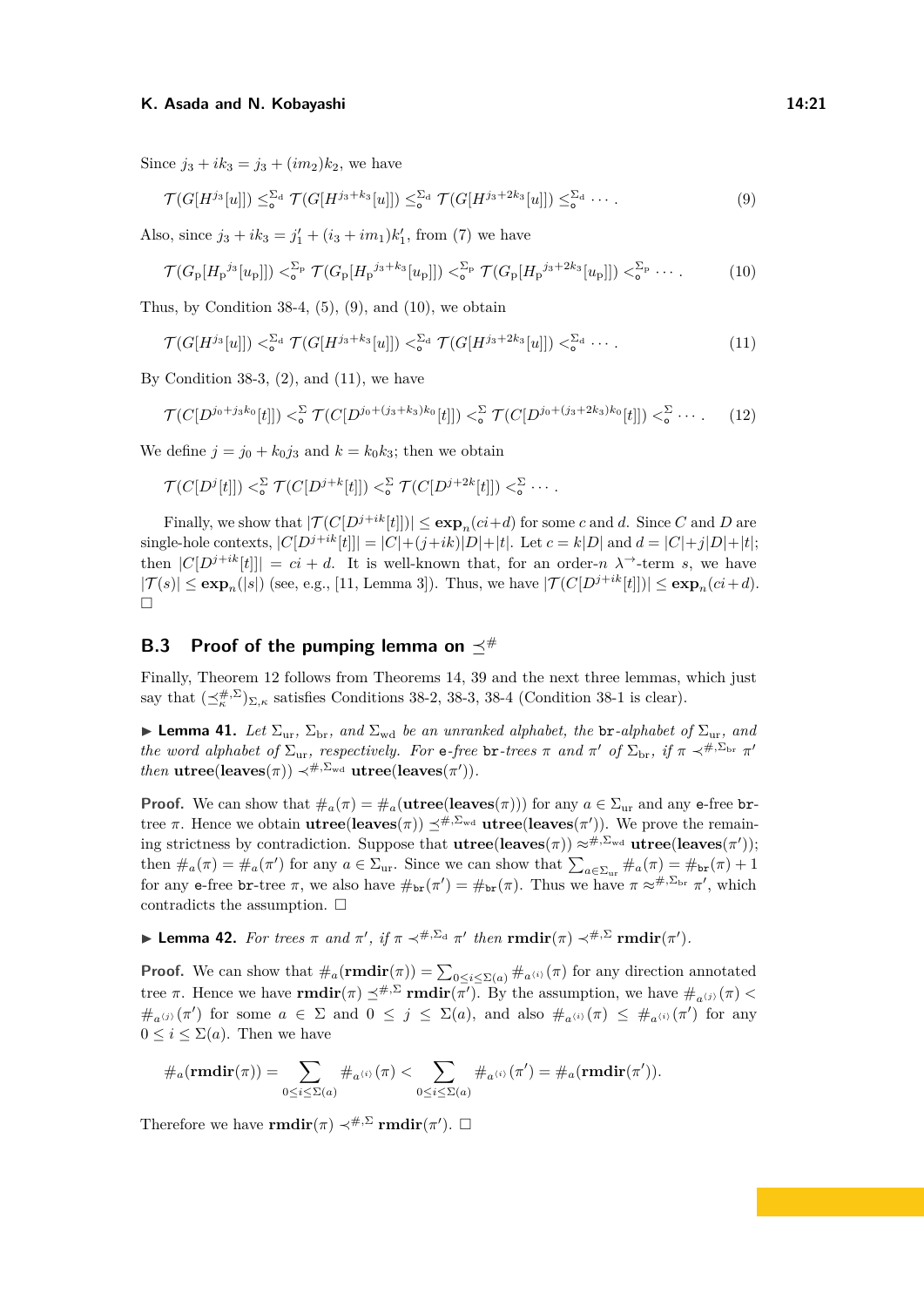Since  $j_3 + ik_3 = j_3 + (im_2)k_2$ , we have

<span id="page-20-2"></span><span id="page-20-1"></span>
$$
\mathcal{T}(G[H^{j_3}[u]]) \leq_{\mathbf{o}}^{\Sigma_{\mathbf{d}}} \mathcal{T}(G[H^{j_3+k_3}[u]]) \leq_{\mathbf{o}}^{\Sigma_{\mathbf{d}}} \mathcal{T}(G[H^{j_3+2k_3}[u]]) \leq_{\mathbf{o}}^{\Sigma_{\mathbf{d}}} \cdots
$$
 (9)

Also, since  $j_3 + ik_3 = j'_1 + (i_3 + im_1)k'_1$ , from [\(7\)](#page-19-4) we have

<span id="page-20-3"></span>
$$
\mathcal{T}(G_{\rm p}[H_{\rm p}^{j_3}[u_{\rm p}]]) <_{\rm o}^{\Sigma_{\rm p}} \mathcal{T}(G_{\rm p}[H_{\rm p}^{j_3+k_3}[u_{\rm p}]]) <_{\rm o}^{\Sigma_{\rm p}} \mathcal{T}(G_{\rm p}[H_{\rm p}^{j_3+2k_3}[u_{\rm p}]]) <_{\rm o}^{\Sigma_{\rm p}} \cdots
$$
 (10)

Thus, by Condition  $38-4$ ,  $(5)$ ,  $(9)$ , and  $(10)$ , we obtain

$$
\mathcal{T}(G[H^{j_3}[u]]) < \zeta_{\bullet}^{\Sigma_{\rm d}} \mathcal{T}(G[H^{j_3+k_3}[u]]) < \zeta_{\bullet}^{\Sigma_{\rm d}} \mathcal{T}(G[H^{j_3+2k_3}[u]]) < \zeta_{\bullet}^{\Sigma_{\rm d}} \cdots
$$
\n(11)

By Condition [38-](#page-18-2)[3,](#page-18-5)  $(2)$ , and  $(11)$ , we have

$$
\mathcal{T}(C[D^{j_0+j_3k_0}[t]]) <_{\circ}^{\Sigma} \mathcal{T}(C[D^{j_0+(j_3+k_3)k_0}[t]]) <_{\circ}^{\Sigma} \mathcal{T}(C[D^{j_0+(j_3+2k_3)k_0}[t]]) <_{\circ}^{\Sigma} \cdots
$$
 (12)

We define  $j = j_0 + k_0 j_3$  and  $k = k_0 k_3$ ; then we obtain

$$
\mathcal{T}(C[D^j[t]]) <_{\mathbf{o}}^{\Sigma} \mathcal{T}(C[D^{j+k}[t]]) <_{\mathbf{o}}^{\Sigma} \mathcal{T}(C[D^{j+2k}[t]]) <_{\mathbf{o}}^{\Sigma} \cdots
$$

Finally, we show that  $|\mathcal{T}(C[D^{j+ik}[t]])| \leq \exp_n(c_i+d)$  for some *c* and *d*. Since *C* and *D* are single-hole contexts,  $|C[D^{j+ik}[t]]| = |C| + (j+ik)|D| + |t|$ . Let  $c = k|D|$  and  $d = |C| + j|D| + |t|$ ; then  $|C[D^{j+ik}[t]]| = ci + d$ . It is well-known that, for an order-*n*  $\lambda^{\rightarrow}$ -term *s*, we have  $|\mathcal{T}(s)| \leq \exp_n(|s|)$  (see, e.g., [\[11,](#page-13-14) Lemma 3]). Thus, we have  $|\mathcal{T}(C[D^{j+ik}[t]])| \leq \exp_n(ci+d)$ .  $\hfill \square$ 

# <span id="page-20-0"></span>**B.3** Proof of the pumping lemma on  $\preceq^{\#}$

Finally, Theorem [12](#page-4-2) follows from Theorems [14,](#page-5-1) [39](#page-18-0) and the next three lemmas, which just say that  $(\preceq_k^{\#,\Sigma})_{\Sigma,\kappa}$  satisfies Conditions [38-](#page-18-2)[2,](#page-18-4) [38](#page-18-2)[-3,](#page-18-5) 38-[4](#page-18-6) (Condition 38-[1](#page-18-3) is clear).

**I Lemma 41.** Let  $\Sigma_{\text{ur}}, \Sigma_{\text{br}},$  and  $\Sigma_{\text{wd}}$  be an unranked alphabet, the br-alphabet of  $\Sigma_{\text{ur}},$  and *the word alphabet of*  $\Sigma_{\text{ur}}$ *, respectively. For* e-free br-trees  $\pi$  *and*  $\pi'$  *of*  $\Sigma_{\text{br}}$ *, if*  $\pi \prec^{\#,\Sigma_{\text{br}}}\pi'$ *then*  $utree(leaves(\pi)) \prec^{\#,\Sigma_{wd}} utree(leaves(\pi')).$ 

**Proof.** We can show that  $\#_a(\pi) = \#_a(\mathbf{utree}(\mathbf{leaves}(\pi)))$  for any  $a \in \Sigma_{\text{ur}}$  and any e-free brtree  $\pi$ . Hence we obtain **utree**(**leaves**( $\pi$ ))  $\preceq^{\#,\Sigma_{\text{wd}}}$  **utree(leaves**( $\pi'$ )). We prove the remaining strictness by contradiction. Suppose that  $utree(leaves(\pi)) \approx^{\#,\Sigma_{wd}} utree(leaves(\pi'))$ ; then  $\#_a(\pi) = \#_a(\pi')$  for any  $a \in \Sigma_{\text{ur}}$ . Since we can show that  $\sum_{a \in \Sigma_{\text{ur}}} \#_a(\pi) = \#_{\text{br}}(\pi) + 1$ for any e-free br-tree  $\pi$ , we also have  $\#_{\text{br}}(\pi') = \#_{\text{br}}(\pi)$ . Thus we have  $\pi \approx^{\#,\Sigma_{\text{br}}}\pi'$ , which contradicts the assumption.  $\Box$ 

**► Lemma 42.** For trees  $π$  and  $π'$ , if  $π \prec^{\#,\Sigma_d} π'$  then  $\text{rmdir}(π) \prec^{\#,\Sigma} \text{rmdir}(π').$ 

**Proof.** We can show that  $\#_a(\mathbf{rmdir}(\pi)) = \sum_{0 \leq i \leq \Sigma(a)} \#_{a^{(i)}}(\pi)$  for any direction annotated tree *π*. Hence we have **rmdir**(*π*)  $\preceq^{#, \Sigma}$  **rmdir**(*π*'). By the assumption, we have  $\#_{a^{(j)}}(\pi) <$  $\#_{a^{(j)}}(\pi')$  for some  $a \in \Sigma$  and  $0 \leq j \leq \Sigma(a)$ , and also  $\#_{a^{(i)}}(\pi) \leq \#_{a^{(i)}}(\pi')$  for any  $0 \leq i \leq \Sigma(a)$ . Then we have

#*a*(**rmdir**(*π*)) = X 0≤*i*≤Σ(*a*) #*a*h*i*<sup>i</sup> (*π*) *<* X 0≤*i*≤Σ(*a*) #*a*h*i*<sup>i</sup> (*π* 0 ) = #*a*(**rmdir**(*π* 0 ))*.*

Therefore we have **rmdir**( $\pi$ )  $\prec^{\#,\Sigma}$  **rmdir**( $\pi'$ ).  $\square$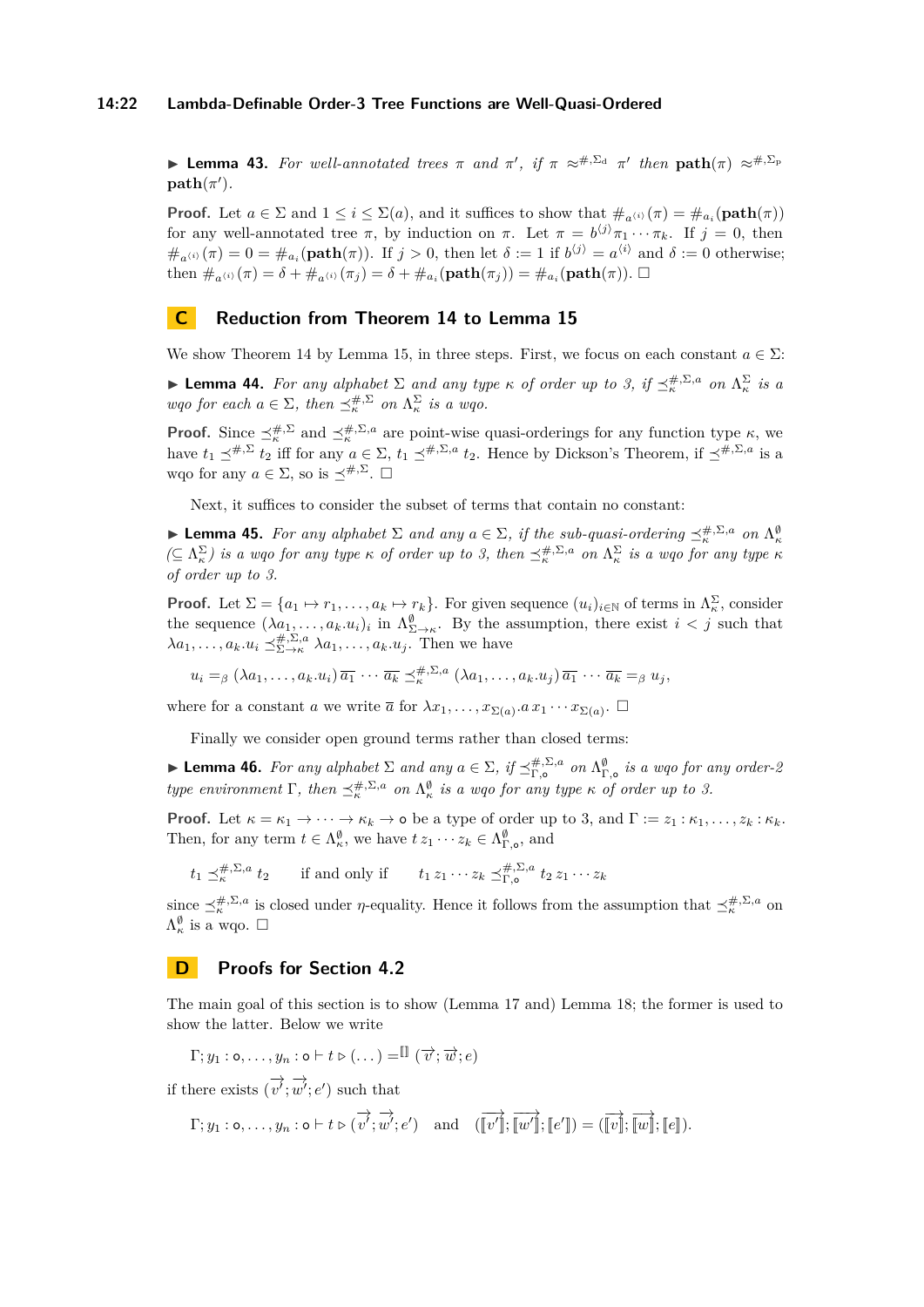#### **14:22 Lambda-Definable Order-3 Tree Functions are Well-Quasi-Ordered**

<span id="page-21-2"></span>**I Lemma 43.** For well-annotated trees  $\pi$  and  $\pi'$ , if  $\pi \approx^{\#,\Sigma_d} \pi'$  then  $\text{path}(\pi) \approx^{\#,\Sigma_p}$  $path(\pi').$ 

**Proof.** Let  $a \in \Sigma$  and  $1 \leq i \leq \Sigma(a)$ , and it suffices to show that  $\#_{a^{(i)}}(\pi) = \#_{a_i}(\text{path}(\pi))$ for any well-annotated tree  $\pi$ , by induction on  $\pi$ . Let  $\pi = b^{(j)}\pi_1 \cdots \pi_k$ . If  $j = 0$ , then  $\#_{a^{(i)}}(\pi) = 0 = \#_{a_i}(\text{path}(\pi))$ . If  $j > 0$ , then let  $\delta := 1$  if  $b^{(j)} = a^{(i)}$  and  $\delta := 0$  otherwise; then  $\#_{a^{(i)}}(\pi) = \delta + \#_{a^{(i)}}(\pi_j) = \delta + \#_{a_i}(\text{path}(\pi_j)) = \#_{a_i}(\text{path}(\pi))$ .

### <span id="page-21-0"></span>**C Reduction from Theorem [14](#page-5-1) to Lemma [15](#page-5-2)**

We show Theorem [14](#page-5-1) by Lemma [15,](#page-5-2) in three steps. First, we focus on each constant  $a \in \Sigma$ :

**Lemma 44.** For any alphabet  $\Sigma$  and any type  $\kappa$  of order up to 3, if  $\preceq_{\kappa}^{\#,\Sigma,a}$  on  $\Lambda_{\kappa}^{\Sigma}$  is a *wqo for each*  $a \in \Sigma$ *, then*  $\preceq_{\kappa}^{#, \Sigma}$  *on*  $\Lambda_{\kappa}^{\Sigma}$  *is a wqo.* 

**Proof.** Since  $\preceq_{\kappa}^{\#,\Sigma}$  and  $\preceq_{\kappa}^{\#,\Sigma,a}$  are point-wise quasi-orderings for any function type  $\kappa$ , we have  $t_1 \preceq^{\#,\Sigma} \overline{t_2}$  iff for any  $a \in \Sigma$ ,  $t_1 \preceq^{\#,\Sigma,a} t_2$ . Hence by Dickson's Theorem, if  $\preceq^{\#,\Sigma,a}$  is a wgo for any  $a \in \Sigma$ , so is  $\prec^{#,\Sigma}$ .  $\square$ 

Next, it suffices to consider the subset of terms that contain no constant:

**Example 15.** For any alphabet  $\Sigma$  and any  $a \in \Sigma$ , if the sub-quasi-ordering  $\preceq_{\kappa}^{\#,\Sigma,a}$  on  $\Lambda_{\kappa}^{\emptyset}$  $(⊆ Λ<sub>κ</sub><sup>Σ</sup>)$  *is a wqo for any type κ of order up to 3, then*  $≤<sup>#,Σ,a</sup>$  *on*  $Λ<sup>Σ</sup>$  *is a wqo for any type κ of order up to 3.*

**Proof.** Let  $\Sigma = \{a_1 \mapsto r_1, \ldots, a_k \mapsto r_k\}$ . For given sequence  $(u_i)_{i \in \mathbb{N}}$  of terms in  $\Lambda_{\kappa}^{\Sigma}$ , consider the sequence  $(\lambda_{a_1}, \ldots, a_k, u_i)_i$  in  $\Lambda_{\Sigma \to \kappa}^{\emptyset}$ . By the assumption, there exist  $i < j$  such that  $\lambda a_1, \ldots, a_k \cdot u_i \preceq_{\Sigma \to \kappa}^{\#,\Sigma, a} \lambda a_1, \ldots, a_k \cdot u_j$ . Then we have

$$
u_i =_{\beta} (\lambda a_1, \ldots, a_k.u_i) \overline{a_1} \cdots \overline{a_k} \preceq_{\kappa}^{*,\Sigma,a} (\lambda a_1, \ldots, a_k.u_j) \overline{a_1} \cdots \overline{a_k} =_{\beta} u_j,
$$

where for a constant *a* we write  $\overline{a}$  for  $\lambda x_1, \ldots, x_{\Sigma(a)} \ldots x_{\Sigma(a)}$ .  $\Box$ 

Finally we consider open ground terms rather than closed terms:

**Lemma 46.** For any alphabet  $\Sigma$  and any  $a \in \Sigma$ , if  $\preceq^{\#,\Sigma,a}_{\Gamma,\circ}$  on  $\Lambda^{\emptyset}_{\Gamma,\circ}$  is a wqo for any order-2 *type environment*  $\Gamma$ *, then*  $\preceq_{\kappa}^{\#} \Sigma^{a}$  *on*  $\Lambda_{\kappa}^{\emptyset}$  *is a wqo for any type*  $\kappa$  *of order up to 3.* 

**Proof.** Let  $\kappa = \kappa_1 \to \cdots \to \kappa_k \to \infty$  be a type of order up to 3, and  $\Gamma := z_1 : \kappa_1, \ldots, z_k : \kappa_k$ . Then, for any term  $t \in \Lambda_{\kappa}^{\emptyset}$ , we have  $t z_1 \cdots z_k \in \Lambda_{\Gamma,\mathsf{o}}^{\emptyset}$ , and

 $t_1 \preceq_k^{\#,\Sigma,a} t_2$  if and only if  $t_1 z_1 \cdots z_k \preceq_{\Gamma,\mathsf{o}}^{\#,\Sigma,a} t_2 z_1 \cdots z_k$ 

since  $\preceq_{\kappa}^{\#,\Sigma,a}$  is closed under *η*-equality. Hence it follows from the assumption that  $\preceq_{\kappa}^{\#,\Sigma,a}$  on  $\Lambda_{\kappa}^{\emptyset}$  is a wqo.  $\square$ 

### <span id="page-21-1"></span>**D Proofs for Section [4.2](#page-6-0)**

The main goal of this section is to show (Lemma [17](#page-9-2) and) Lemma [18;](#page-9-0) the former is used to show the latter. Below we write

$$
\Gamma; y_1 : \mathsf{o}, \ldots, y_n : \mathsf{o} \vdash t \triangleright (\ldots) = \mathbb{I} \left( \overrightarrow{v}; \overrightarrow{w}; e \right)
$$

if there exists  $(\overrightarrow{v'}, \overrightarrow{w'}; e')$  such that

$$
\Gamma; y_1: \mathsf{o}, \ldots, y_n: \mathsf{o} \vdash t \triangleright (\overrightarrow{v'}; \overrightarrow{w'}; e') \quad \text{and} \quad (\overrightarrow{v'}]; \overrightarrow{w'}]; \overrightarrow{[v']}; \overrightarrow{[e']}) = (\overrightarrow{v}; \overrightarrow{w}; [e]).
$$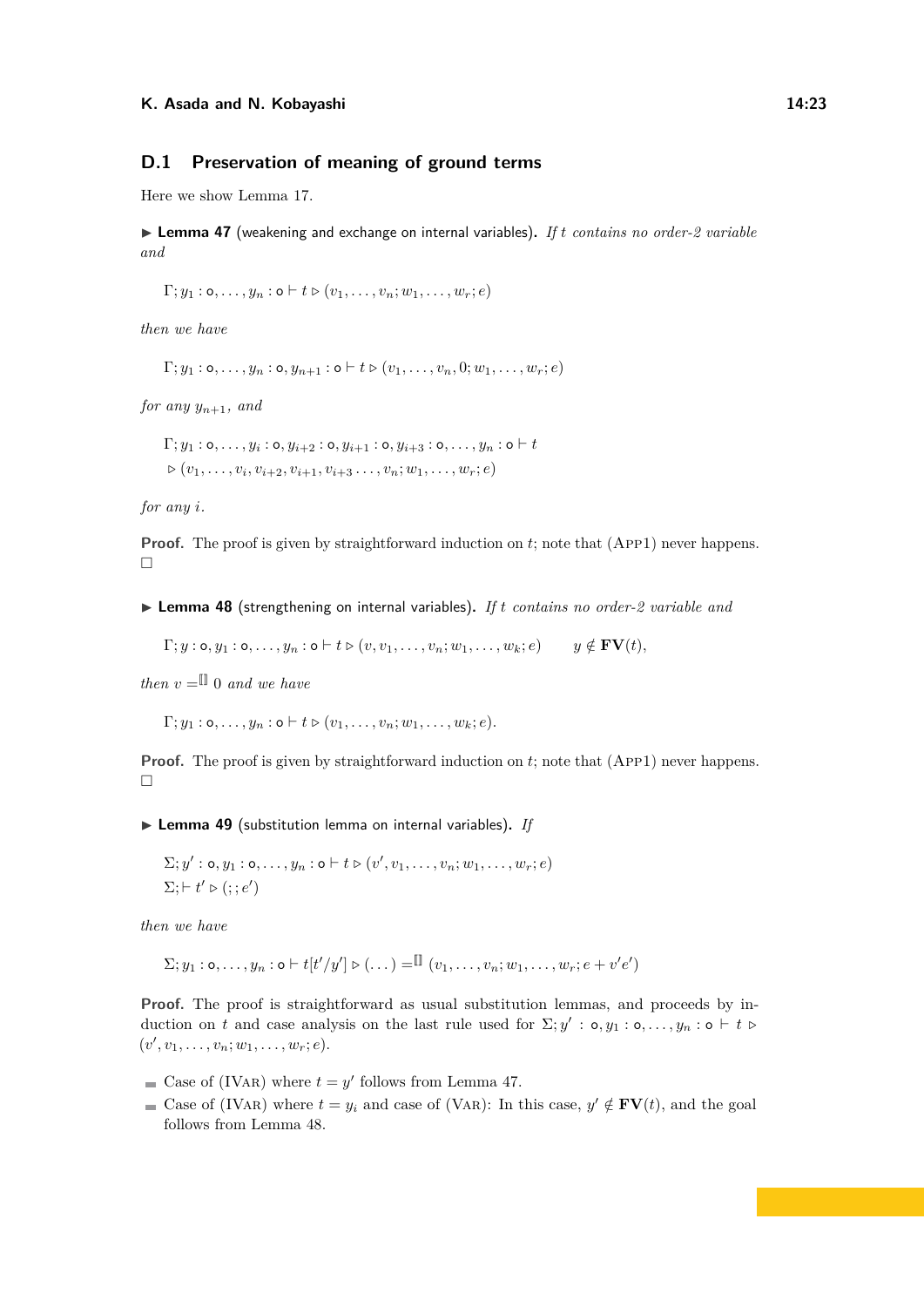### **D.1 Preservation of meaning of ground terms**

Here we show Lemma [17.](#page-9-2)

<span id="page-22-0"></span>▶ Lemma 47 (weakening and exchange on internal variables). *If t contains no order-2 variable and*

 $\Gamma: y_1 : \mathsf{o}, \ldots, y_n : \mathsf{o} \vdash t \triangleright (v_1, \ldots, v_n; w_1, \ldots, w_n; e)$ 

*then we have*

 $\Gamma; y_1 : \mathsf{o}, \ldots, y_n : \mathsf{o}, y_{n+1} : \mathsf{o} \vdash t \triangleright (v_1, \ldots, v_n, 0; w_1, \ldots, w_r; e)$ 

*for any*  $y_{n+1}$ *, and* 

 $\Gamma; y_1 : \mathsf{o}, \ldots, y_i : \mathsf{o}, y_{i+2} : \mathsf{o}, y_{i+1} : \mathsf{o}, y_{i+3} : \mathsf{o}, \ldots, y_n : \mathsf{o} \vdash t$  $P\left(v_1, \ldots, v_i, v_{i+2}, v_{i+1}, v_{i+3}, \ldots, v_n; w_1, \ldots, w_r; e\right)$ 

*for any i.*

**Proof.** The proof is given by straightforward induction on *t*; note that (App1) never happens.  $\Box$ 

<span id="page-22-1"></span>▶ Lemma 48 (strengthening on internal variables). If *t contains no order-2 variable and* 

 $\Gamma; y : \mathsf{o}, y_1 : \mathsf{o}, \ldots, y_n : \mathsf{o} \vdash t \triangleright (v, v_1, \ldots, v_n; w_1, \ldots, w_k; e) \quad y \notin \mathbf{FV}(t)$ 

*then*  $v = \mathbb{I}$  0 *and we have* 

 $\Gamma; y_1 : \mathsf{o}, \ldots, y_n : \mathsf{o} \vdash t \triangleright (v_1, \ldots, v_n; w_1, \ldots, w_k; e).$ 

**Proof.** The proof is given by straightforward induction on t; note that (App1) never happens.  $\Box$ 

<span id="page-22-2"></span>▶ Lemma 49 (substitution lemma on internal variables). *If* 

$$
\Sigma; y': \mathsf{o}, y_1 : \mathsf{o}, \ldots, y_n : \mathsf{o} \vdash t \triangleright (v', v_1, \ldots, v_n; w_1, \ldots, w_r; e)
$$
  

$$
\Sigma; \vdash t' \triangleright (; ; e')
$$

*then we have*

 $\Sigma; y_1 : \mathsf{o}, \ldots, y_n : \mathsf{o} \vdash t[t'/y'] \triangleright (\ldots) = \mathbb{I} \mathbb{I} (v_1, \ldots, v_n; w_1, \ldots, w_r; e + v'e')$ 

**Proof.** The proof is straightforward as usual substitution lemmas, and proceeds by induction on *t* and case analysis on the last rule used for  $\Sigma$ ;  $y' : \mathsf{o}, y_1 : \mathsf{o}, \ldots, y_n : \mathsf{o} \vdash t \vdash t$  $(v', v_1, \ldots, v_n; w_1, \ldots, w_r; e).$ 

Case of (IVAR) where  $t = y'$  follows from Lemma [47.](#page-22-0)

Case of (IVAR) where  $t = y_i$  and case of (VAR): In this case,  $y' \notin \mathbf{FV}(t)$ , and the goal follows from Lemma [48.](#page-22-1)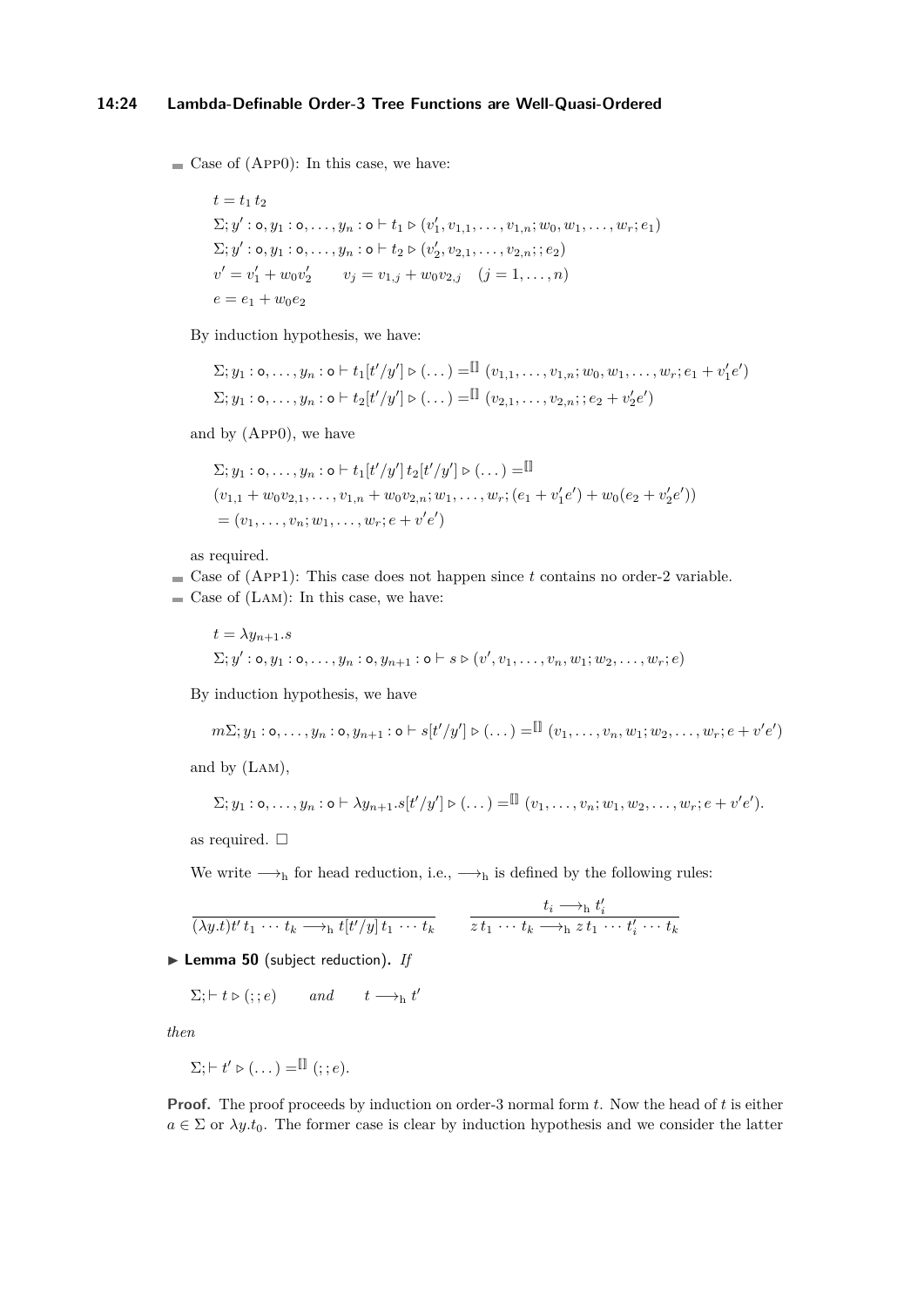$\blacksquare$  Case of (App0): In this case, we have:

 $t = t_1 t_2$  $\Sigma; y' : \mathsf{o}, y_1 : \mathsf{o}, \ldots, y_n : \mathsf{o} \vdash t_1 \triangleright (v'_1, v_{1,1}, \ldots, v_{1,n}; w_0, w_1, \ldots, w_r; e_1)$  $\Sigma; y' : \mathsf{o}, y_1 : \mathsf{o}, \ldots, y_n : \mathsf{o} \vdash t_2 \triangleright (v'_2, v_{2,1}, \ldots, v_{2,n}; ; e_2)$  $v' = v'_1 + w_0 v'_2$   $v_j = v_{1,j} + w_0 v_{2,j}$   $(j = 1, ..., n)$  $e = e_1 + w_0 e_2$ 

By induction hypothesis, we have:

$$
\Sigma; y_1 : \mathbf{o}, \dots, y_n : \mathbf{o} \vdash t_1[t'/y'] \triangleright (\dots) = \mathbb{I} \ (v_{1,1}, \dots, v_{1,n}; w_0, w_1, \dots, w_r; e_1 + v'_1 e')
$$
  

$$
\Sigma; y_1 : \mathbf{o}, \dots, y_n : \mathbf{o} \vdash t_2[t'/y'] \triangleright (\dots) = \mathbb{I} \ (v_{2,1}, \dots, v_{2,n}; e_2 + v'_2 e')
$$

and by (App0), we have

$$
\Sigma; y_1 : \mathbf{o}, \dots, y_n : \mathbf{o} \vdash t_1[t'/y'] t_2[t'/y'] \triangleright (\dots) = \mathbb{I}
$$
  

$$
(v_{1,1} + w_0 v_{2,1}, \dots, v_{1,n} + w_0 v_{2,n}; w_1, \dots, w_r; (e_1 + v'_1 e') + w_0 (e_2 + v'_2 e'))
$$
  

$$
= (v_1, \dots, v_n; w_1, \dots, w_r; e + v'e')
$$

as required.

- $\blacksquare$  Case of (App1): This case does not happen since *t* contains no order-2 variable.
- $\blacksquare$  Case of (LAM): In this case, we have:

$$
t = \lambda y_{n+1}.s
$$
  
  $\Sigma; y' : \mathbf{o}, y_1 : \mathbf{o}, \dots, y_n : \mathbf{o}, y_{n+1} : \mathbf{o} \vdash s \triangleright (v', v_1, \dots, v_n, w_1; w_2, \dots, w_r; e)$ 

By induction hypothesis, we have

$$
m\Sigma;y_1:\mathsf{o},\ldots,y_n:\mathsf{o},y_{n+1}:\mathsf{o}\vdash s[t'/y']\triangleright(\ldots)=\mathbb{I}\left[(v_1,\ldots,v_n,w_1;w_2,\ldots,w_r;e+v'e'\right)]
$$

and by (Lam),

$$
\Sigma; y_1: \mathsf{o}, \ldots, y_n: \mathsf{o} \vdash \lambda y_{n+1}.s[t'/y'] \triangleright (\ldots) = \mathbb{I} \ (v_1, \ldots, v_n; w_1, w_2, \ldots, w_r; e + v'e').
$$

as required.  $\square$ 

We write  $\longrightarrow_h$  for head reduction, i.e.,  $\longrightarrow_h$  is defined by the following rules:

$$
\frac{t_i \rightarrow_h t'_i}{(\lambda y.t)t't_1 \cdots t_k \rightarrow_h t[t'/y]t_1 \cdots t_k} \qquad \frac{t_i \rightarrow_h t'_i}{z t_1 \cdots t_k \rightarrow_h z t_1 \cdots t'_i \cdots t_k}
$$

<span id="page-23-0"></span>▶ Lemma 50 (subject reduction). *If* 

 $\Sigma; \vdash t \triangleright (; ; e)$  *and*  $t \longrightarrow_h t'$ 

*then*

$$
\Sigma; \vdash t' \triangleright (\dots) = \mathbb{I} \quad (f; e).
$$

**Proof.** The proof proceeds by induction on order-3 normal form *t*. Now the head of *t* is either  $a \in \Sigma$  or  $\lambda y.t_0$ . The former case is clear by induction hypothesis and we consider the latter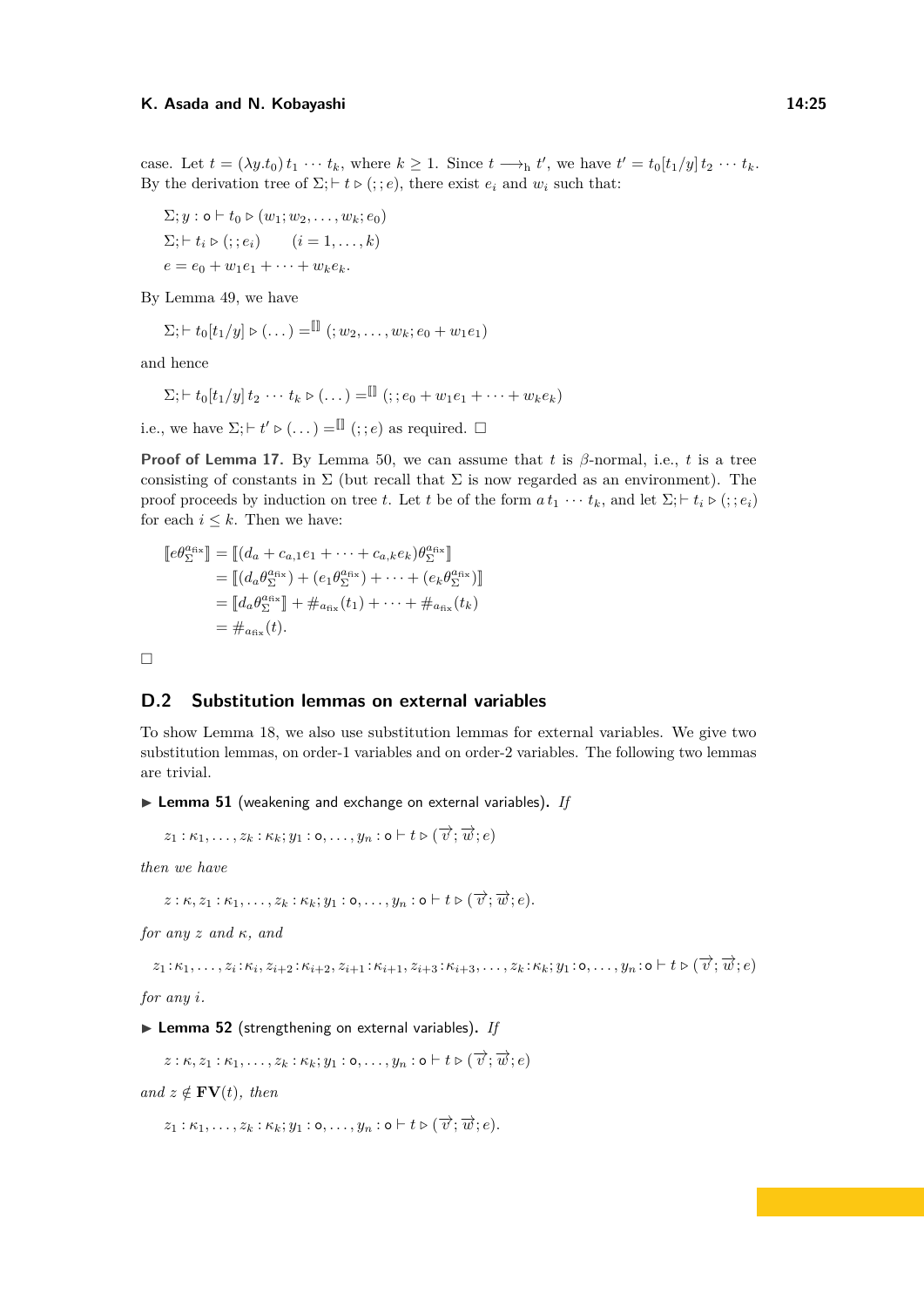case. Let  $t = (\lambda y \cdot t_0) t_1 \cdots t_k$ , where  $k \geq 1$ . Since  $t \longrightarrow_h t'$ , we have  $t' = t_0[t_1/y] t_2 \cdots t_k$ . By the derivation tree of  $\Sigma$ ;  $\vdash t \triangleright ($ ; *e*), there exist  $e_i$  and  $w_i$  such that:

$$
\Sigma; y : \mathbf{o} \vdash t_0 \triangleright (w_1; w_2, \dots, w_k; e_0)
$$
  

$$
\Sigma; \vdash t_i \triangleright (; : e_i) \qquad (i = 1, \dots, k)
$$
  

$$
e = e_0 + w_1 e_1 + \dots + w_k e_k.
$$

By Lemma [49,](#page-22-2) we have

$$
\Sigma
$$
;  $\vdash t_0[t_1/y] \triangleright (\dots) = \blacksquare$  ( $\vdots w_2, \dots, w_k$ ;  $e_0 + w_1 e_1$ )

and hence

$$
\Sigma
$$
;  $\vdash t_0[t_1/y] t_2 \cdots t_k \triangleright (\dots) = \blacksquare$  (.;  $e_0 + w_1 e_1 + \dots + w_k e_k$ )

i.e., we have  $\Sigma; \vdash t' \triangleright (\dots) = \mathbb{I}(\cdot; e)$  as required.  $\Box$ 

**Proof of Lemma [17.](#page-9-2)** By Lemma [50,](#page-23-0) we can assume that *t* is  $\beta$ -normal, i.e., *t* is a tree consisting of constants in  $\Sigma$  (but recall that  $\Sigma$  is now regarded as an environment). The proof proceeds by induction on tree *t*. Let *t* be of the form  $a t_1 \cdots t_k$ , and let  $\Sigma$ ;  $\vdash t_i \triangleright ($ ;  $e_i)$ for each  $i \leq k$ . Then we have:

$$
\begin{aligned} [\![e\theta_{\Sigma}^{\text{afs}}]\!] &= [\![(d_a + c_{a,1}e_1 + \dots + c_{a,k}e_k)\theta_{\Sigma}^{\text{afs}}]\!] \\ &= [\![(d_a\theta_{\Sigma}^{\text{afs}}) + (e_1\theta_{\Sigma}^{\text{afs}}) + \dots + (e_k\theta_{\Sigma}^{\text{afs}})]]\!] \\ &= [\![d_a\theta_{\Sigma}^{\text{afs}}]\!] + \#_{a_{\text{fix}}}(t_1) + \dots + \#_{a_{\text{fix}}}(t_k) \\ &= \#_{a_{\text{fix}}}(t). \end{aligned}
$$

 $\Box$ 

### **D.2 Substitution lemmas on external variables**

To show Lemma [18,](#page-9-0) we also use substitution lemmas for external variables. We give two substitution lemmas, on order-1 variables and on order-2 variables. The following two lemmas are trivial.

<span id="page-24-1"></span>▶ Lemma 51 (weakening and exchange on external variables). *If* 

 $z_1 : \kappa_1, \ldots, z_k : \kappa_k; y_1 : \mathsf{o}, \ldots, y_n : \mathsf{o} \vdash t \triangleright (\overrightarrow{v}; \overrightarrow{w}; e)$ 

*then we have*

 $z: \kappa, z_1: \kappa_1, \ldots, z_k: \kappa_k; y_1: \mathsf{o}, \ldots, y_n: \mathsf{o} \vdash t \triangleright (\overrightarrow{v}; \overrightarrow{w}; e).$ 

*for any z and κ, and*

 $z_1:\kappa_1,\ldots,z_i:\kappa_i,z_{i+2}:\kappa_{i+2},z_{i+1}:\kappa_{i+1},z_{i+3}:\kappa_{i+3},\ldots,z_k:\kappa_k;y_1:\mathsf{o},\ldots,y_n:\mathsf{o}\vdash t\triangleright (\overrightarrow{v};\overrightarrow{w};e)$ 

*for any i.*

<span id="page-24-0"></span>▶ Lemma 52 (strengthening on external variables). If

 $z : \kappa, z_1 : \kappa_1, \ldots, z_k : \kappa_k; y_1 : \mathsf{o}, \ldots, y_n : \mathsf{o} \vdash t \triangleright (\overrightarrow{v}; \overrightarrow{w}; e)$ 

 $and z \notin \textbf{FV}(t)$ *, then* 

 $z_1 : \kappa_1, \ldots, z_k : \kappa_k; y_1 : \mathsf{o}, \ldots, y_n : \mathsf{o} \vdash t \triangleright (\overrightarrow{v}; \overrightarrow{w}; e)$ .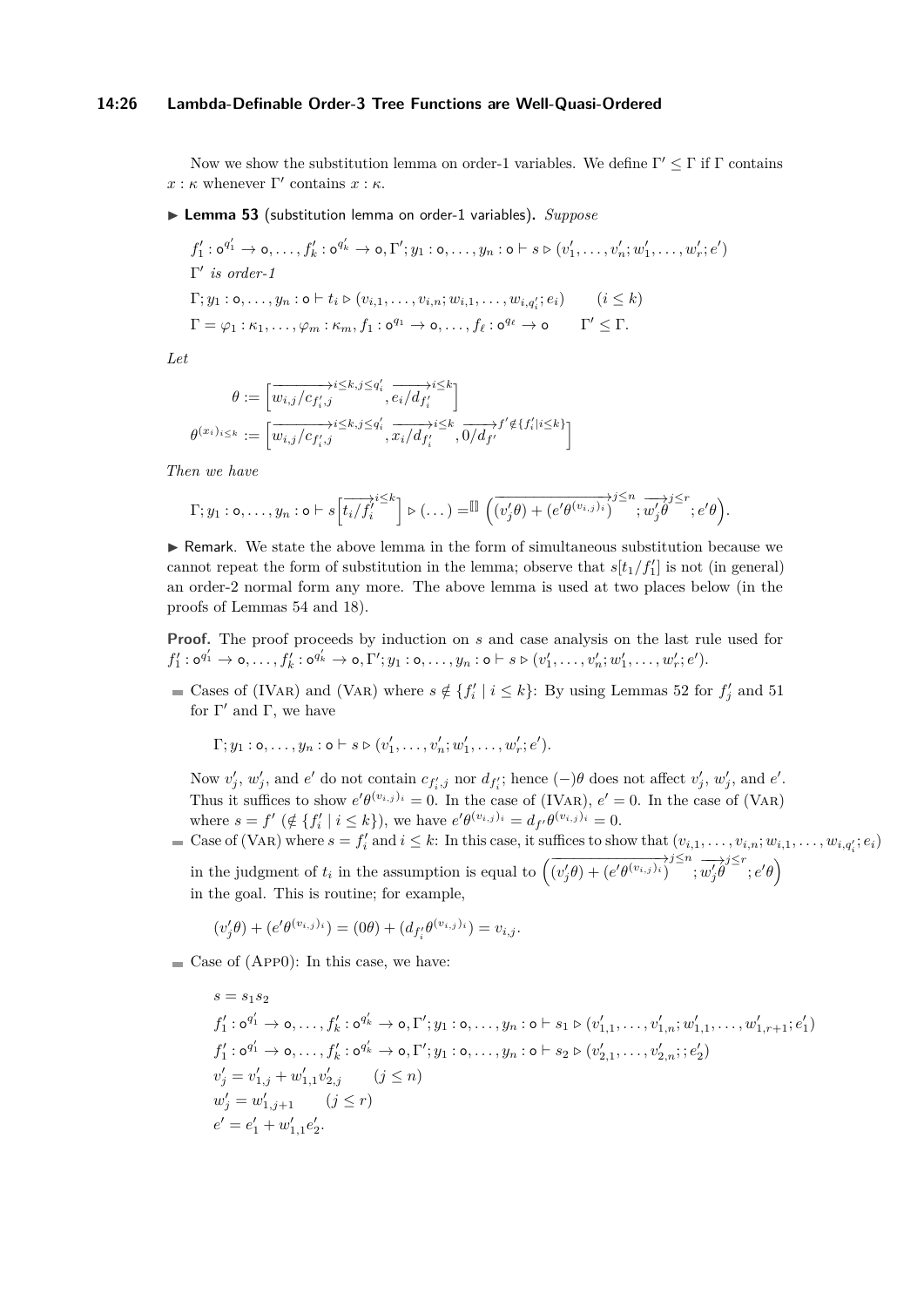#### **14:26 Lambda-Definable Order-3 Tree Functions are Well-Quasi-Ordered**

Now we show the substitution lemma on order-1 variables. We define  $\Gamma' \leq \Gamma$  if  $\Gamma$  contains  $x : \kappa$  whenever  $\Gamma'$  contains  $x : \kappa$ .

<span id="page-25-0"></span>▶ Lemma 53 (substitution lemma on order-1 variables). *Suppose* 

$$
f'_1: \mathbf{o}^{q'_1} \to \mathbf{o}, \dots, f'_k: \mathbf{o}^{q'_k} \to \mathbf{o}, \Gamma'; y_1: \mathbf{o}, \dots, y_n: \mathbf{o} \vdash s \triangleright (v'_1, \dots, v'_n; w'_1, \dots, w'_r; e')
$$
  
\n
$$
\Gamma'
$$
 is order-1  
\n
$$
\Gamma; y_1: \mathbf{o}, \dots, y_n: \mathbf{o} \vdash t_i \triangleright (v_{i,1}, \dots, v_{i,n}; w_{i,1}, \dots, w_{i,q'_i}; e_i) \qquad (i \leq k)
$$
  
\n
$$
\Gamma = \varphi_1: \kappa_1, \dots, \varphi_m: \kappa_m, f_1: \mathbf{o}^{q_1} \to \mathbf{o}, \dots, f_\ell: \mathbf{o}^{q_\ell} \to \mathbf{o} \qquad \Gamma' \leq \Gamma.
$$

*Let*

$$
\theta := \left[ \overrightarrow{w_{i,j}/c_{f'_i,j}} \overrightarrow{e_i/d_{f'_i}} \right]
$$

$$
(x_i)_{i \leq k} := \left[ \overrightarrow{w_{i,j}/c_{f'_i,j}} \overrightarrow{e_i/d_{f'_i}} \overrightarrow{x_i/d_{f'_i}} \overrightarrow{v_i/d_{f'_i}} \right]
$$

*Then we have*

*θ*

$$
\Gamma; y_1: \mathsf{o}, \ldots, y_n: \mathsf{o} \vdash s \left[\overrightarrow{t_i/f_i'}^{\Sigma} \right] \mathsf{o} \left(\ldots\right) = \mathbb{I} \left( \overrightarrow{(v_j'\theta) + (e'\theta^{(v_{i,j})_i})}^{\Sigma} ; \overrightarrow{w_j'\theta}^{\Sigma} \right) \mathsf{e}' ; e'\theta \right).
$$

 $\blacktriangleright$  Remark. We state the above lemma in the form of simultaneous substitution because we cannot repeat the form of substitution in the lemma; observe that  $s[t_1/f_1']$  is not (in general) an order-2 normal form any more. The above lemma is used at two places below (in the proofs of Lemmas [54](#page-27-0) and [18\)](#page-9-0).

**Proof.** The proof proceeds by induction on *s* and case analysis on the last rule used for  $f'_1: \mathsf{o}^{q'_1} \to \mathsf{o}, \ldots, f'_k: \mathsf{o}^{q'_k} \to \mathsf{o}, \Gamma'; y_1: \mathsf{o}, \ldots, y_n: \mathsf{o} \vdash s \triangleright (v'_1, \ldots, v'_n; w'_1, \ldots, w'_r; e').$ 

Cases of (IVAR) and (VAR) where  $s \notin \{f'_i \mid i \leq k\}$ : By using Lemmas [52](#page-24-0) for  $f'_j$  and [51](#page-24-1) for  $\Gamma'$  and  $\Gamma$ , we have

 $\Gamma; y_1 : \mathsf{o}, \ldots, y_n : \mathsf{o} \vdash s \triangleright (v'_1, \ldots, v'_n; w'_1, \ldots, w'_r; e').$ 

Now  $v'_j$ ,  $w'_j$ , and  $e'$  do not contain  $c_{f'_i,j}$  nor  $d_{f'_i}$ ; hence  $(-)\theta$  does not affect  $v'_j$ ,  $w'_j$ , and  $e'$ . Thus it suffices to show  $e' \theta^{(v_{i,j})_i} = 0$ . In the case of (IVAR),  $e' = 0$ . In the case of (VAR) where  $s = f' \ (\notin \{f'_i \mid i \leq k\})$ , we have  $e' \theta^{(v_{i,j})_i} = d_{f'} \theta^{(v_{i,j})_i} = 0$ .

Case of (VAR) where  $s = f'_i$  and  $i \leq k$ : In this case, it suffices to show that  $(v_{i,1}, \ldots, v_{i,n}; w_{i,1}, \ldots, w_{i,q'_i}; e_i)$ in the judgment of  $t_i$  in the assumption is equal to  $(\overrightarrow{(v'_j \theta) + (e' \theta^{(v_{i,j})_i})}^j)^{\leq n}, \overrightarrow{w'_j \theta}^{\geq r}; e' \theta)$ in the goal. This is routine; for example,

$$
(v_j'\theta) + (e'\theta^{(v_{i,j})_i}) = (0\theta) + (d_{f_i'}\theta^{(v_{i,j})_i}) = v_{i,j}.
$$

 $\blacksquare$  Case of (App0): In this case, we have:

 $s = s_1 s_2$  $f_1':\circ^{q_1'}\rightarrow\circ,\dotsc,f_k':\circ^{q_k'}\rightarrow\circ,\Gamma';y_1:\circ,\dotsc,y_n:\circ\vdash s_1\rhd(v_{1,1}',\dotsc,v_{1,n}';w_{1,1}',\dotsc,w_{1,r+1}';e_1')$  $f'_1:\mathsf{o}^{q'_1}\to \mathsf{o},\ldots,f'_k:\mathsf{o}^{q'_k}\to \mathsf{o},\Gamma';y_1:\mathsf{o},\ldots,y_n:\mathsf{o}\vdash s_2\triangleright (v'_{2,1},\ldots,v'_{2,n};;e'_2)$  $v'_{j} = v'_{1,j} + w'_{1,1}v'_{2,j}$  (*j* ≤ *n*)  $w'_{j} = w'_{1,j+1}$   $(j \leq r)$  $e' = e'_1 + w'_{1,1}e'_2.$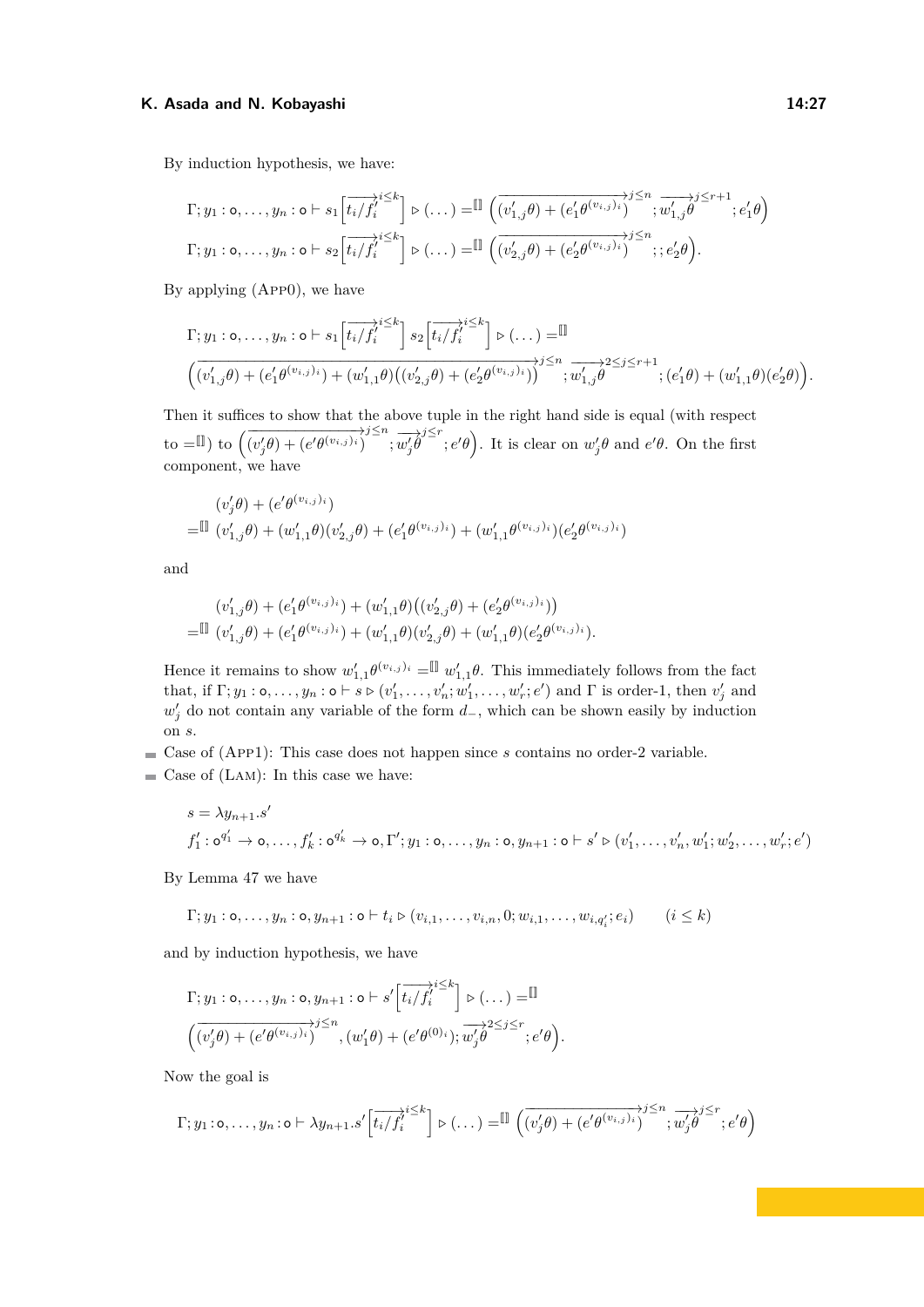By induction hypothesis, we have:

$$
\Gamma; y_1: \mathbf{o}, \dots, y_n: \mathbf{o} \vdash s_1 \left[ \overrightarrow{t_i/f_i'}^{\leq k} \right] \triangleright (\dots) = \mathbb{I} \left( \overrightarrow{(v_{1,j}\theta) + (e'_1 \theta^{(v_{i,j})_i})}^{\leq n} ; \overrightarrow{w_{1,j}\theta}^{\leq r+1} ; e'_1 \theta \right)
$$

$$
\Gamma; y_1: \mathbf{o}, \dots, y_n: \mathbf{o} \vdash s_2 \left[ \overrightarrow{t_i/f_i'}^{\leq k} \right] \triangleright (\dots) = \mathbb{I} \left( \overrightarrow{(v_{2,j}\theta) + (e'_2 \theta^{(v_{i,j})_i})}^{\leq n} ; e'_2 \theta \right).
$$

By applying (App0), we have

$$
\Gamma; y_1: \mathbf{0}, \dots, y_n: \mathbf{0} \vdash s_1 \left[ \overrightarrow{t_i/f_i'}^{i \leq k} \right] s_2 \left[ \overrightarrow{t_i/f_i'}^{i \leq k} \right] \triangleright (\dots) = \mathbb{I}
$$
\n
$$
\left( \overrightarrow{(v'_{1,j}\theta) + (e'_1\theta^{(v_{i,j})_i}) + (w'_{1,1}\theta) \big( (v'_{2,j}\theta) + (e'_2\theta^{(v_{i,j})_i}) \big)} \right)^{j \leq n} ; w'_{1,j}\theta^{2 \leq j \leq r+1} ; (e'_1\theta) + (w'_{1,1}\theta) (e'_2\theta) \right).
$$

Then it suffices to show that the above tuple in the right hand side is equal (with respect to  $=\mathbb{I}$ ) to  $(\overrightarrow{(v'_j\theta)+(e'\theta^{(v_{i,j})_i})}^{j\leq n}; \overrightarrow{w'_j\theta}^{j\leq r}; e'\theta)$ . It is clear on  $w'_j\theta$  and  $e'\theta$ . On the first component, we have

$$
(v'_j \theta) + (e' \theta^{(v_{i,j})_i})
$$
  
=
$$
\mathbb{I} (v'_{1,j}\theta) + (w'_{1,1}\theta)(v'_{2,j}\theta) + (e'_1 \theta^{(v_{i,j})_i}) + (w'_{1,1}\theta^{(v_{i,j})_i})(e'_2 \theta^{(v_{i,j})_i})
$$

and

$$
(v'_{1,j}\theta) + (e'_1\theta^{(v_{i,j})_i}) + (w'_{1,1}\theta) \big( (v'_{2,j}\theta) + (e'_2\theta^{(v_{i,j})_i}) \big)
$$
  
= 
$$
\mathbb{I} (v'_{1,j}\theta) + (e'_1\theta^{(v_{i,j})_i}) + (w'_{1,1}\theta)(v'_{2,j}\theta) + (w'_{1,1}\theta)(e'_2\theta^{(v_{i,j})_i}).
$$

Hence it remains to show  $w'_{1,1}\theta^{(v_{i,j})_i} = \mathbb{I} \ w'_{1,1}\theta$ . This immediately follows from the fact that, if  $\Gamma$ ;  $y_1 : \mathsf{o}, \ldots, y_n : \mathsf{o} \vdash s \triangleright (v'_1, \ldots, v'_n; w'_1, \ldots, w'_r; e')$  and  $\Gamma$  is order-1, then  $v'_j$  and *w*<sup>*j*</sup> do not contain any variable of the form *d*<sub>−</sub>, which can be shown easily by induction on *s*.

 $\blacksquare$  Case of (App1): This case does not happen since *s* contains no order-2 variable.

 $\blacksquare$  Case of (LAM): In this case we have:

$$
s = \lambda y_{n+1}.s'
$$
  

$$
f'_1: \mathbf{o}^{q'_1} \to \mathbf{o}, \dots, f'_k: \mathbf{o}^{q'_k} \to \mathbf{o}, \Gamma'; y_1: \mathbf{o}, \dots, y_n: \mathbf{o}, y_{n+1}: \mathbf{o} \vdash s' \triangleright (v'_1, \dots, v'_n, w'_1; w'_2, \dots, w'_r; e')
$$

By Lemma [47](#page-22-0) we have

$$
\Gamma; y_1 : \mathsf{o}, \dots, y_n : \mathsf{o}, y_{n+1} : \mathsf{o} \vdash t_i \triangleright (v_{i,1}, \dots, v_{i,n}, 0; w_{i,1}, \dots, w_{i,q_i}; e_i) \qquad (i \leq k)
$$

and by induction hypothesis, we have

$$
\Gamma; y_1 : \mathbf{o}, \dots, y_n : \mathbf{o}, y_{n+1} : \mathbf{o} \vdash s' \left[ \overrightarrow{t_i/f_i'}^{s \leq k} \right] \rhd (\dots) = \mathbb{I}
$$
\n
$$
\left( \overrightarrow{(v'_j \theta) + (e' \theta^{(v_{i,j})_i})}^{s \leq n}, (w'_1 \theta) + (e' \theta^{(0)_i}); \overrightarrow{w'_j \theta}^{2 \leq j \leq r}; e' \theta \right).
$$

Now the goal is

$$
\Gamma; y_1: \mathbf{o}, \dots, y_n: \mathbf{o} \vdash \lambda y_{n+1}.s' \left[\overline{t_i/f_i'}^{i \leq k}\right] \triangleright (\dots) = \mathbb{I} \left(\overline{(v'_j \theta) + (e' \theta^{(v_{i,j})})^2}\right)^{j \leq n}; \overline{w'_j \theta}^{j \leq r}; e' \theta\right)
$$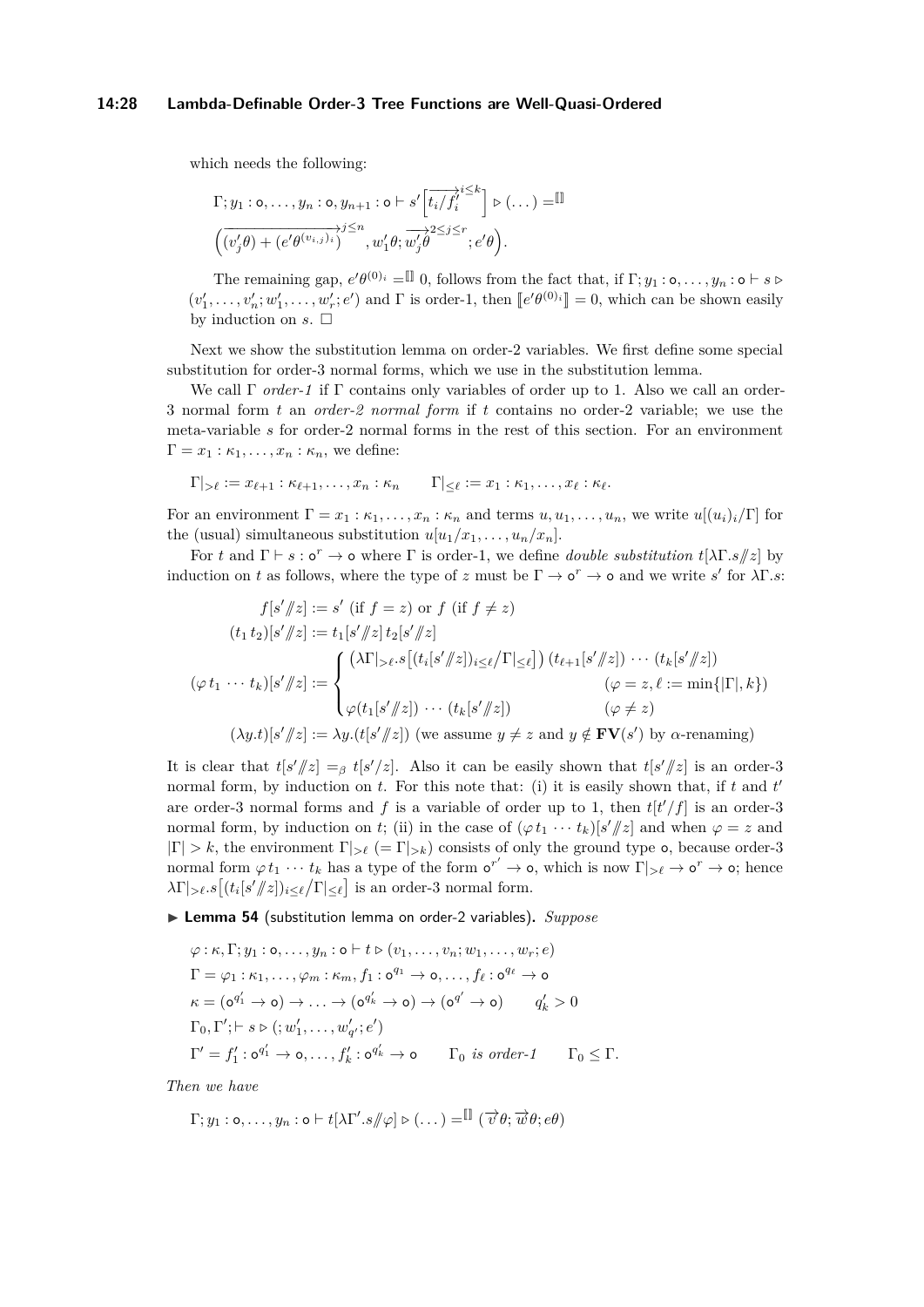#### **14:28 Lambda-Definable Order-3 Tree Functions are Well-Quasi-Ordered**

which needs the following:

$$
\Gamma; y_1: \mathbf{o}, \dots, y_n: \mathbf{o}, y_{n+1}: \mathbf{o} \vdash s' \left[\overline{t_i/f_i^{\lambda}}^{\leq k}\right] \rhd (\dots) = \mathbb{I}
$$

$$
\left(\overline{(v'_j \theta) + (e' \theta^{(v_{i,j})_i})}\right)^{j \leq n}, w'_1 \theta; \overline{w'_j \theta}^{\geq s_j \leq r}; e' \theta\right).
$$

The remaining gap,  $e' \theta^{(0)i} = \mathbb{I}$  0, follows from the fact that, if  $\Gamma; y_1 : \mathsf{o}, \ldots, y_n : \mathsf{o} \vdash s \triangleright$  $(v'_1, \ldots, v'_n; w'_1, \ldots, w'_r; e')$  and  $\Gamma$  is order-1, then  $\lbrack\lbrack e'\theta^{(0)}\rbrack\rbrack = 0$ , which can be shown easily by induction on  $s$ .  $\Box$ 

Next we show the substitution lemma on order-2 variables. We first define some special substitution for order-3 normal forms, which we use in the substitution lemma.

We call Γ *order-1* if Γ contains only variables of order up to 1. Also we call an order-3 normal form *t* an *order-2 normal form* if *t* contains no order-2 variable; we use the meta-variable *s* for order-2 normal forms in the rest of this section. For an environment  $\Gamma = x_1 : \kappa_1, \ldots, x_n : \kappa_n$ , we define:

$$
\Gamma|_{{> \ell}} := x_{\ell+1} : \kappa_{\ell+1}, \ldots, x_n : \kappa_n \qquad \Gamma|_{\leq \ell} := x_1 : \kappa_1, \ldots, x_\ell : \kappa_\ell.
$$

For an environment  $\Gamma = x_1 : \kappa_1, \ldots, x_n : \kappa_n$  and terms  $u, u_1, \ldots, u_n$ , we write  $u[(u_i)_i/\Gamma]$  for the (usual) simultaneous substitution  $u[u_1/x_1, \ldots, u_n/x_n]$ .

For *t* and  $\Gamma \vdash s : \mathfrak{o}^r \to \mathfrak{o}$  where  $\Gamma$  is order-1, we define *double substitution*  $t[\lambda \Gamma . s / z]$  by induction on *t* as follows, where the type of *z* must be  $\Gamma \to \mathsf{o}^r \to \mathsf{o}$  and we write *s'* for  $\lambda \Gamma$ *.s*:

$$
f[s'/|z] := s' \text{ (if } f = z) \text{ or } f \text{ (if } f \neq z)
$$
  
\n
$$
(t_1 t_2)[s'/|z] := t_1[s'/|z]t_2[s'/|z]
$$
  
\n
$$
(\varphi t_1 \cdots t_k)[s'/|z] := \begin{cases} (\lambda \Gamma |_{> \ell} \cdot s[(t_i[s'/|z])_{i \leq \ell} \Gamma |_{< \ell}]) (t_{\ell+1}[s'/|z]) \cdots (t_k[s'/|z]) \\ (\varphi t_1 \cdots t_k)[s'/|z] := \begin{cases} (\lambda \Gamma |_{> \ell} \cdot s[(t_i[s'/|z])_{i \leq \ell} \Gamma |_{< \ell}]) (t_{\ell+1}[s'/|z]) \\ \varphi(t_1[s'/|z]) \cdots (t_k[s'/|z]) \end{cases} (\varphi \neq z) \\ (\lambda y.t)[s'/|z] := \lambda y \cdot (t[s'/|z]) \text{ (we assume } y \neq z \text{ and } y \notin \mathbf{FV}(s') \text{ by } \alpha\text{-renaming)} \end{cases}
$$

It is clear that  $t[s'/z] =_\beta t[s'/z]$ . Also it can be easily shown that  $t[s'/z]$  is an order-3 normal form, by induction on *t*. For this note that: (i) it is easily shown that, if *t* and *t* are order-3 normal forms and f is a variable of order up to 1, then  $t[t'/f]$  is an order-3 normal form, by induction on *t*; (ii) in the case of  $(\varphi t_1 \cdots t_k)[s'/z]$  and when  $\varphi = z$  and  $|\Gamma| > k$ , the environment  $\Gamma|_{\geq \ell}$  (=  $\Gamma|_{\geq k}$ ) consists of only the ground type **o**, because order-3 normal form  $\varphi t_1 \cdots t_k$  has a type of the form  $\sigma^{r'} \to \infty$ , which is now  $\Gamma|_{\geq \ell} \to \sigma^r \to \infty$ ; hence  $\lambda \Gamma |_{\geq \ell}$ .*s*  $[(t_i[s'/\mid z])_{i \leq \ell}/\Gamma |_{\leq \ell}]$  is an order-3 normal form.

<span id="page-27-0"></span>▶ Lemma 54 (substitution lemma on order-2 variables). *Suppose* 

$$
\varphi : \kappa, \Gamma; y_1 : \mathbf{o}, \dots, y_n : \mathbf{o} \vdash t \triangleright (v_1, \dots, v_n; w_1, \dots, w_r; e)
$$
  
\n
$$
\Gamma = \varphi_1 : \kappa_1, \dots, \varphi_m : \kappa_m, f_1 : \mathbf{o}^{q_1} \to \mathbf{o}, \dots, f_e : \mathbf{o}^{q_\ell} \to \mathbf{o}
$$
  
\n
$$
\kappa = (\mathbf{o}^{q'_1} \to \mathbf{o}) \to \dots \to (\mathbf{o}^{q'_k} \to \mathbf{o}) \to (\mathbf{o}^{q'} \to \mathbf{o}) \qquad q'_k > 0
$$
  
\n
$$
\Gamma_0, \Gamma'; \vdash s \triangleright (; w'_1, \dots, w'_{q'}; e')
$$
  
\n
$$
\Gamma' = f'_1 : \mathbf{o}^{q'_1} \to \mathbf{o}, \dots, f'_k : \mathbf{o}^{q'_k} \to \mathbf{o} \qquad \Gamma_0 \text{ is order-1} \qquad \Gamma_0 \leq \Gamma.
$$

*Then we have*

$$
\Gamma; y_1: \mathsf{o}, \ldots, y_n: \mathsf{o} \vdash t[\lambda \Gamma'.s/\hspace{-0.14cm}/\varphi] \triangleright (\ldots) = \mathbb{I} \left( \overrightarrow{v} \theta; \overrightarrow{w} \theta; e\theta \right)
$$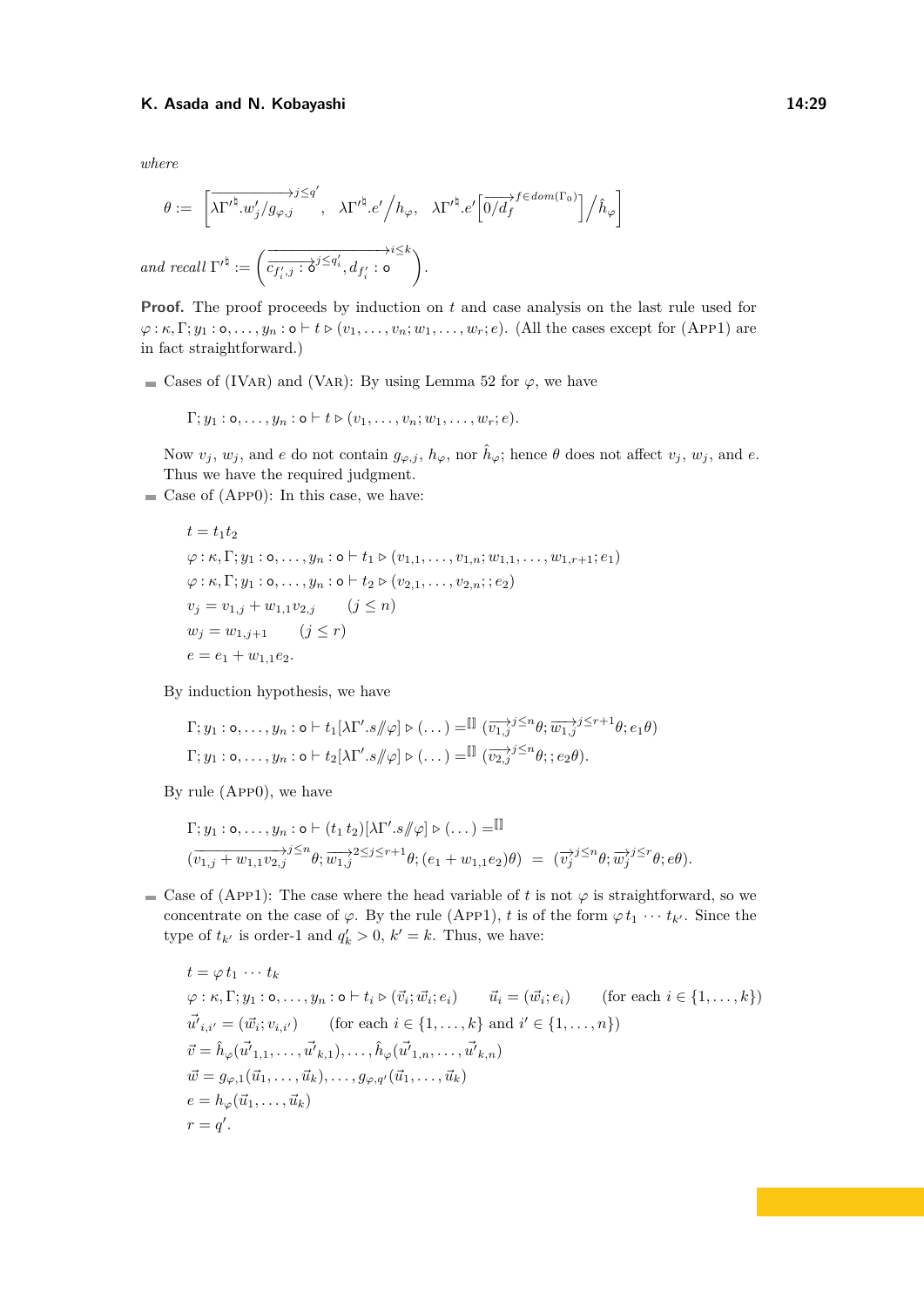*where*

$$
\theta := \left[ \overrightarrow{\lambda \Gamma'^{\natural}.w'_j/g_{\varphi,j}}', \overrightarrow{\lambda \Gamma'^{\natural}.e'} \Big/ h_{\varphi}, \overrightarrow{\lambda \Gamma'^{\natural}.e'} \left[ \overrightarrow{0/d_f}^{f \in dom(\Gamma_0)} \right] \Big/ \hat{h}_{\varphi} \right]
$$
  
and recall  $\Gamma'^{\natural} := \left( \overrightarrow{c_{f'_i,j} : \delta^{j \leq q'_i}, d_{f'_i} : o} \right)$ .

**Proof.** The proof proceeds by induction on t and case analysis on the last rule used for  $\varphi$ :  $\kappa, \Gamma; y_1 : \mathsf{o}, \ldots, y_n : \mathsf{o} \vdash t \triangleright (v_1, \ldots, v_n; w_1, \ldots, w_r; e)$ . (All the cases except for (APP1) are in fact straightforward.)

■ Cases of (IVAR) and (VAR): By using Lemma [52](#page-24-0) for  $\varphi$ , we have

 $\Gamma; y_1 : \mathsf{o}, \ldots, y_n : \mathsf{o} \vdash t \triangleright (v_1, \ldots, v_n; w_1, \ldots, w_r; e).$ 

Now  $v_j$ ,  $w_j$ , and *e* do not contain  $g_{\varphi,j}$ ,  $h_{\varphi}$ , nor  $\hat{h}_{\varphi}$ ; hence  $\theta$  does not affect  $v_j$ ,  $w_j$ , and *e*. Thus we have the required judgment.

 $\blacksquare$  Case of (App0): In this case, we have:

 $t = t_1 t_2$  $\varphi: \kappa, \Gamma; y_1 : \mathsf{o}, \ldots, y_n : \mathsf{o} \vdash t_1 \triangleright (v_{1,1}, \ldots, v_{1,n}; w_{1,1}, \ldots, w_{1,r+1}; e_1)$  $\varphi: \kappa, \Gamma; y_1 : \mathsf{o}, \ldots, y_n : \mathsf{o} \vdash t_2 \triangleright (v_{2,1}, \ldots, v_{2,n}; e_2)$  $v_j = v_{1,j} + w_{1,1}v_{2,j}$  (*j* ≤ *n*)  $w_j = w_{1,j+1}$   $(j \leq r)$  $e = e_1 + w_{1,1}e_2.$ 

By induction hypothesis, we have

$$
\Gamma; y_1 : \mathsf{o}, \dots, y_n : \mathsf{o} \vdash t_1[\lambda \Gamma'.s / \varphi] \triangleright (\dots) = \mathbb{I} \left( \overrightarrow{v_1, j}^{j \leq n} \theta; \overrightarrow{w_1, j}^{j \leq r+1} \theta; e_1 \theta \right)
$$

$$
\Gamma; y_1 : \mathsf{o}, \dots, y_n : \mathsf{o} \vdash t_2[\lambda \Gamma'.s / \varphi] \triangleright (\dots) = \mathbb{I} \left( \overrightarrow{v_2, j}^{j \leq n} \theta; e_2 \theta \right).
$$

By rule (App0), we have

$$
\Gamma; y_1 : \mathsf{o}, \ldots, y_n : \mathsf{o} \vdash (t_1 \ t_2) [\lambda \Gamma'.s / \varphi] \triangleright (\ldots) = \mathbb{I}
$$
\n
$$
(\overline{v_{1,j} + w_{1,1} v_{2,j}})^{j \le n} \theta; \overline{w_{1,j}^{*}}^{2 \le j \le r+1} \theta; (e_1 + w_{1,1} e_2) \theta) = (\overline{v_j}^{j} \le n} \theta; \overline{w_j}^{j \le r} \theta; e \theta).
$$

Case of (App1): The case where the head variable of *t* is not  $\varphi$  is straightforward, so we concentrate on the case of  $\varphi$ . By the rule (App1), *t* is of the form  $\varphi t_1 \cdots t_{k'}$ . Since the type of  $t_{k'}$  is order-1 and  $q'_{k} > 0$ ,  $k' = k$ . Thus, we have:

$$
t = \varphi t_1 \cdots t_k
$$
  
\n
$$
\varphi : \kappa, \Gamma; y_1 : \mathfrak{o}, \ldots, y_n : \mathfrak{o} \vdash t_i \triangleright (\vec{v}_i; \vec{w}_i; e_i) \qquad \vec{u}_i = (\vec{w}_i; e_i) \qquad \text{(for each } i \in \{1, \ldots, k\})
$$
  
\n
$$
\vec{u'}_{i,i'} = (\vec{w}_i; v_{i,i'}) \qquad \text{(for each } i \in \{1, \ldots, k\} \text{ and } i' \in \{1, \ldots, n\})
$$
  
\n
$$
\vec{v} = \hat{h}_{\varphi}(\vec{u'}_{1,1}, \ldots, \vec{u'}_{k,1}), \ldots, \hat{h}_{\varphi}(\vec{u'}_{1,n}, \ldots, \vec{u'}_{k,n})
$$
  
\n
$$
\vec{w} = g_{\varphi,1}(\vec{u}_1, \ldots, \vec{u}_k), \ldots, g_{\varphi,q'}(\vec{u}_1, \ldots, \vec{u}_k)
$$
  
\n
$$
e = h_{\varphi}(\vec{u}_1, \ldots, \vec{u}_k)
$$
  
\n
$$
r = q'.
$$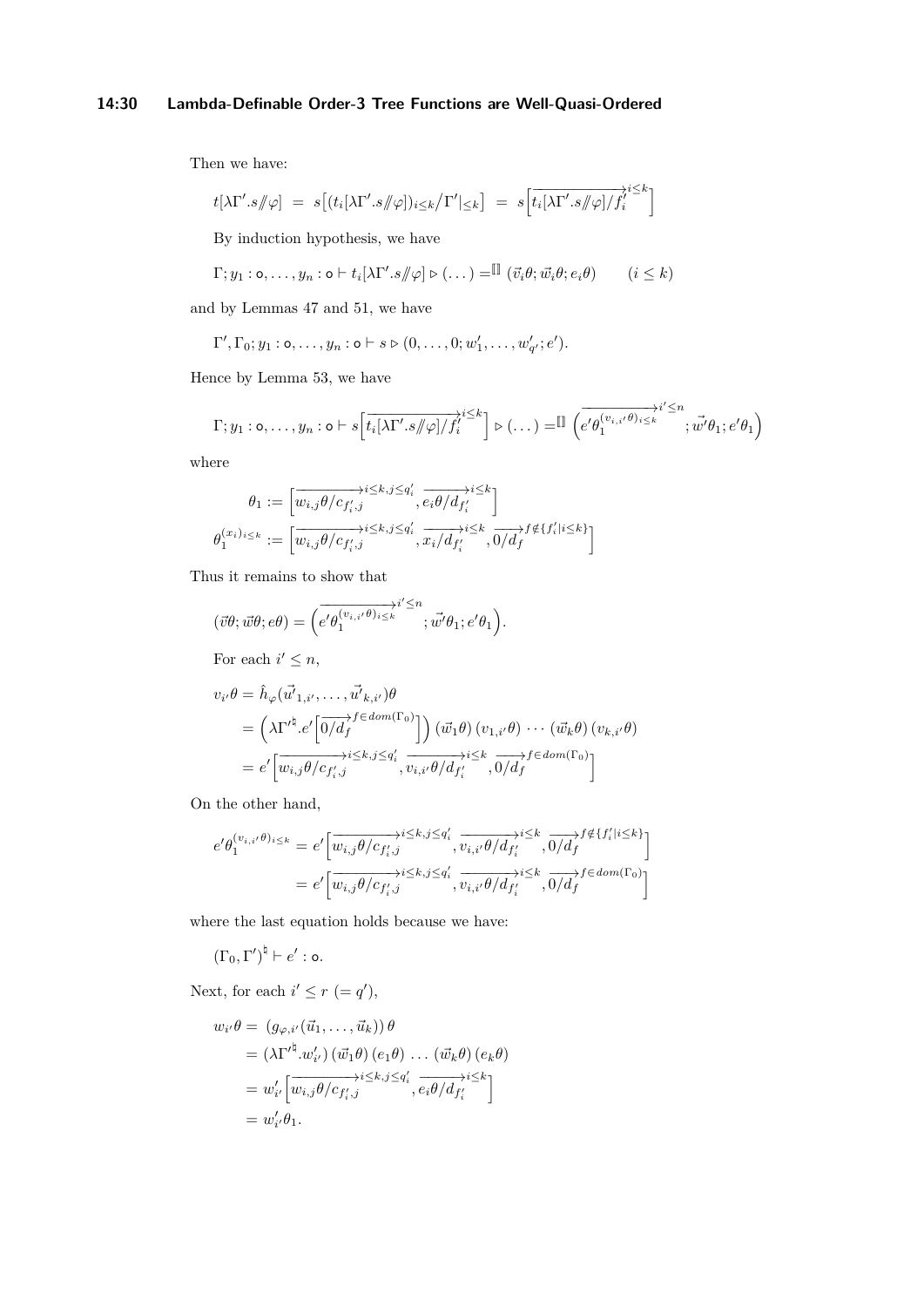# **14:30 Lambda-Definable Order-3 Tree Functions are Well-Quasi-Ordered**

Then we have:

$$
t[\lambda\Gamma'.s/\hspace{-0.15cm}/\varphi] = s[(t_i[\lambda\Gamma'.s/\hspace{-0.15cm}/\varphi])_{i\leq k}/\Gamma']_{\leq k}] = s\left[\overrightarrow{t_i[\lambda\Gamma'.s/\hspace{-0.15cm}/\varphi]/f_i'}^{i\leq k}\right]
$$

By induction hypothesis, we have

$$
\Gamma; y_1 : \mathsf{o}, \dots, y_n : \mathsf{o} \vdash t_i [\lambda \Gamma'.s / \varphi] \triangleright (\dots) = \mathbb{I} \left( \vec{v}_i \theta; \vec{w}_i \theta; e_i \theta \right) \qquad (i \leq k)
$$

and by Lemmas [47](#page-22-0) and [51,](#page-24-1) we have

$$
\Gamma', \Gamma_0; y_1 : \mathsf{o}, \dots, y_n : \mathsf{o} \vdash s \triangleright (0, \dots, 0; w'_1, \dots, w'_{q'}; e').
$$

Hence by Lemma [53,](#page-25-0) we have

$$
\Gamma; y_1: \mathbf{o}, \dots, y_n: \mathbf{o} \vdash s \Big[ \overline{t_i[\lambda \Gamma' . s / \varphi] / f'_i}^{i \leq k} \Big] \triangleright (\dots) = \mathbb{I} \Big( \overline{e' \theta_1^{(v_{i,i'}\theta)_{i \leq k}}}^{i' \leq n}; \overrightarrow{w'} \theta_1; e' \theta_1 \Big)
$$

where

$$
\theta_1 := \left[ \overrightarrow{w_{i,j} \theta/c_{f'_i,j}} \overrightarrow{e_i \theta/d_{f'_i}} \overrightarrow{e_i \theta/d_{f'_i}} \right]
$$

$$
\theta_1^{(x_i)_{i \leq k}} := \left[ \overrightarrow{w_{i,j} \theta/c_{f'_i,j}} \overrightarrow{e_i \theta/c_{f'_i}} \overrightarrow{x_i/d_{f'_i}} \overrightarrow{x_i/d_{f'_i}} \overrightarrow{0/d_f} f \notin \{f'_i | i \leq k\} \right]
$$

Thus it remains to show that

$$
(\vec{v}\theta; \vec{w}\theta; e\theta) = \left(\overrightarrow{e'}\theta_1^{(v_{i,i'}\theta)_{i\leq k}}^{i'\leq n}; \vec{w'}\theta_1; e'\theta_1\right).
$$
  
For each  $i' \leq n$ ,  

$$
v_{i'}\theta = \hat{h}_{\varphi}(\vec{u'}_{1,i'}, \dots, \vec{u'}_{k,i'})\theta
$$

$$
= \left(\lambda\Gamma'^{\dagger}e'\left[\overrightarrow{0/d_f}^{f \in dom(\Gamma_0)}\right]\right)(\vec{w_1}\theta)(v_{1,i'}\theta)\cdots(\vec{w_k}\theta)(v_{k,i'}\theta)
$$

$$
= e'\left[\overrightarrow{w_{i,j}\theta/c_{f'_{i},j}}^{i\leq k,j\leq q'_{i}}, \overrightarrow{v_{i,i'}\theta/d_{f'_{i}}^{j\leq k}}, \overrightarrow{0/d_f}^{f \in dom(\Gamma_0)}\right]
$$

On the other hand,

$$
e' \theta_1^{(v_{i,i'}\theta)_{i\leq k}} = e' \Big[ \overrightarrow{w_{i,j}\theta/c_{f'_i,j}}^{\lambda \leq k, j \leq q'_i}, \overrightarrow{v_{i,i'}\theta/d_{f'_i}}^{\lambda \leq k, j \leq k}, \overrightarrow{0/d_f}^{\beta \notin \{f'_i|i \leq k\}} \Big]
$$
  
= 
$$
e' \Big[ \overrightarrow{w_{i,j}\theta/c_{f'_i,j}}^{\lambda \leq k, j \leq q'_i}, \overrightarrow{v_{i,i'}\theta/d_{f'_i}}^{\lambda \leq k}, \overrightarrow{0/d_f}^{\beta \in dom(\Gamma_0)} \Big]
$$

where the last equation holds because we have:

$$
(\Gamma_0, \Gamma')^{\natural} \vdash e' : \mathsf{o}.
$$

Next, for each  $i' \leq r (= q')$ ,

$$
w_{i'}\theta = (g_{\varphi,i'}(\vec{u}_1,\ldots,\vec{u}_k))\theta
$$
  
\n
$$
= (\lambda \Gamma'^{\dagger}.w'_{i'}) (\vec{w}_1 \theta) (e_1 \theta) \ldots (\vec{w}_k \theta) (e_k \theta)
$$
  
\n
$$
= w'_{i'} \left[\overline{w_{i,j} \theta / c_{f'_{i},j}}^{\lambda \leq k,j \leq q'_{i}}, \overline{e_i \theta / d_{f'_{i}}}^{\lambda \leq k}\right]
$$
  
\n
$$
= w'_{i'} \theta_1.
$$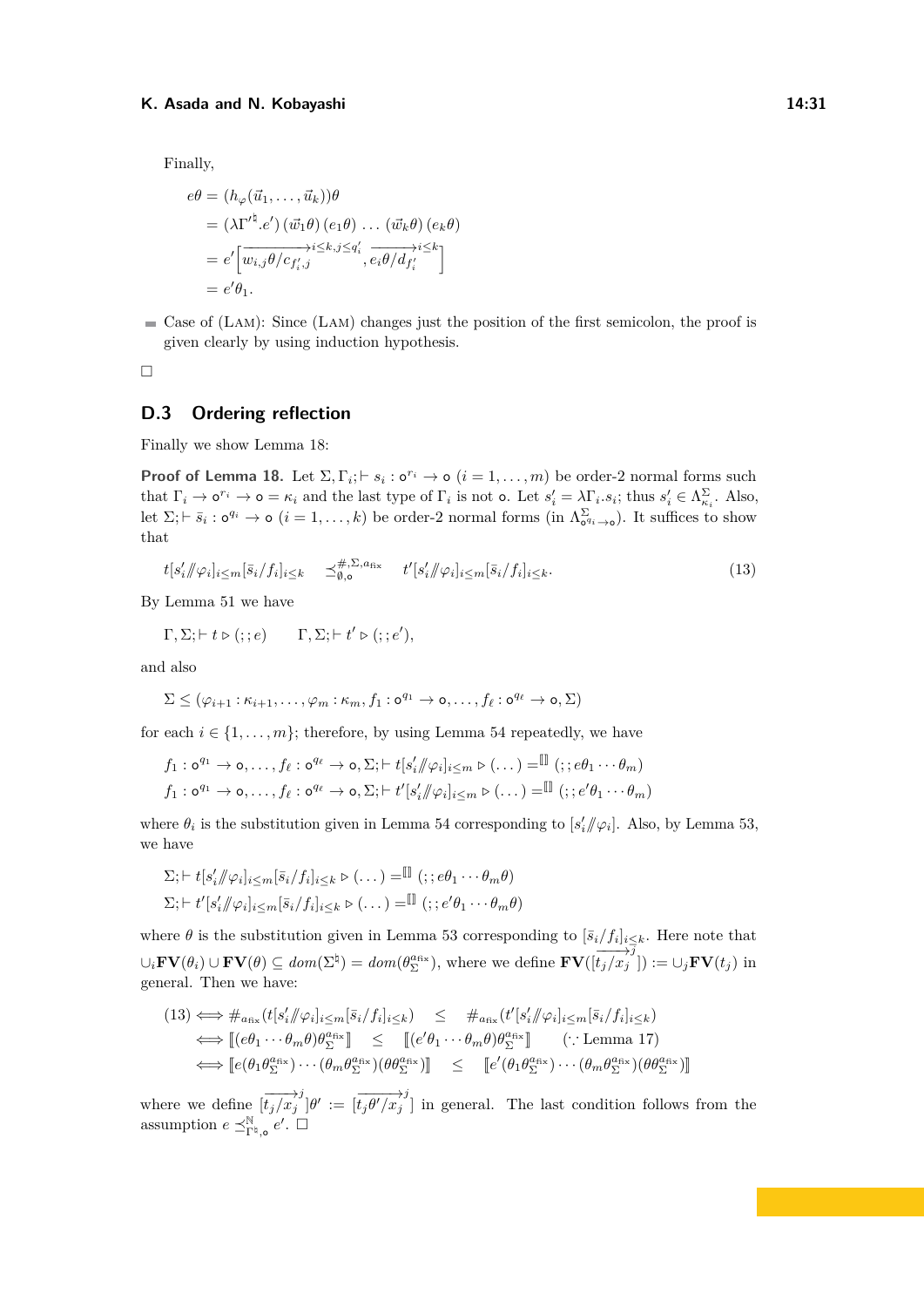Finally,

$$
e\theta = (h_{\varphi}(\vec{u}_1, \dots, \vec{u}_k))\theta
$$
  
= (\lambda \Gamma'^{\natural}. e') (\vec{w}\_1 \theta) (e\_1 \theta) \dots (\vec{w}\_k \theta) (e\_k \theta)  
= e' \left[\overrightarrow{w\_{i,j} \theta / c\_{f'\_i,j}} \right] \overrightarrow{e\_i \theta / d\_{f'\_i}} \overrightarrow{e\_i \theta / d\_{f'\_i}} \overrightarrow{e\_i \theta / d\_{f'\_i}}

 $\blacksquare$  Case of (LAM): Since (LAM) changes just the position of the first semicolon, the proof is given clearly by using induction hypothesis.

 $\Box$ 

### **D.3 Ordering reflection**

Finally we show Lemma [18:](#page-9-0)

**Proof of Lemma [18.](#page-9-0)** Let  $\Sigma$ ,  $\Gamma$ <sub>*i*</sub>;  $\vdash$  *s*<sub>*i*</sub> :  $\circ$ <sup>*r*<sub>*i*</sub></sup>  $\rightarrow$   $\circ$  (*i* = 1, . . . , *m*) be order-2 normal forms such that  $\Gamma_i \to \mathfrak{o}^{r_i} \to \mathfrak{o} = \kappa_i$  and the last type of  $\Gamma_i$  is not  $\mathfrak{o}$ . Let  $s_i' = \lambda \Gamma_i s_i$ ; thus  $s_i' \in \Lambda_{\kappa_i}^{\Sigma}$ . Also, let  $\Sigma; \vdash \bar{s}_i : \mathsf{o}^{q_i} \to \mathsf{o} \ (i = 1, \ldots, k)$  be order-2 normal forms (in  $\Lambda_{\mathsf{o}^{q_i} \to \mathsf{o}}^{\Sigma}$ ). It suffices to show that

<span id="page-30-0"></span>
$$
t[s'_i/\hspace{-0.1cm}/\varphi_i]_{i\leq m}[\bar{s}_i/f_i]_{i\leq k} \quad \preceq^{\#,\Sigma,a_{\text{fix}}}_{\emptyset,\mathfrak{o}} \quad t'[s'_i/\hspace{-0.1cm}/\varphi_i]_{i\leq m}[\bar{s}_i/f_i]_{i\leq k}.\tag{13}
$$

By Lemma [51](#page-24-1) we have

$$
\Gamma, \Sigma; \vdash t \triangleright (; ; e) \qquad \Gamma, \Sigma; \vdash t' \triangleright (; ; e'),
$$

and also

$$
\Sigma \leq (\varphi_{i+1} : \kappa_{i+1}, \ldots, \varphi_m : \kappa_m, f_1 : \mathsf{o}^{q_1} \to \mathsf{o}, \ldots, f_\ell : \mathsf{o}^{q_\ell} \to \mathsf{o}, \Sigma)
$$

for each  $i \in \{1, \ldots, m\}$ ; therefore, by using Lemma [54](#page-27-0) repeatedly, we have

$$
f_1: \mathbf{o}^{q_1} \to \mathbf{o}, \dots, f_\ell: \mathbf{o}^{q_\ell} \to \mathbf{o}, \Sigma; \vdash t[s'_i/\hspace{-1mm}/\varphi_i]_{i \leq m} \triangleright (\dots) = \mathbb{I} \quad (; e\theta_1 \cdots \theta_m)
$$
  

$$
f_1: \mathbf{o}^{q_1} \to \mathbf{o}, \dots, f_\ell: \mathbf{o}^{q_\ell} \to \mathbf{o}, \Sigma; \vdash t'[s'_i/\hspace{-1mm}/\varphi_i]_{i \leq m} \triangleright (\dots) = \mathbb{I} \quad (; e'\theta_1 \cdots \theta_m)
$$

where  $\theta_i$  is the substitution given in Lemma [54](#page-27-0) corresponding to  $[s'_i/\!\!/ \varphi_i]$ . Also, by Lemma [53,](#page-25-0) we have

$$
\Sigma; \vdash t[s'_i/\negthinspace/\negthinspace \varphi_i]_{i \leq m}[\bar{s}_i/f_i]_{i \leq k} \triangleright (\dots) = \mathbb{I} \ (\;; e\theta_1 \cdots \theta_m \theta)
$$
\n
$$
\Sigma; \vdash t'[s'_i/\negthinspace/\negthinspace \varphi_i]_{i \leq m}[\bar{s}_i/f_i]_{i \leq k} \triangleright (\dots) = \mathbb{I} \ (\;; e'\theta_1 \cdots \theta_m \theta)
$$

where  $\theta$  is the substitution given in Lemma [53](#page-25-0) corresponding to  $[\bar{s}_i/f_i]_{i\leq k}$ . Here note that  $\cup_i \text{FV}(\theta_i) \cup \text{FV}(\theta) \subseteq \text{dom}(\Sigma^{\natural}) = \text{dom}(\theta_{\Sigma}^{\text{max}}),$  where we define  $\text{FV}([\overline{t_j/x_j}^{\frac{1}{j}}]) := \cup_j \text{FV}(t_j)$  in general. Then we have:

$$
(13) \iff \#_{a_{fix}}(t[s'_i/\hspace{-0.1cm}/\varphi_i]_{i\leq m}[\bar{s}_i/f_i]_{i\leq k}) \leq \#_{a_{fix}}(t'[s'_i/\hspace{-0.1cm}/\varphi_i]_{i\leq m}[\bar{s}_i/f_i]_{i\leq k})
$$
  
\n
$$
\iff [(\epsilon\theta_1 \cdots \theta_m \theta) \theta_{\Sigma}^{a_{fix}}] \leq [(\epsilon'\theta_1 \cdots \theta_m \theta) \theta_{\Sigma}^{a_{fix}}] \quad (\because \text{Lemma 17})
$$
  
\n
$$
\iff [\epsilon(\theta_1 \theta_{\Sigma}^{a_{fix}}) \cdots (\theta_m \theta_{\Sigma}^{a_{fix}}) (\theta \theta_{\Sigma}^{a_{fix}})] \leq [(\epsilon'(\theta_1 \theta_{\Sigma}^{a_{fix}}) \cdots (\theta_m \theta_{\Sigma}^{a_{fix}}) (\theta \theta_{\Sigma}^{a_{fix}})]
$$

where we define  $\left[\overrightarrow{t_j/x_j}^j\right]\theta' := \left[\overrightarrow{t_j\theta'/x_j}^j\right]$  in general. The last condition follows from the assumption  $e \preceq^{\mathbb{N}}_{\Gamma^{\natural},\mathsf{o}} e'$ .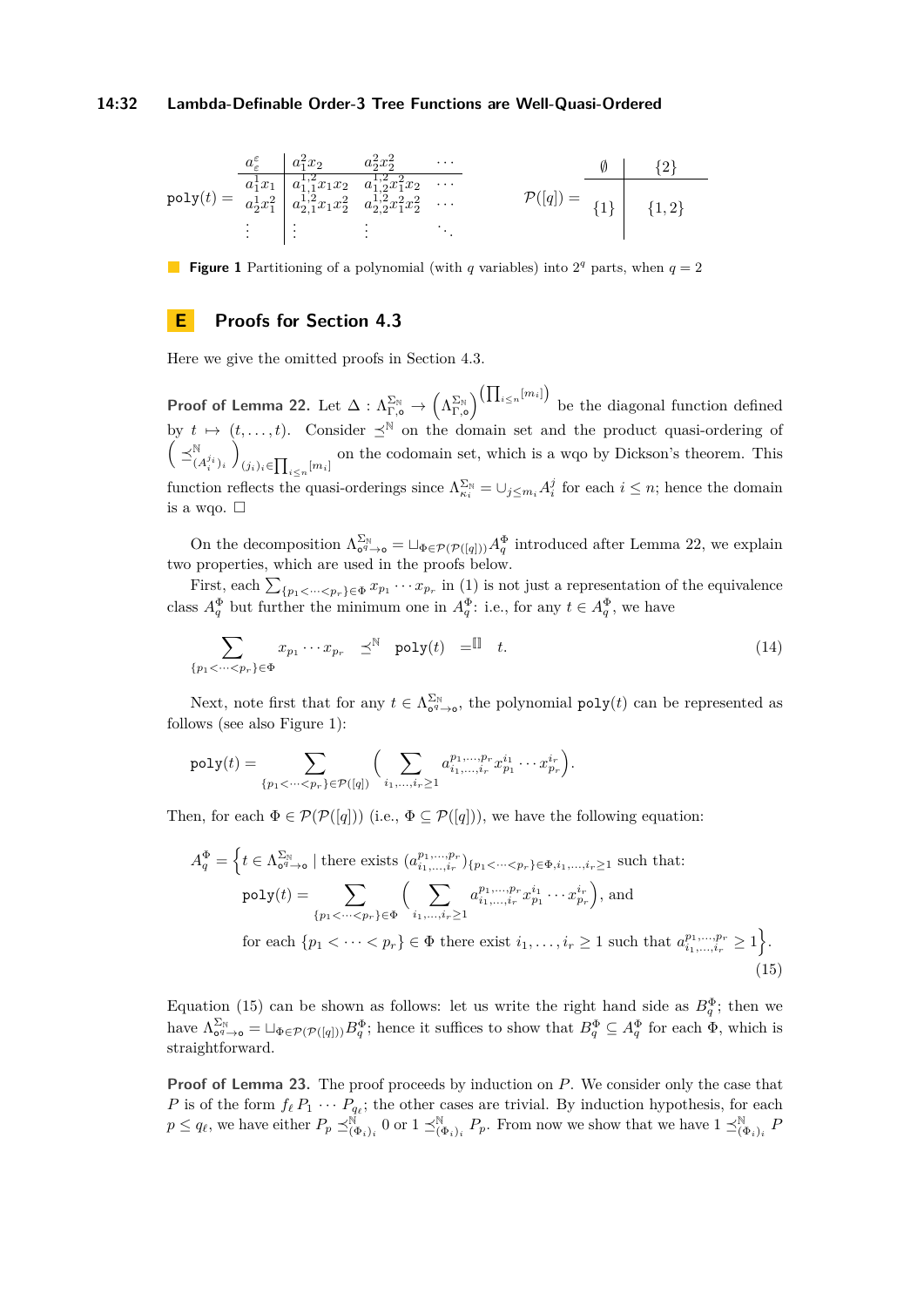#### **14:32 Lambda-Definable Order-3 Tree Functions are Well-Quasi-Ordered**

<span id="page-31-1"></span>
$$
\text{poly}(t) = \begin{array}{c|c}\n\frac{a_{\varepsilon}^{\varepsilon}}{a_1^1 x_1} & \frac{a_1^2 x_2}{a_1^1, 2x_1 x_2} & \frac{a_2^2 x_2^2}{a_1^1, 2x_1^2 x_2^2} & \cdots \\
\frac{a_2^1 x_1^2}{a_2^1, 2x_1^2} & \frac{a_1^1, 2x_1^2 x_2}{a_2^1, 2x_1^2 x_2^2} & \cdots \\
\vdots & \vdots & \vdots & \ddots\n\end{array}\n\qquad\n\mathcal{P}([q]) = \begin{array}{c|c}\n\emptyset & \{2\} \\
\uparrow \\
\uparrow \\
\{1\} & \{1, 2\}\n\end{array}
$$

**Figure 1** Partitioning of a polynomial (with *q* variables) into  $2^q$  parts, when  $q = 2$ 

### <span id="page-31-0"></span>**E Proofs for Section [4.3](#page-9-3)**

Here we give the omitted proofs in Section [4.3.](#page-9-3)

 $\mathsf{Proof} \text{ of Lemma 22. Let } \Delta: \Lambda_{\Gamma,\mathsf{o}}^{\Sigma_{\mathbb{N}}} \to \left(\Lambda_{\Gamma,\mathsf{o}}^{\Sigma_{\mathbb{N}}}\right)^{\left(\prod_{i\leq n}[m_i]\right)}$  $\mathsf{Proof} \text{ of Lemma 22. Let } \Delta: \Lambda_{\Gamma,\mathsf{o}}^{\Sigma_{\mathbb{N}}} \to \left(\Lambda_{\Gamma,\mathsf{o}}^{\Sigma_{\mathbb{N}}}\right)^{\left(\prod_{i\leq n}[m_i]\right)}$  $\mathsf{Proof} \text{ of Lemma 22. Let } \Delta: \Lambda_{\Gamma,\mathsf{o}}^{\Sigma_{\mathbb{N}}} \to \left(\Lambda_{\Gamma,\mathsf{o}}^{\Sigma_{\mathbb{N}}}\right)^{\left(\prod_{i\leq n}[m_i]\right)}$ be the diagonal function defined by  $t \mapsto (t, \ldots, t)$ . Consider  $\preceq^{\mathbb{N}}$  on the domain set and the product quasi-ordering of  $\Big(\preceq^{\mathbb{N}}_{(A_i^{j_i})_i}$  $\setminus$  $(j_i)_i \in \prod_{i \leq n} [m_i]$  on the codomain set, which is a wqo by Dickson's theorem. This function reflects the quasi-orderings since  $\Lambda_{\kappa_i}^{\Sigma_{\mathbb{N}}} = \cup_{j \leq m_i} A_i^j$  for each  $i \leq n$ ; hence the domain is a wqo.  $\square$ 

On the decomposition  $\Lambda_{\mathfrak{O}^q\to\mathfrak{O}}^{\Sigma_{\mathbb{N}}} = \sqcup_{\Phi \in \mathcal{P}(\mathcal{P}([q]))} A_q^{\Phi}$  introduced after Lemma [22,](#page-10-1) we explain two properties, which are used in the proofs below.

First, each  $\sum_{\{p_1 < \dots < p_r\} \in \Phi} x_{p_1} \cdots x_{p_r}$  in [\(1\)](#page-11-2) is not just a representation of the equivalence class  $A_q^{\Phi}$  but further the minimum one in  $A_q^{\Phi}$ : i.e., for any  $t \in A_q^{\Phi}$ , we have

<span id="page-31-3"></span>
$$
\sum_{\{p_1 < \cdots < p_r\} \in \Phi} x_{p_1} \cdots x_{p_r} \preceq^{\mathbb{N}} \text{poly}(t) = \mathbb{I} \quad t. \tag{14}
$$

Next, note first that for any  $t \in \Lambda_{\mathfrak{O}^q \to \mathfrak{o}}^{\Sigma_{\mathbb{N}}}$ , the polynomial  $\textsf{poly}(t)$  can be represented as follows (see also Figure [1\)](#page-31-1):

$$
\text{poly}(t) = \sum_{\{p_1 < \dots < p_r\} \in \mathcal{P}([q])} \Big( \sum_{i_1, \dots, i_r \geq 1} a_{i_1, \dots, i_r}^{p_1, \dots, p_r} x_{p_1}^{i_1} \cdots x_{p_r}^{i_r} \Big).
$$

Then, for each  $\Phi \in \mathcal{P}(\mathcal{P}([q]))$  (i.e.,  $\Phi \subseteq \mathcal{P}([q]))$ , we have the following equation:

<span id="page-31-2"></span>
$$
A_q^{\Phi} = \left\{ t \in \Lambda_{\mathsf{o}^q \to \mathsf{o}}^{\Sigma_{\mathbb{N}}} \mid \text{there exists } (a_{i_1, \ldots, i_r}^{p_1, \ldots, p_r})_{\{p_1 < \cdots < p_r\} \in \Phi, i_1, \ldots, i_r \ge 1} \text{ such that:}
$$
\n
$$
\text{poly}(t) = \sum_{\{p_1 < \cdots < p_r\} \in \Phi} \left( \sum_{i_1, \ldots, i_r \ge 1} a_{i_1, \ldots, i_r}^{p_1, \ldots, p_r} x_{p_1}^{i_1} \cdots x_{p_r}^{i_r} \right), \text{ and}
$$
\n
$$
\text{for each } \{p_1 < \cdots < p_r\} \in \Phi \text{ there exist } i_1, \ldots, i_r \ge 1 \text{ such that } a_{i_1, \ldots, i_r}^{p_1, \ldots, p_r} \ge 1 \right\}.
$$
\n
$$
(15)
$$

Equation [\(15\)](#page-31-2) can be shown as follows: let us write the right hand side as  $B_q^{\Phi}$ ; then we have  $\Lambda_{\mathbf{0}^q \to \mathbf{0}}^{\Sigma_{\mathbb{N}}} = \Box_{\Phi \in \mathcal{P}(\mathcal{P}([q]))} B_q^{\Phi}$ ; hence it suffices to show that  $B_q^{\Phi} \subseteq A_q^{\Phi}$  for each  $\Phi$ , which is straightforward.

**Proof of Lemma [23.](#page-11-1)** The proof proceeds by induction on P. We consider only the case that *P* is of the form  $f_{\ell} P_1 \cdots P_{q_{\ell}}$ ; the other cases are trivial. By induction hypothesis, for each  $p \le q_{\ell}$ , we have either  $P_p \preceq^{\tilde{\mathbb{N}}}_{(\Phi_i)_i} 0$  or  $1 \preceq^{\mathbb{N}}_{(\Phi_i)_i} P_p$ . From now we show that we have  $1 \preceq^{\mathbb{N}}_{(\Phi_i)_i} P_p$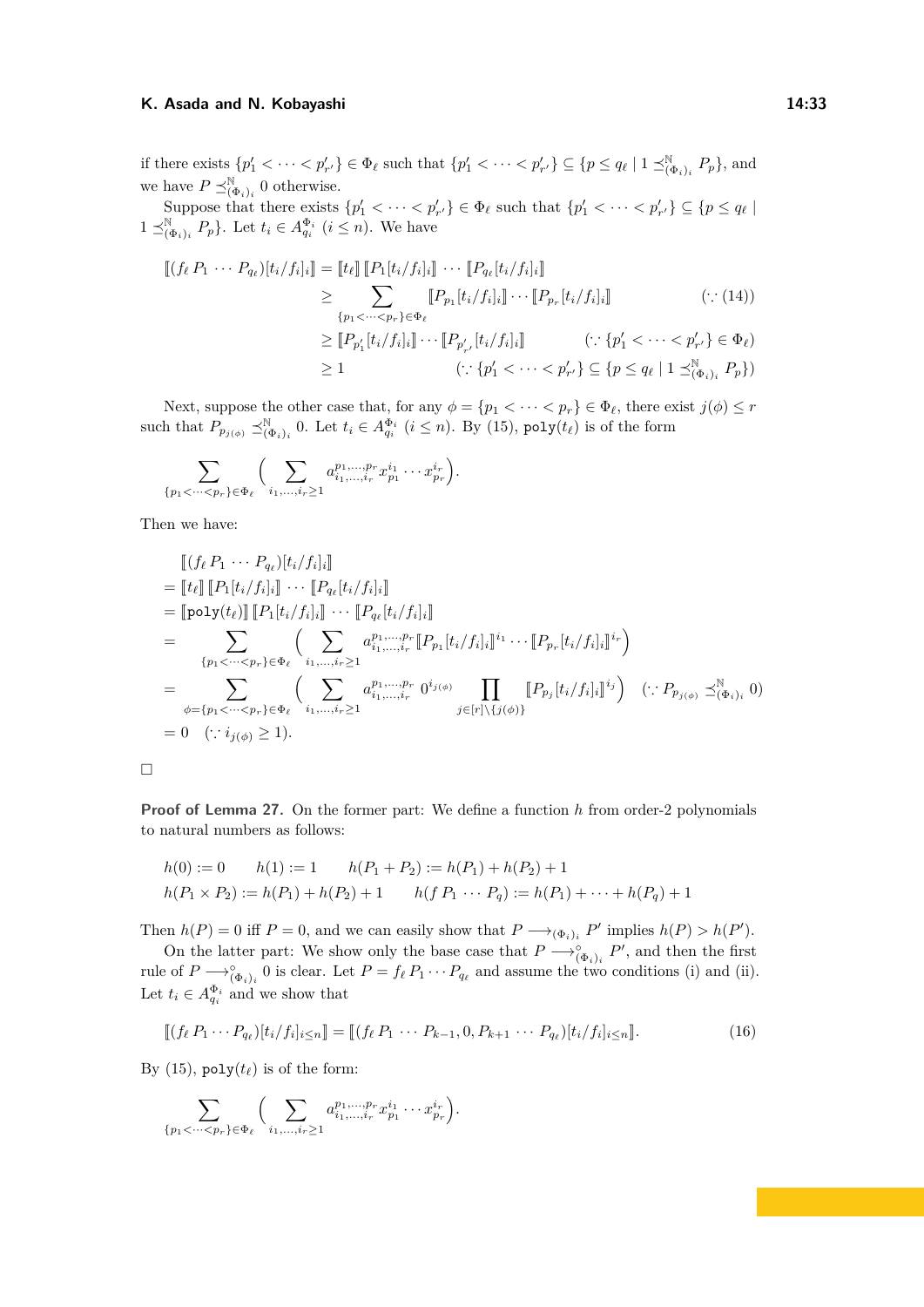if there exists  $\{p'_1 < \cdots < p'_{r'}\} \in \Phi_\ell$  such that  $\{p'_1 < \cdots < p'_{r'}\} \subseteq \{p \le q_\ell \mid 1 \preceq_{(\Phi_i)_i}^{\mathbb{N}} P_p\}$ , and we have  $P \preceq_{(\Phi_i)_i}^{\mathbb{N}} 0$  otherwise.

Suppose that there exists  $\{p'_1 < \cdots < p'_{r'}\} \in \Phi_\ell$  such that  $\{p'_1 < \cdots < p'_{r'}\} \subseteq \{p \le q_\ell\}$  $1 \leq_{(\Phi_i)_i}^{\mathbb{N}} P_p$ . Let  $t_i \in A_{q_i}^{\Phi_i}$   $(i \leq n)$ . We have

$$
\begin{aligned}\n\left[ (f_{\ell} P_1 \cdots P_{q_{\ell}}) [t_i / f_i]_i \right] &= \left[ t_{\ell} \right] \left[ P_1 [t_i / f_i]_i \right] \cdots \left[ P_{q_{\ell}} [t_i / f_i]_i \right] \\
&\geq \sum_{\{p_1 < \cdots < p_r\} \in \Phi_{\ell}} \left[ P_{p_1} [t_i / f_i]_i \right] \cdots \left[ P_{p_r} [t_i / f_i]_i \right] \qquad (\because (14)) \\
&\geq \left[ P_{p'_1} [t_i / f_i]_i \right] \cdots \left[ P_{p'_{r'}} [t_i / f_i]_i \right] \qquad (\because \{p'_1 < \cdots < p'_{r'}\} \in \Phi_{\ell}) \\
&\geq 1 \qquad (\because \{p'_1 < \cdots < p'_{r'}\} \subseteq \{p \leq q_{\ell} \mid 1 \preceq_{(\Phi_i)_i}^{\mathbb{N}} P_p\})\n\end{aligned}
$$

Next, suppose the other case that, for any  $\phi = \{p_1 < \cdots < p_r\} \in \Phi_\ell$ , there exist  $j(\phi) \leq r$ such that  $P_{p_j(\phi)} \preceq_{(\Phi_i)_i}^{\mathbb{N}} 0$ . Let  $t_i \in A_{q_i}^{\Phi_i}$   $(i \leq n)$ . By [\(15\)](#page-31-2), poly $(t_\ell)$  is of the form

$$
\sum_{\{p_1 < \cdots < p_r\} \in \Phi_\ell} \Big( \sum_{i_1, \ldots, i_r \geq 1} a_{i_1, \ldots, i_r}^{p_1, \ldots, p_r} x_{p_1}^{i_1} \cdots x_{p_r}^{i_r} \Big).
$$

Then we have:

$$
\begin{split}\n& \left[ (f_{\ell} P_1 \cdots P_{q_{\ell}}) [t_i / f_i]_i \right] \\
&= \left[ t_{\ell} \right] \left[ P_1 [t_i / f_i]_i \right] \cdots \left[ P_{q_{\ell}} [t_i / f_i]_i \right] \\
&= \left[ \text{poly}(t_{\ell}) \right] \left[ P_1 [t_i / f_i]_i \right] \cdots \left[ P_{q_{\ell}} [t_i / f_i]_i \right] \\
&= \sum_{\{p_1 < \cdots < p_r\} \in \Phi_{\ell}} \left( \sum_{i_1, \ldots, i_r \geq 1} a_{i_1, \ldots, i_r}^{p_1, \ldots, p_r} \left[ P_{p_1} [t_i / f_i]_i \right]^{i_1} \cdots \left[ P_{p_r} [t_i / f_i]_i \right]^{i_r} \right) \\
&= \sum_{\phi = \{p_1 < \cdots < p_r\} \in \Phi_{\ell}} \left( \sum_{i_1, \ldots, i_r \geq 1} a_{i_1, \ldots, i_r}^{p_1, \ldots, p_r} 0^{i_j(\phi)} \prod_{j \in [r] \setminus \{j(\phi)\}} \left[ P_{p_j} [t_i / f_i]_i \right]^{i_j} \right) \quad (\because P_{p_j(\phi)} \preceq^{\mathbb{N}}_{(\Phi_i)_i} 0) \\
&= 0 \quad (\because i_{j(\phi)} \geq 1).\n\end{split}
$$

 $\Box$ 

**Proof of Lemma [27.](#page-12-2)** On the former part: We define a function *h* from order-2 polynomials to natural numbers as follows:

$$
h(0) := 0 \qquad h(1) := 1 \qquad h(P_1 + P_2) := h(P_1) + h(P_2) + 1
$$
  

$$
h(P_1 \times P_2) := h(P_1) + h(P_2) + 1 \qquad h(f P_1 \cdots P_q) := h(P_1) + \cdots + h(P_q) + 1
$$

Then  $h(P) = 0$  iff  $P = 0$ , and we can easily show that  $P \longrightarrow_{(\Phi_i)_i} P'$  implies  $h(P) > h(P')$ .

On the latter part: We show only the base case that  $P \longrightarrow_{(\Phi_i)_i}^{\circ} P'$ , and then the first rule of  $P \longrightarrow_{(\Phi_i)_i}^{\circ} 0$  is clear. Let  $P = f_{\ell} P_1 \cdots P_{q_{\ell}}$  and assume the two conditions (i) and (ii). Let  $t_i \in A_{q_i}^{\Phi_i}$  and we show that

<span id="page-32-0"></span>
$$
[\![ (f_{\ell} P_1 \cdots P_{q_{\ell}}) [t_i/f_i]_{i \le n}]\!] = [\![ (f_{\ell} P_1 \cdots P_{k-1}, 0, P_{k+1} \cdots P_{q_{\ell}}) [t_i/f_i]_{i \le n}].
$$
\n(16)

By [\(15\)](#page-31-2),  $poly(t_\ell)$  is of the form:

$$
\sum_{\{p_1 < \cdots < p_r\} \in \Phi_\ell} \Big( \sum_{i_1, \ldots, i_r \geq 1} a_{i_1, \ldots, i_r}^{p_1, \ldots, p_r} x_{p_1}^{i_1} \cdots x_{p_r}^{i_r} \Big).
$$